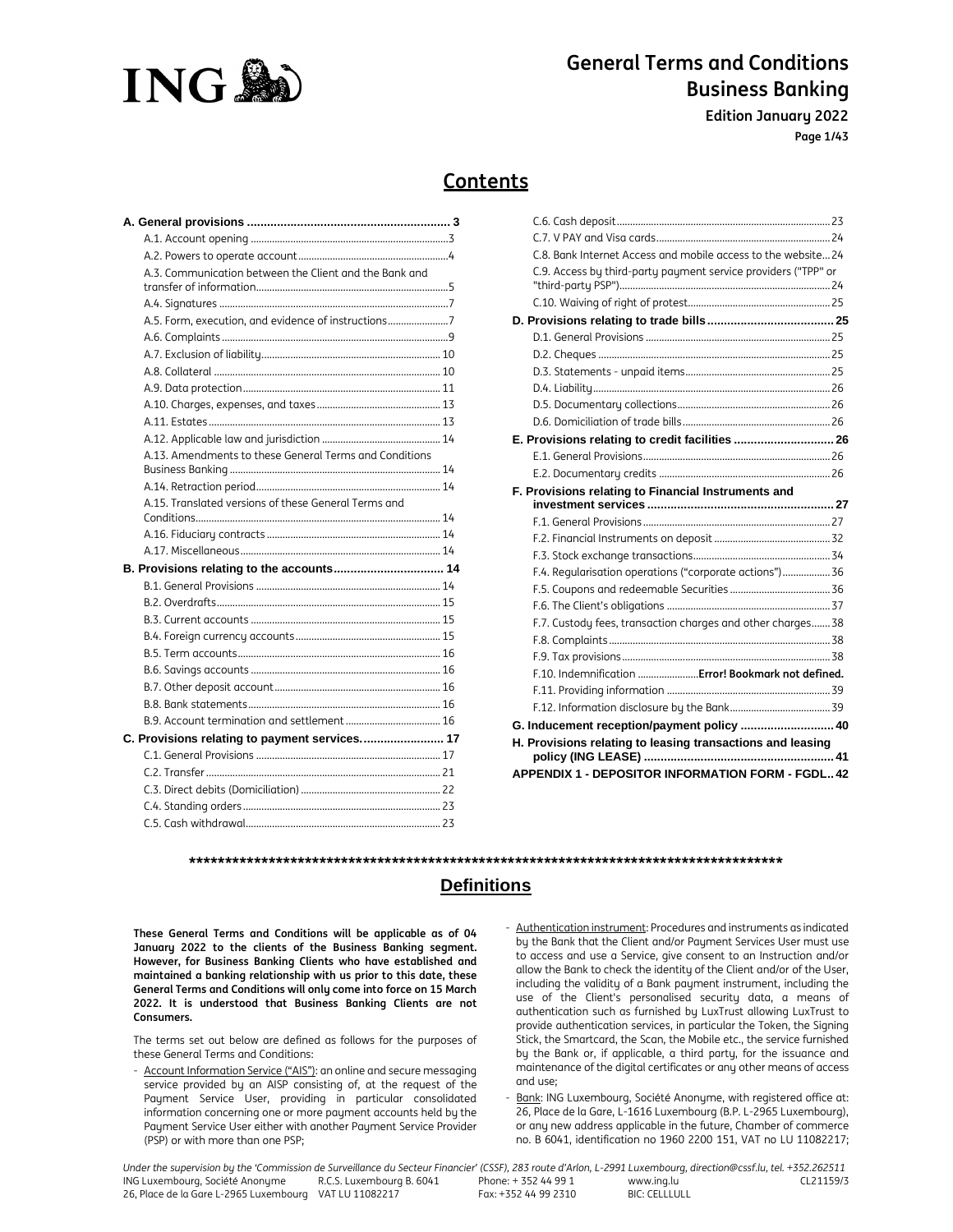

**Edition January 2022**

**Page 1/43**

# **Contents**

| A.3. Communication between the Client and the Bank and |  |
|--------------------------------------------------------|--|
|                                                        |  |
|                                                        |  |
| A.5. Form, execution, and evidence of instructions     |  |
|                                                        |  |
|                                                        |  |
|                                                        |  |
|                                                        |  |
|                                                        |  |
|                                                        |  |
|                                                        |  |
| A.13. Amendments to these General Terms and Conditions |  |
|                                                        |  |
|                                                        |  |
| A.15. Translated versions of these General Terms and   |  |
|                                                        |  |
|                                                        |  |
|                                                        |  |
| B. Provisions relating to the accounts 14              |  |
|                                                        |  |
|                                                        |  |
|                                                        |  |
|                                                        |  |
|                                                        |  |
|                                                        |  |
|                                                        |  |
|                                                        |  |
|                                                        |  |
| C. Provisions relating to payment services 17          |  |
|                                                        |  |
|                                                        |  |
|                                                        |  |
|                                                        |  |
|                                                        |  |

| C.8. Bank Internet Access and mobile access to the website 24  |  |
|----------------------------------------------------------------|--|
| C.9. Access by third-party payment service providers ("TPP" or |  |
|                                                                |  |
|                                                                |  |
|                                                                |  |
|                                                                |  |
|                                                                |  |
|                                                                |  |
|                                                                |  |
|                                                                |  |
|                                                                |  |
|                                                                |  |
|                                                                |  |
|                                                                |  |
| F. Provisions relating to Financial Instruments and            |  |
|                                                                |  |
|                                                                |  |
|                                                                |  |
|                                                                |  |
|                                                                |  |
| F.4. Regularisation operations ("corporate actions") 36        |  |
|                                                                |  |
|                                                                |  |
| F.7. Custody fees, transaction charges and other charges 38    |  |
|                                                                |  |
|                                                                |  |
| F.10. Indemnification  Error! Bookmark not defined.            |  |
|                                                                |  |
|                                                                |  |
| G. Inducement reception/payment policy  40                     |  |
|                                                                |  |
| H. Provisions relating to leasing transactions and leasing     |  |

# **\*\*\*\*\*\*\*\*\*\*\*\*\*\*\*\*\*\*\*\*\*\*\*\*\*\*\*\*\*\*\*\*\*\*\*\*\*\*\*\*\*\*\*\*\*\*\*\*\*\*\*\*\*\*\*\*\*\*\*\*\*\*\*\*\*\*\*\*\*\*\*\*\*\*\*\*\*\*\*\*\*\***

# **Definitions**

**These General Terms and Conditions will be applicable as of 04 January 2022 to the clients of the Business Banking segment. However, for Business Banking Clients who have established and maintained a banking relationship with us prior to this date, these General Terms and Conditions will only come into force on 15 March 2022. It is understood that Business Banking Clients are not Consumers.** 

The terms set out below are defined as follows for the purposes of these General Terms and Conditions:

- Account Information Service ("AIS"): an online and secure messaging service provided by an AISP consisting of, at the request of the Payment Service User, providing in particular consolidated information concerning one or more payment accounts held by the Payment Service User either with another Payment Service Provider (PSP) or with more than one PSP;
- Authentication instrument: Procedures and instruments as indicated by the Bank that the Client and/or Payment Services User must use to access and use a Service, give consent to an Instruction and/or allow the Bank to check the identity of the Client and/or of the User, including the validity of a Bank payment instrument, including the use of the Client's personalised security data, a means of authentication such as furnished by LuxTrust allowing LuxTrust to provide authentication services, in particular the Token, the Signing Stick, the Smartcard, the Scan, the Mobile etc., the service furnished by the Bank or, if applicable, a third party, for the issuance and maintenance of the digital certificates or any other means of access and use;
- Bank: ING Luxembourg, Société Anonyme, with registered office at: 26, Place de la Gare, L-1616 Luxembourg (B.P. L-2965 Luxembourg), or any new address applicable in the future, Chamber of commerce no. B 6041, identification no 1960 2200 151, VAT no LU 11082217;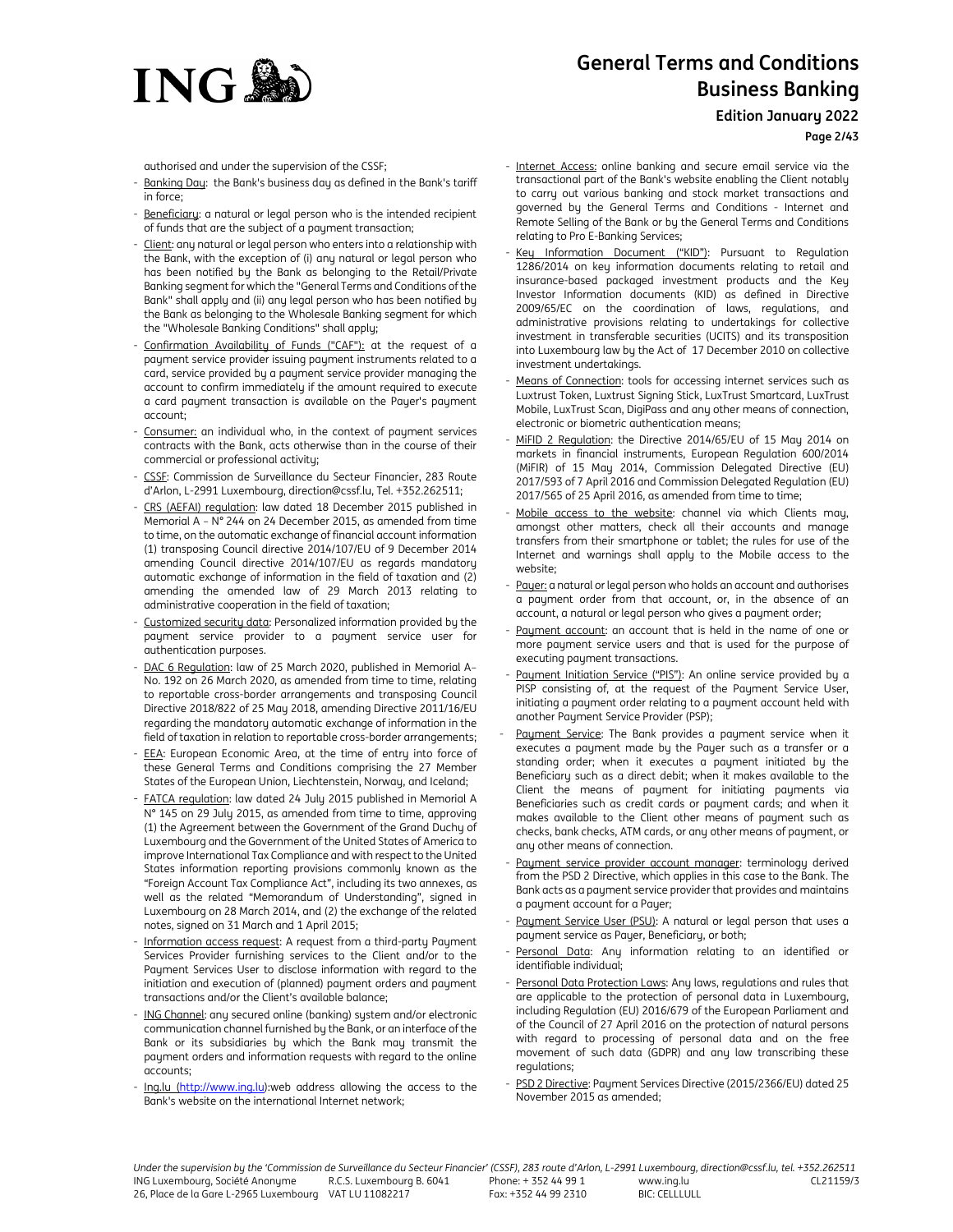

**Edition January 2022**

**Page 2/43**

**ING®** 

authorised and under the supervision of the CSSF;

- Banking Day: the Bank's business day as defined in the Bank's tariff in force;
- Beneficiary: a natural or legal person who is the intended recipient of funds that are the subject of a payment transaction;
- Client: any natural or legal person who enters into a relationship with the Bank, with the exception of (i) any natural or legal person who has been notified by the Bank as belonging to the Retail/Private Banking segment for which the "General Terms and Conditions of the Bank" shall apply and (ii) any legal person who has been notified by the Bank as belonging to the Wholesale Banking segment for which the "Wholesale Banking Conditions" shall apply;
- Confirmation Availability of Funds ("CAF"): at the request of a payment service provider issuing payment instruments related to a card, service provided by a payment service provider managing the account to confirm immediately if the amount required to execute a card payment transaction is available on the Payer's payment account;
- Consumer: an individual who, in the context of payment services contracts with the Bank, acts otherwise than in the course of their commercial or professional activity;
- CSSF: Commission de Surveillance du Secteur Financier, 283 Route d'Arlon, L-2991 Luxembourg, direction@cssf.lu, Tel. +352.262511;
- CRS (AEFAI) regulation: law dated 18 December 2015 published in Memorial A – N° 244 on 24 December 2015, as amended from time to time, on the automatic exchange of financial account information (1) transposing Council directive 2014/107/EU of 9 December 2014 amending Council directive 2014/107/EU as regards mandatory automatic exchange of information in the field of taxation and (2) amending the amended law of 29 March 2013 relating to administrative cooperation in the field of taxation;
- Customized security data: Personalized information provided by the payment service provider to a payment service user for authentication purposes.
- DAC 6 Regulation: law of 25 March 2020, published in Memorial A-No. 192 on 26 March 2020, as amended from time to time, relating to reportable cross-border arrangements and transposing Council Directive 2018/822 of 25 May 2018, amending Directive 2011/16/EU regarding the mandatory automatic exchange of information in the field of taxation in relation to reportable cross-border arrangements;
- EEA: European Economic Area, at the time of entry into force of these General Terms and Conditions comprising the 27 Member States of the European Union, Liechtenstein, Norway, and Iceland;
- FATCA regulation: law dated 24 July 2015 published in Memorial A N° 145 on 29 July 2015, as amended from time to time, approving (1) the Agreement between the Government of the Grand Duchy of Luxembourg and the Government of the United States of America to improve International Tax Compliance and with respect to the United States information reporting provisions commonly known as the "Foreign Account Tax Compliance Act", including its two annexes, as well as the related "Memorandum of Understanding", signed in Luxembourg on 28 March 2014, and (2) the exchange of the related notes, signed on 31 March and 1 April 2015;
- Information access request: A request from a third-party Payment Services Provider furnishing services to the Client and/or to the Payment Services User to disclose information with regard to the initiation and execution of (planned) payment orders and payment transactions and/or the Client's available balance;
- ING Channel: any secured online (banking) system and/or electronic communication channel furnished by the Bank, or an interface of the Bank or its subsidiaries by which the Bank may transmit the payment orders and information requests with regard to the online accounts;
- Ing.lu (http://www.ing.lu):web address allowing the access to the Bank's website on the international Internet network;
- Internet Access: online banking and secure email service via the transactional part of the Bank's website enabling the Client notably to carry out various banking and stock market transactions and governed by the General Terms and Conditions - Internet and Remote Selling of the Bank or by the General Terms and Conditions relating to Pro E-Banking Services;
- Key Information Document ("KID"): Pursuant to Regulation 1286/2014 on key information documents relating to retail and insurance-based packaged investment products and the Key Investor Information documents (KID) as defined in Directive 2009/65/EC on the coordination of laws, regulations, and administrative provisions relating to undertakings for collective investment in transferable securities (UCITS) and its transposition into Luxembourg law by the Act of 17 December 2010 on collective investment undertakings.
- Means of Connection: tools for accessing internet services such as Luxtrust Token, Luxtrust Signing Stick, LuxTrust Smartcard, LuxTrust Mobile, LuxTrust Scan, DigiPass and any other means of connection, electronic or biometric authentication means;
- MiFID 2 Regulation: the Directive 2014/65/EU of 15 May 2014 on markets in financial instruments, European Regulation 600/2014 (MiFIR) of 15 May 2014, Commission Delegated Directive (EU) 2017/593 of 7 April 2016 and Commission Delegated Regulation (EU) 2017/565 of 25 April 2016, as amended from time to time;
- Mobile access to the website: channel via which Clients may, amongst other matters, check all their accounts and manage transfers from their smartphone or tablet; the rules for use of the Internet and warnings shall apply to the Mobile access to the website;
- Payer: a natural or legal person who holds an account and authorises a payment order from that account, or, in the absence of an account, a natural or legal person who gives a payment order;
- Payment account: an account that is held in the name of one or more payment service users and that is used for the purpose of executing payment transactions.
- Payment Initiation Service ("PIS"): An online service provided by a PISP consisting of, at the request of the Payment Service User, initiating a payment order relating to a payment account held with another Payment Service Provider (PSP);
- Payment Service: The Bank provides a payment service when it executes a payment made by the Payer such as a transfer or a standing order; when it executes a payment initiated by the Beneficiary such as a direct debit; when it makes available to the Client the means of payment for initiating payments via Beneficiaries such as credit cards or payment cards; and when it makes available to the Client other means of payment such as checks, bank checks, ATM cards, or any other means of payment, or any other means of connection.
- Payment service provider account manager: terminology derived from the PSD 2 Directive, which applies in this case to the Bank. The Bank acts as a payment service provider that provides and maintains a payment account for a Payer;
- Paument Service User (PSU): A natural or legal person that uses a payment service as Payer, Beneficiary, or both;
- Personal Data: Any information relating to an identified or identifiable individual;
- Personal Data Protection Laws: Any laws, regulations and rules that are applicable to the protection of personal data in Luxembourg, including Regulation (EU) 2016/679 of the European Parliament and of the Council of 27 April 2016 on the protection of natural persons with regard to processing of personal data and on the free movement of such data (GDPR) and any law transcribing these regulations;
- PSD 2 Directive: Payment Services Directive (2015/2366/EU) dated 25 November 2015 as amended;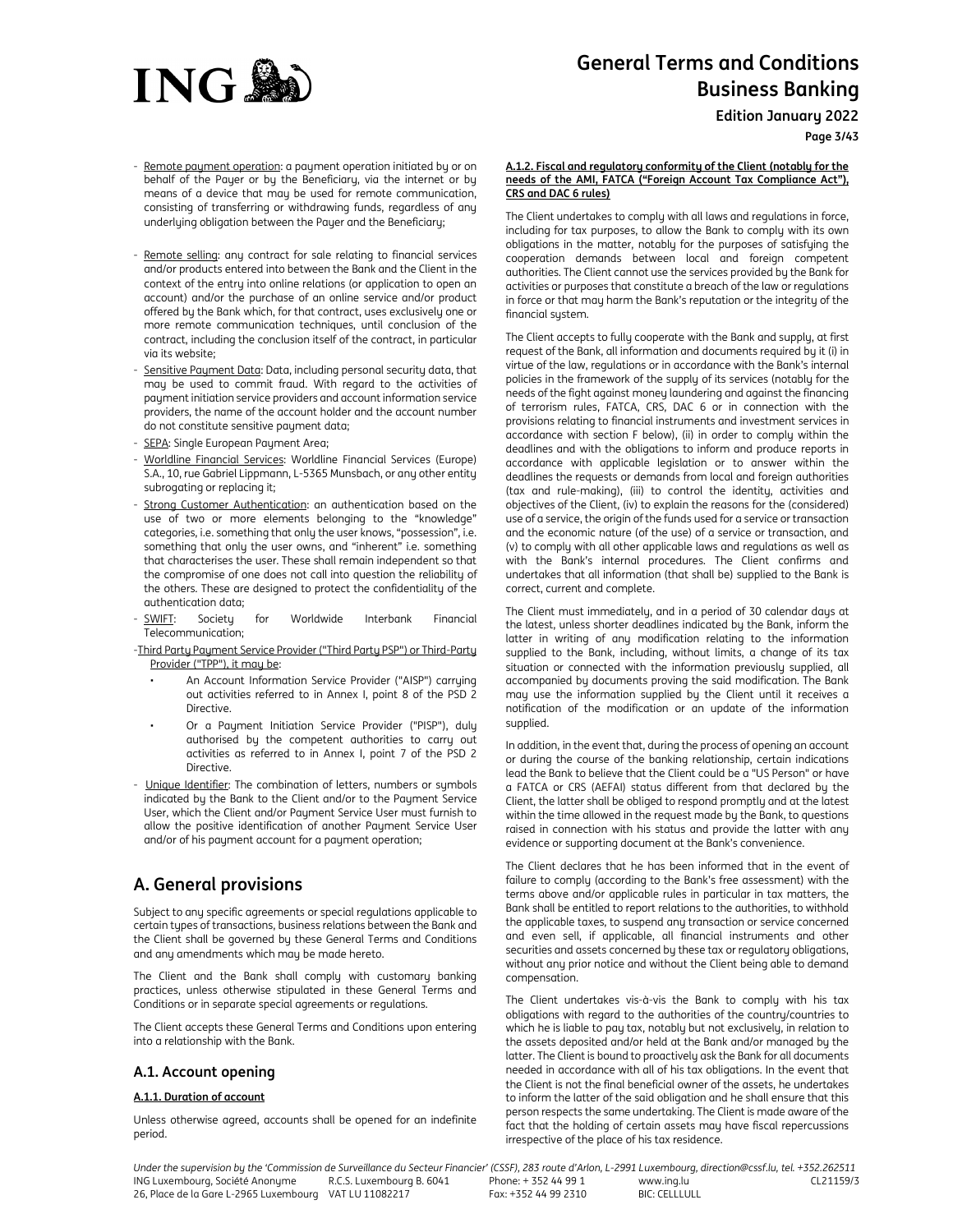

**Edition January 2022**

**Page 3/43**

- Remote payment operation: a payment operation initiated by or on behalf of the Payer or by the Beneficiary, via the internet or by means of a device that may be used for remote communication, consisting of transferring or withdrawing funds, regardless of any underlying obligation between the Payer and the Beneficiary;
- Remote selling: any contract for sale relating to financial services and/or products entered into between the Bank and the Client in the context of the entry into online relations (or application to open an account) and/or the purchase of an online service and/or product offered by the Bank which, for that contract, uses exclusively one or more remote communication techniques, until conclusion of the contract, including the conclusion itself of the contract, in particular via its website;
- Sensitive Payment Data: Data, including personal security data, that may be used to commit fraud. With regard to the activities of payment initiation service providers and account information service providers, the name of the account holder and the account number do not constitute sensitive payment data;
- SEPA: Single European Payment Area;
- Worldline Financial Services: Worldline Financial Services (Europe) S.A., 10, rue Gabriel Lippmann, L-5365 Munsbach, or any other entity subrogating or replacing it;
- Strong Customer Authentication: an authentication based on the use of two or more elements belonging to the "knowledge" categories, i.e. something that only the user knows, "possession", i.e. something that only the user owns, and "inherent" i.e. something that characterises the user. These shall remain independent so that the compromise of one does not call into question the reliability of the others. These are designed to protect the confidentiality of the authentication data;
- SWIFT: Society for Worldwide Interbank Financial Telecommunication;
- -Third Party Payment Service Provider ("Third Party PSP") or Third-Party Provider ("TPP"), it may be:
	- An Account Information Service Provider ("AISP") carrying out activities referred to in Annex I, point 8 of the PSD 2 **Directive**
	- Or a Payment Initiation Service Provider ("PISP"), duly authorised by the competent authorities to carry out activities as referred to in Annex I, point 7 of the PSD 2 Directive.
- Unique Identifier: The combination of letters, numbers or symbols indicated by the Bank to the Client and/or to the Payment Service User, which the Client and/or Payment Service User must furnish to allow the positive identification of another Payment Service User and/or of his payment account for a payment operation;

# **A. General provisions**

Subject to any specific agreements or special regulations applicable to certain types of transactions, business relations between the Bank and the Client shall be governed by these General Terms and Conditions and any amendments which may be made hereto.

The Client and the Bank shall comply with customary banking practices, unless otherwise stipulated in these General Terms and Conditions or in separate special agreements or regulations.

The Client accepts these General Terms and Conditions upon entering into a relationship with the Bank.

# **A.1. Account opening**

# **A.1.1. Duration of account**

Unless otherwise agreed, accounts shall be opened for an indefinite period.

#### **A.1.2. Fiscal and regulatory conformity of the Client (notably for the needs of the AMI, FATCA ("Foreign Account Tax Compliance Act"), CRS and DAC 6 rules)**

The Client undertakes to comply with all laws and regulations in force, including for tax purposes, to allow the Bank to comply with its own obligations in the matter, notably for the purposes of satisfying the cooperation demands between local and foreign competent authorities. The Client cannot use the services provided by the Bank for activities or purposes that constitute a breach of the law or regulations in force or that may harm the Bank's reputation or the integrity of the financial sustem.

The Client accepts to fully cooperate with the Bank and supply, at first request of the Bank, all information and documents required by it (i) in virtue of the law, regulations or in accordance with the Bank's internal policies in the framework of the supply of its services (notably for the needs of the fight against money laundering and against the financing of terrorism rules, FATCA, CRS, DAC 6 or in connection with the provisions relating to financial instruments and investment services in accordance with section F below), (ii) in order to comply within the deadlines and with the obligations to inform and produce reports in accordance with applicable legislation or to answer within the deadlines the requests or demands from local and foreign authorities (tax and rule-making), (iii) to control the identity, activities and objectives of the Client, (iv) to explain the reasons for the (considered) use of a service, the origin of the funds used for a service or transaction and the economic nature (of the use) of a service or transaction, and (v) to comply with all other applicable laws and regulations as well as with the Bank's internal procedures. The Client confirms and undertakes that all information (that shall be) supplied to the Bank is correct, current and complete.

The Client must immediately, and in a period of 30 calendar days at the latest, unless shorter deadlines indicated by the Bank, inform the latter in writing of any modification relating to the information supplied to the Bank, including, without limits, a change of its tax situation or connected with the information previously supplied, all accompanied by documents proving the said modification. The Bank may use the information supplied by the Client until it receives a notification of the modification or an update of the information supplied.

In addition, in the event that, during the process of opening an account or during the course of the banking relationship, certain indications lead the Bank to believe that the Client could be a "US Person" or have a FATCA or CRS (AEFAI) status different from that declared by the Client, the latter shall be obliged to respond promptly and at the latest within the time allowed in the request made by the Bank, to questions raised in connection with his status and provide the latter with any evidence or supporting document at the Bank's convenience.

The Client declares that he has been informed that in the event of failure to comply (according to the Bank's free assessment) with the terms above and/or applicable rules in particular in tax matters, the Bank shall be entitled to report relations to the authorities, to withhold the applicable taxes, to suspend any transaction or service concerned and even sell, if applicable, all financial instruments and other securities and assets concerned by these tax or regulatory obligations, without any prior notice and without the Client being able to demand compensation.

The Client undertakes vis-à-vis the Bank to comply with his tax obligations with regard to the authorities of the country/countries to which he is liable to pay tax, notably but not exclusively, in relation to the assets deposited and/or held at the Bank and/or managed by the latter. The Client is bound to proactively ask the Bank for all documents needed in accordance with all of his tax obligations. In the event that the Client is not the final beneficial owner of the assets, he undertakes to inform the latter of the said obligation and he shall ensure that this person respects the same undertaking. The Client is made aware of the fact that the holding of certain assets may have fiscal repercussions irrespective of the place of his tax residence.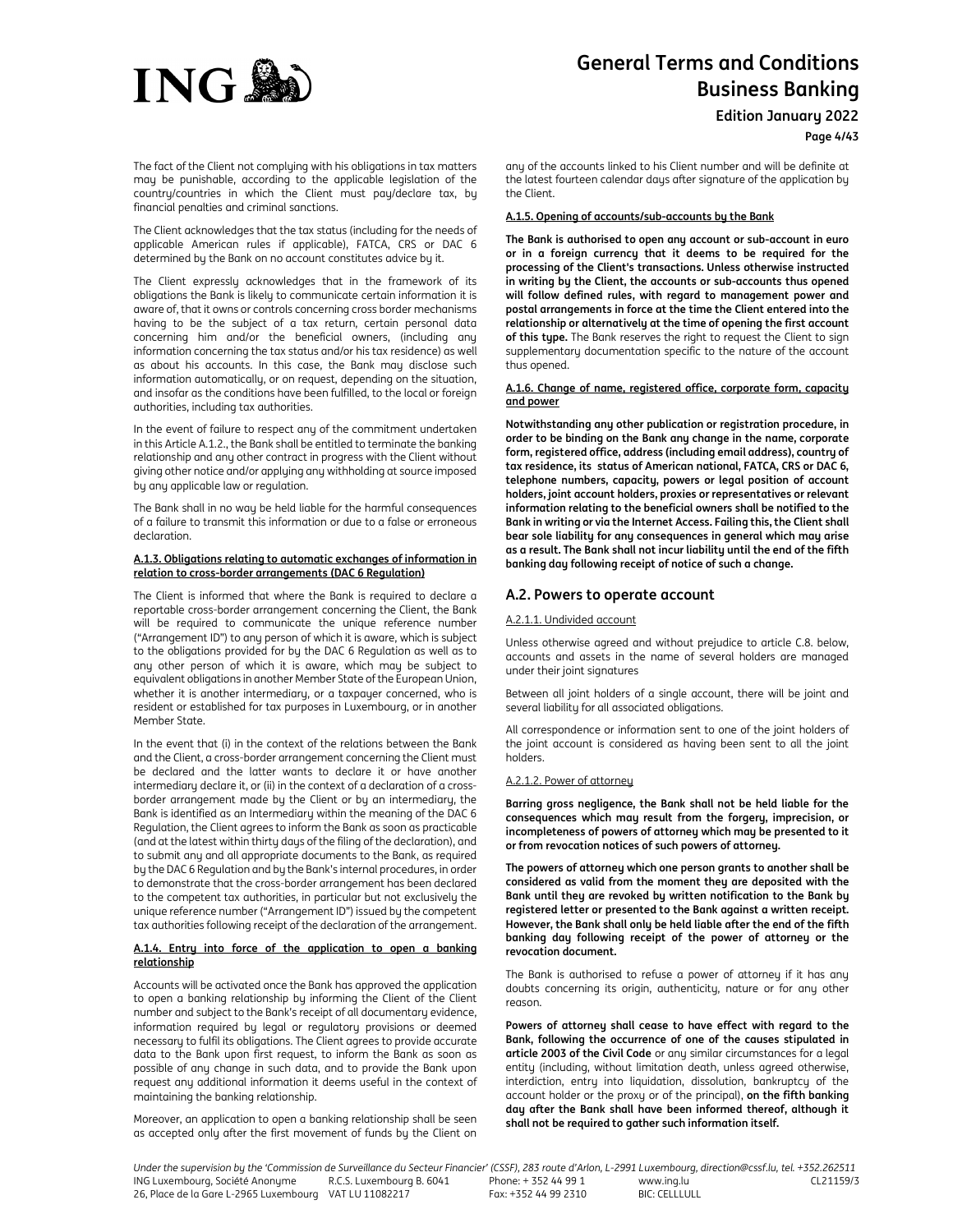

**Edition January 2022**

**Page 4/43**

The fact of the Client not complying with his obligations in tax matters may be punishable, according to the applicable legislation of the country/countries in which the Client must pay/declare tax, by financial penalties and criminal sanctions.

The Client acknowledges that the tax status (including for the needs of applicable American rules if applicable), FATCA, CRS or DAC 6 determined by the Bank on no account constitutes advice by it.

The Client expressly acknowledges that in the framework of its obligations the Bank is likely to communicate certain information it is aware of, that it owns or controls concerning cross border mechanisms having to be the subject of a tax return, certain personal data concerning him and/or the beneficial owners, (including any information concerning the tax status and/or his tax residence) as well as about his accounts. In this case, the Bank may disclose such information automatically, or on request, depending on the situation, and insofar as the conditions have been fulfilled, to the local or foreign authorities, including tax authorities.

In the event of failure to respect any of the commitment undertaken in this Article A.1.2., the Bank shall be entitled to terminate the banking relationship and any other contract in progress with the Client without giving other notice and/or applying any withholding at source imposed by any applicable law or regulation.

The Bank shall in no way be held liable for the harmful consequences of a failure to transmit this information or due to a false or erroneous declaration.

## **A.1.3. Obligations relating to automatic exchanges of information in relation to cross-border arrangements (DAC 6 Regulation)**

The Client is informed that where the Bank is required to declare a reportable cross-border arrangement concerning the Client, the Bank will be required to communicate the unique reference number ("Arrangement ID") to any person of which it is aware, which is subject to the obligations provided for by the DAC 6 Regulation as well as to any other person of which it is aware, which may be subject to equivalent obligations in another Member State of the European Union, whether it is another intermediary, or a taxpayer concerned, who is resident or established for tax purposes in Luxembourg, or in another Member State.

In the event that (i) in the context of the relations between the Bank and the Client, a cross-border arrangement concerning the Client must be declared and the latter wants to declare it or have another intermediary declare it, or (ii) in the context of a declaration of a crossborder arrangement made by the Client or by an intermediary, the Bank is identified as an Intermediary within the meaning of the DAC 6 Regulation, the Client agrees to inform the Bank as soon as practicable (and at the latest within thirty days of the filing of the declaration), and to submit any and all appropriate documents to the Bank, as required by the DAC 6 Regulation and by the Bank's internal procedures, in order to demonstrate that the cross-border arrangement has been declared to the competent tax authorities, in particular but not exclusively the unique reference number ("Arrangement ID") issued by the competent tax authorities following receipt of the declaration of the arrangement.

## **A.1.4. Entry into force of the application to open a banking relationship**

Accounts will be activated once the Bank has approved the application to open a banking relationship by informing the Client of the Client number and subject to the Bank's receipt of all documentary evidence, information required by legal or regulatory provisions or deemed necessary to fulfil its obligations. The Client agrees to provide accurate data to the Bank upon first request, to inform the Bank as soon as possible of any change in such data, and to provide the Bank upon request any additional information it deems useful in the context of maintaining the banking relationship.

Moreover, an application to open a banking relationship shall be seen as accepted only after the first movement of funds by the Client on

any of the accounts linked to his Client number and will be definite at the latest fourteen calendar days after signature of the application by the Client.

## **A.1.5. Opening of accounts/sub-accounts by the Bank**

**The Bank is authorised to open any account or sub-account in euro or in a foreign currency that it deems to be required for the processing of the Client's transactions. Unless otherwise instructed in writing by the Client, the accounts or sub-accounts thus opened will follow defined rules, with regard to management power and postal arrangements in force at the time the Client entered into the relationship or alternatively at the time of opening the first account of this type.** The Bank reserves the right to request the Client to sign supplementary documentation specific to the nature of the account thus opened.

#### **A.1.6. Change of name, registered office, corporate form, capacity and power**

**Notwithstanding any other publication or registration procedure, in order to be binding on the Bank any change in the name, corporate form, registered office, address (including email address), country of tax residence, its status of American national, FATCA, CRS or DAC 6, telephone numbers, capacity, powers or legal position of account holders, joint account holders, proxies or representatives or relevant information relating to the beneficial owners shall be notified to the Bank in writing or via the Internet Access. Failing this, the Client shall bear sole liability for any consequences in general which may arise as a result. The Bank shall not incur liability until the end of the fifth banking day following receipt of notice of such a change.** 

# **A.2. Powers to operate account**

## A.2.1.1. Undivided account

Unless otherwise agreed and without prejudice to article C.8. below, accounts and assets in the name of several holders are managed under their joint signatures

Between all joint holders of a single account, there will be joint and several liability for all associated obligations.

All correspondence or information sent to one of the joint holders of the joint account is considered as having been sent to all the joint holders.

## A.2.1.2. Power of attorney

**Barring gross negligence, the Bank shall not be held liable for the consequences which may result from the forgery, imprecision, or incompleteness of powers of attorney which may be presented to it or from revocation notices of such powers of attorney.** 

**The powers of attorney which one person grants to another shall be considered as valid from the moment they are deposited with the Bank until they are revoked by written notification to the Bank by registered letter or presented to the Bank against a written receipt. However, the Bank shall only be held liable after the end of the fifth banking day following receipt of the power of attorney or the revocation document.** 

The Bank is authorised to refuse a power of attorney if it has any doubts concerning its origin, authenticity, nature or for any other reason.

**Powers of attorney shall cease to have effect with regard to the Bank, following the occurrence of one of the causes stipulated in article 2003 of the Civil Code** or any similar circumstances for a legal entity (including, without limitation death, unless agreed otherwise, interdiction, entry into liquidation, dissolution, bankruptcy of the account holder or the proxy or of the principal), **on the fifth banking day after the Bank shall have been informed thereof, although it shall not be required to gather such information itself.**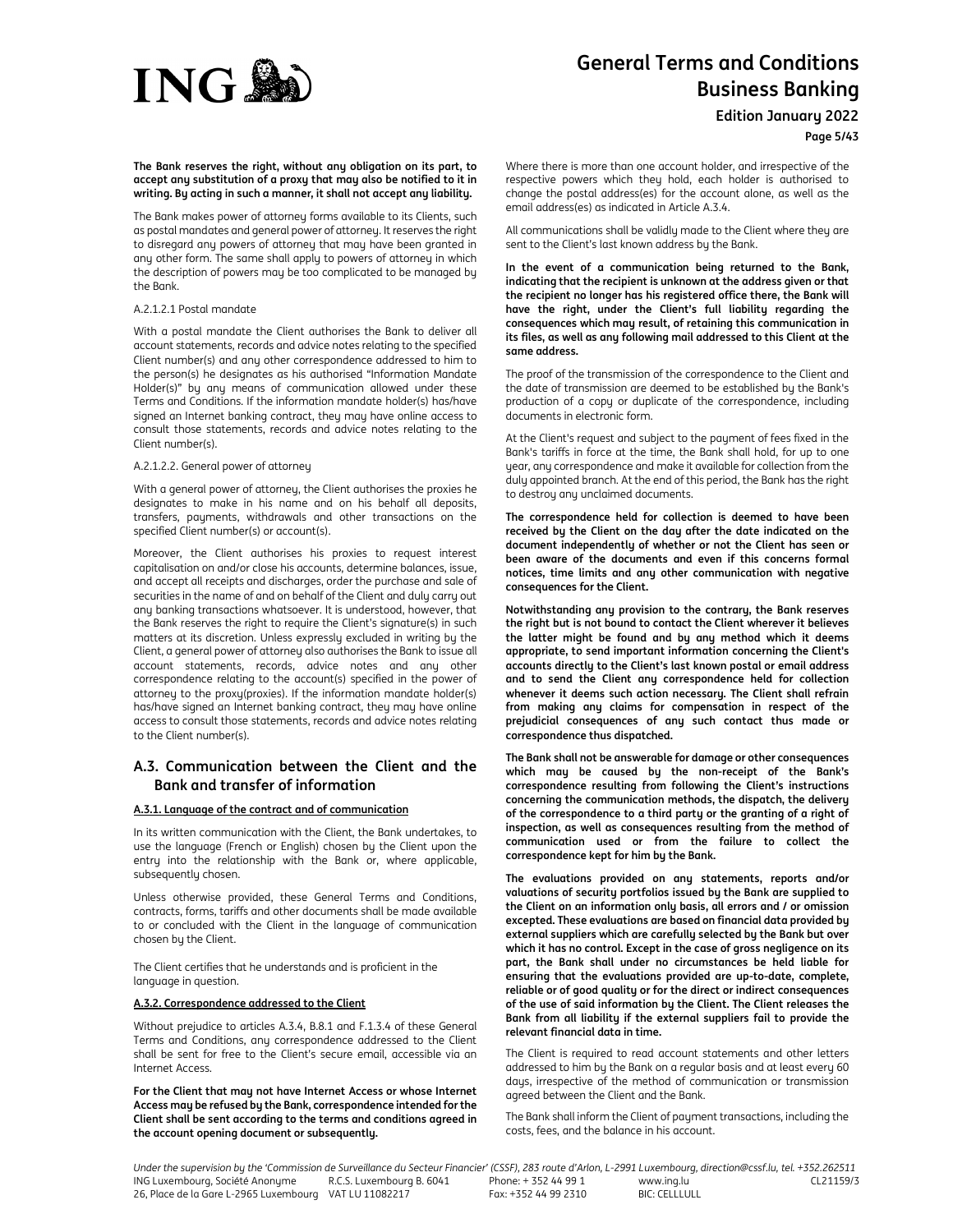

**Edition January 2022**

**Page 5/43**

**The Bank reserves the right, without any obligation on its part, to accept any substitution of a proxy that may also be notified to it in writing. By acting in such a manner, it shall not accept any liability.** 

The Bank makes power of attorney forms available to its Clients, such as postal mandates and general power of attorney. It reserves the right to disregard any powers of attorney that may have been granted in any other form. The same shall apply to powers of attorney in which the description of powers may be too complicated to be managed by the Bank.

#### A.2.1.2.1 Postal mandate

With a postal mandate the Client authorises the Bank to deliver all account statements, records and advice notes relating to the specified Client number(s) and any other correspondence addressed to him to the person(s) he designates as his authorised "Information Mandate Holder(s)" by any means of communication allowed under these Terms and Conditions. If the information mandate holder(s) has/have signed an Internet banking contract, they may have online access to consult those statements, records and advice notes relating to the Client number(s).

#### A.2.1.2.2. General power of attorney

With a general power of attorney, the Client authorises the proxies he designates to make in his name and on his behalf all deposits, transfers, payments, withdrawals and other transactions on the specified Client number(s) or account(s).

Moreover, the Client authorises his proxies to request interest capitalisation on and/or close his accounts, determine balances, issue, and accept all receipts and discharges, order the purchase and sale of securities in the name of and on behalf of the Client and duly carry out any banking transactions whatsoever. It is understood, however, that the Bank reserves the right to require the Client's signature(s) in such matters at its discretion. Unless expressly excluded in writing by the Client, a general power of attorney also authorises the Bank to issue all account statements, records, advice notes and any other correspondence relating to the account(s) specified in the power of attorney to the proxy(proxies). If the information mandate holder(s) has/have signed an Internet banking contract, they may have online access to consult those statements, records and advice notes relating to the Client number(s).

# **A.3. Communication between the Client and the Bank and transfer of information**

## **A.3.1. Language of the contract and of communication**

In its written communication with the Client, the Bank undertakes, to use the language (French or English) chosen by the Client upon the entry into the relationship with the Bank or, where applicable, subsequently chosen.

Unless otherwise provided, these General Terms and Conditions, contracts, forms, tariffs and other documents shall be made available to or concluded with the Client in the language of communication chosen by the Client.

The Client certifies that he understands and is proficient in the language in question.

#### **A.3.2. Correspondence addressed to the Client**

Without prejudice to articles A.3.4, B.8.1 and F.1.3.4 of these General Terms and Conditions, any correspondence addressed to the Client shall be sent for free to the Client's secure email, accessible via an Internet Access.

**For the Client that may not have Internet Access or whose Internet Access may be refused by the Bank, correspondence intended for the Client shall be sent according to the terms and conditions agreed in the account opening document or subsequently.** 

Where there is more than one account holder, and irrespective of the respective powers which they hold, each holder is authorised to change the postal address(es) for the account alone, as well as the email address(es) as indicated in Article A.3.4.

All communications shall be validly made to the Client where they are sent to the Client's last known address by the Bank.

**In the event of a communication being returned to the Bank, indicating that the recipient is unknown at the address given or that the recipient no longer has his registered office there, the Bank will have the right, under the Client's full liability regarding the consequences which may result, of retaining this communication in its files, as well as any following mail addressed to this Client at the same address.** 

The proof of the transmission of the correspondence to the Client and the date of transmission are deemed to be established by the Bank's production of a copy or duplicate of the correspondence, including documents in electronic form.

At the Client's request and subject to the payment of fees fixed in the Bank's tariffs in force at the time, the Bank shall hold, for up to one year, any correspondence and make it available for collection from the duly appointed branch. At the end of this period, the Bank has the right to destroy any unclaimed documents.

**The correspondence held for collection is deemed to have been received by the Client on the day after the date indicated on the document independently of whether or not the Client has seen or been aware of the documents and even if this concerns formal notices, time limits and any other communication with negative consequences for the Client.** 

**Notwithstanding any provision to the contrary, the Bank reserves the right but is not bound to contact the Client wherever it believes the latter might be found and by any method which it deems appropriate, to send important information concerning the Client's accounts directly to the Client's last known postal or email address and to send the Client any correspondence held for collection whenever it deems such action necessary. The Client shall refrain from making any claims for compensation in respect of the prejudicial consequences of any such contact thus made or correspondence thus dispatched.** 

**The Bank shall not be answerable for damage or other consequences which may be caused by the non-receipt of the Bank's correspondence resulting from following the Client's instructions concerning the communication methods, the dispatch, the delivery of the correspondence to a third party or the granting of a right of inspection, as well as consequences resulting from the method of communication used or from the failure to collect the correspondence kept for him by the Bank.** 

**The evaluations provided on any statements, reports and/or valuations of security portfolios issued by the Bank are supplied to the Client on an information only basis, all errors and / or omission excepted. These evaluations are based on financial data provided by external suppliers which are carefully selected by the Bank but over which it has no control. Except in the case of gross negligence on its part, the Bank shall under no circumstances be held liable for ensuring that the evaluations provided are up-to-date, complete, reliable or of good quality or for the direct or indirect consequences of the use of said information by the Client. The Client releases the Bank from all liability if the external suppliers fail to provide the relevant financial data in time.** 

The Client is required to read account statements and other letters addressed to him by the Bank on a regular basis and at least every 60 days, irrespective of the method of communication or transmission agreed between the Client and the Bank.

The Bank shall inform the Client of payment transactions, including the costs, fees, and the balance in his account.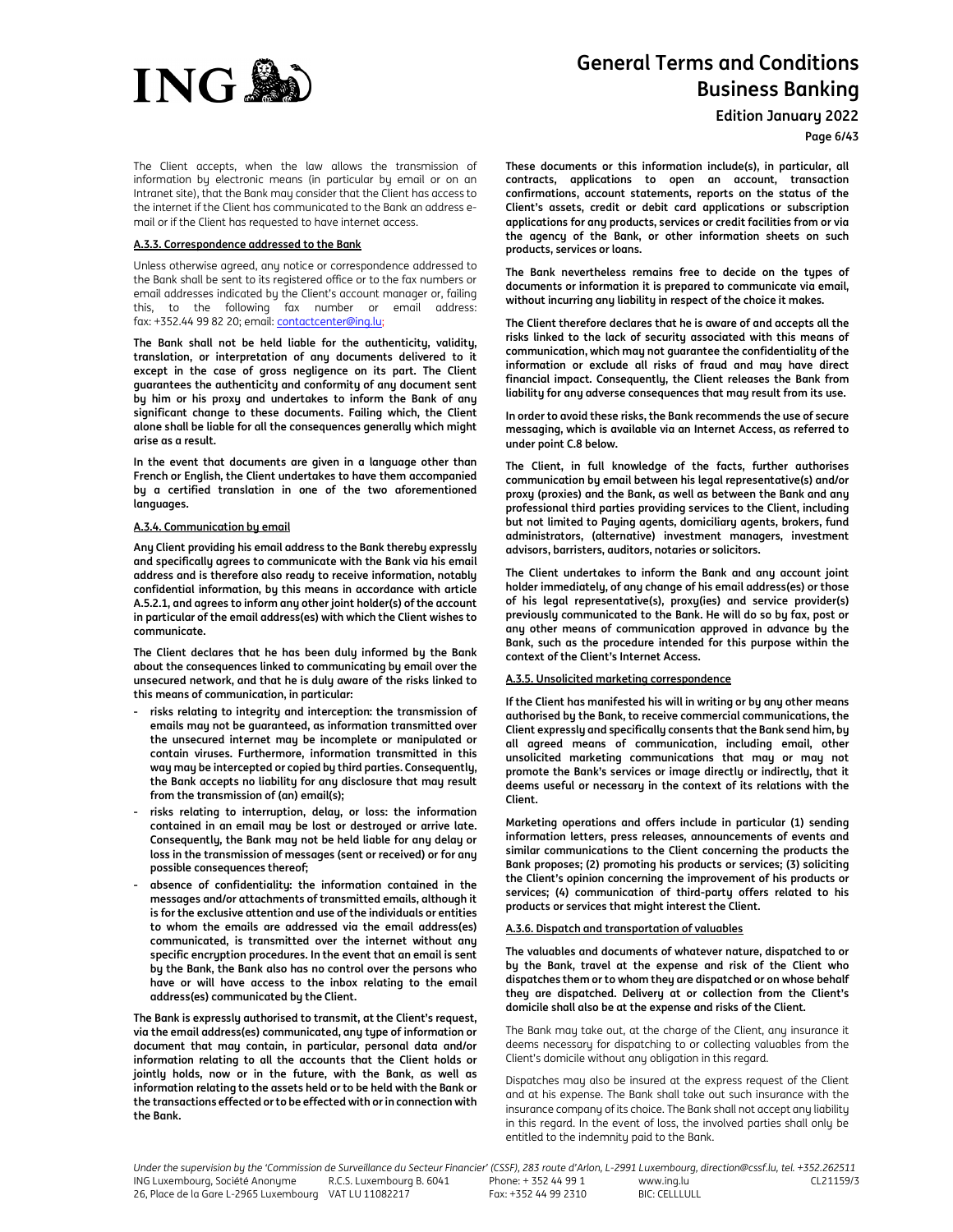

**Edition January 2022**

**Page 6/43**

The Client accepts, when the law allows the transmission of information by electronic means (in particular by email or on an Intranet site), that the Bank may consider that the Client has access to the internet if the Client has communicated to the Bank an address email or if the Client has requested to have internet access.

#### **A.3.3. Correspondence addressed to the Bank**

Unless otherwise agreed, any notice or correspondence addressed to the Bank shall be sent to its registered office or to the fax numbers or email addresses indicated by the Client's account manager or, failing this, to the following fax number or email address: fax: +352.44 99 82 20; email: *contactcenter@ing.lu;* 

**The Bank shall not be held liable for the authenticity, validity, translation, or interpretation of any documents delivered to it except in the case of gross negligence on its part. The Client guarantees the authenticity and conformity of any document sent by him or his proxy and undertakes to inform the Bank of any significant change to these documents. Failing which, the Client alone shall be liable for all the consequences generally which might arise as a result.** 

**In the event that documents are given in a language other than French or English, the Client undertakes to have them accompanied by a certified translation in one of the two aforementioned languages.** 

#### **A.3.4. Communication by email**

**Any Client providing his email address to the Bank thereby expressly and specifically agrees to communicate with the Bank via his email address and is therefore also ready to receive information, notably confidential information, by this means in accordance with article A.5.2.1, and agrees to inform any other joint holder(s) of the account in particular of the email address(es) with which the Client wishes to communicate.** 

**The Client declares that he has been duly informed by the Bank about the consequences linked to communicating by email over the unsecured network, and that he is duly aware of the risks linked to this means of communication, in particular:** 

- **- risks relating to integrity and interception: the transmission of emails may not be guaranteed, as information transmitted over the unsecured internet may be incomplete or manipulated or contain viruses. Furthermore, information transmitted in this way may be intercepted or copied by third parties. Consequently, the Bank accepts no liability for any disclosure that may result from the transmission of (an) email(s);**
- **- risks relating to interruption, delay, or loss: the information contained in an email may be lost or destroyed or arrive late. Consequently, the Bank may not be held liable for any delay or loss in the transmission of messages (sent or received) or for any possible consequences thereof;**
- **- absence of confidentiality: the information contained in the messages and/or attachments of transmitted emails, although it is for the exclusive attention and use of the individuals or entities to whom the emails are addressed via the email address(es) communicated, is transmitted over the internet without any specific encryption procedures. In the event that an email is sent by the Bank, the Bank also has no control over the persons who have or will have access to the inbox relating to the email address(es) communicated by the Client.**

**The Bank is expressly authorised to transmit, at the Client's request, via the email address(es) communicated, any type of information or document that may contain, in particular, personal data and/or information relating to all the accounts that the Client holds or jointly holds, now or in the future, with the Bank, as well as information relating to the assets held or to be held with the Bank or the transactions effected or to be effected with or in connection with the Bank.** 

**These documents or this information include(s), in particular, all contracts, applications to open an account, transaction confirmations, account statements, reports on the status of the Client's assets, credit or debit card applications or subscription applications for any products, services or credit facilities from or via the agency of the Bank, or other information sheets on such products, services or loans.** 

**The Bank nevertheless remains free to decide on the types of documents or information it is prepared to communicate via email, without incurring any liability in respect of the choice it makes.** 

**The Client therefore declares that he is aware of and accepts all the risks linked to the lack of security associated with this means of communication, which may not guarantee the confidentiality of the information or exclude all risks of fraud and may have direct financial impact. Consequently, the Client releases the Bank from liability for any adverse consequences that may result from its use.** 

**In order to avoid these risks, the Bank recommends the use of secure messaging, which is available via an Internet Access, as referred to under point C.8 below.** 

**The Client, in full knowledge of the facts, further authorises communication by email between his legal representative(s) and/or proxy (proxies) and the Bank, as well as between the Bank and any professional third parties providing services to the Client, including but not limited to Paying agents, domiciliary agents, brokers, fund administrators, (alternative) investment managers, investment advisors, barristers, auditors, notaries or solicitors.** 

**The Client undertakes to inform the Bank and any account joint holder immediately, of any change of his email address(es) or those of his legal representative(s), proxy(ies) and service provider(s) previously communicated to the Bank. He will do so by fax, post or any other means of communication approved in advance by the Bank, such as the procedure intended for this purpose within the context of the Client's Internet Access.** 

#### **A.3.5. Unsolicited marketing correspondence**

**If the Client has manifested his will in writing or by any other means authorised by the Bank, to receive commercial communications, the Client expressly and specifically consents that the Bank send him, by all agreed means of communication, including email, other unsolicited marketing communications that may or may not promote the Bank's services or image directly or indirectly, that it deems useful or necessary in the context of its relations with the Client.** 

**Marketing operations and offers include in particular (1) sending information letters, press releases, announcements of events and similar communications to the Client concerning the products the Bank proposes; (2) promoting his products or services; (3) soliciting the Client's opinion concerning the improvement of his products or services; (4) communication of third-party offers related to his products or services that might interest the Client.** 

#### **A.3.6. Dispatch and transportation of valuables**

**The valuables and documents of whatever nature, dispatched to or by the Bank, travel at the expense and risk of the Client who dispatches them or to whom they are dispatched or on whose behalf they are dispatched. Delivery at or collection from the Client's domicile shall also be at the expense and risks of the Client.** 

The Bank may take out, at the charge of the Client, any insurance it deems necessary for dispatching to or collecting valuables from the Client's domicile without any obligation in this regard.

Dispatches may also be insured at the express request of the Client and at his expense. The Bank shall take out such insurance with the insurance company of its choice. The Bank shall not accept any liability in this regard. In the event of loss, the involved parties shall only be entitled to the indemnity paid to the Bank.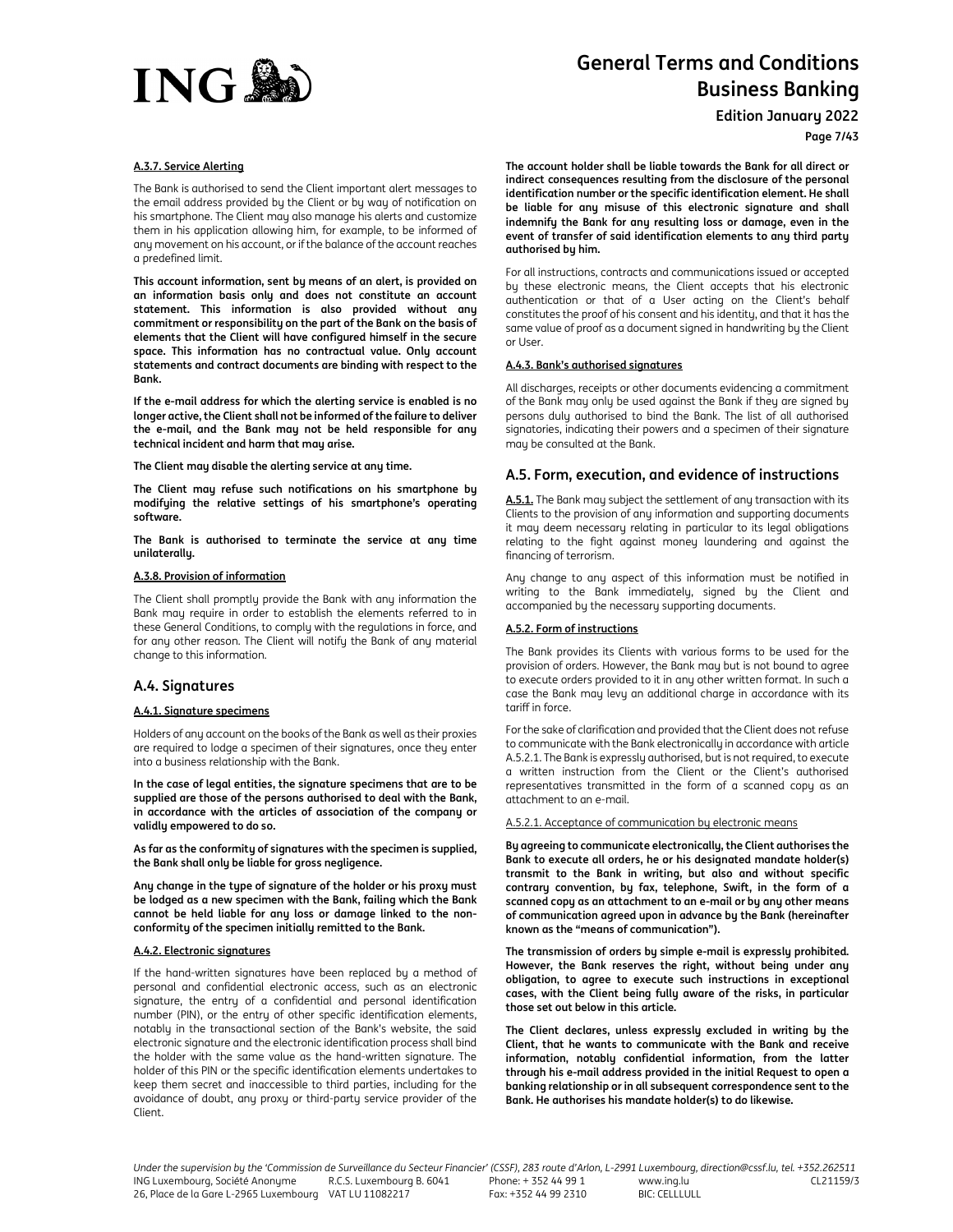

**Edition January 2022**

**Page 7/43**

#### **A.3.7. Service Alerting**

The Bank is authorised to send the Client important alert messages to the email address provided by the Client or by way of notification on his smartphone. The Client may also manage his alerts and customize them in his application allowing him, for example, to be informed of any movement on his account, or if the balance of the account reaches a predefined limit.

**This account information, sent by means of an alert, is provided on an information basis only and does not constitute an account statement. This information is also provided without any commitment or responsibility on the part of the Bank on the basis of elements that the Client will have configured himself in the secure space. This information has no contractual value. Only account statements and contract documents are binding with respect to the Bank.** 

**If the e-mail address for which the alerting service is enabled is no longer active, the Client shall not be informed of the failure to deliver the e-mail, and the Bank may not be held responsible for any technical incident and harm that may arise.** 

**The Client may disable the alerting service at any time.** 

**The Client may refuse such notifications on his smartphone by modifying the relative settings of his smartphone's operating software.** 

**The Bank is authorised to terminate the service at any time unilaterally.** 

#### **A.3.8. Provision of information**

The Client shall promptly provide the Bank with any information the Bank may require in order to establish the elements referred to in these General Conditions, to comply with the regulations in force, and for any other reason. The Client will notify the Bank of any material change to this information.

# **A.4. Signatures**

## **A.4.1. Signature specimens**

Holders of any account on the books of the Bank as well as their proxies are required to lodge a specimen of their signatures, once they enter into a business relationship with the Bank.

**In the case of legal entities, the signature specimens that are to be supplied are those of the persons authorised to deal with the Bank, in accordance with the articles of association of the company or validly empowered to do so.** 

**As far as the conformity of signatures with the specimen is supplied, the Bank shall only be liable for gross negligence.**

**Any change in the type of signature of the holder or his proxy must be lodged as a new specimen with the Bank, failing which the Bank cannot be held liable for any loss or damage linked to the nonconformity of the specimen initially remitted to the Bank.** 

## **A.4.2. Electronic signatures**

If the hand-written signatures have been replaced by a method of personal and confidential electronic access, such as an electronic signature, the entry of a confidential and personal identification number (PIN), or the entry of other specific identification elements, notably in the transactional section of the Bank's website, the said electronic signature and the electronic identification process shall bind the holder with the same value as the hand-written signature. The holder of this PIN or the specific identification elements undertakes to keep them secret and inaccessible to third parties, including for the avoidance of doubt, any proxy or third-party service provider of the Client.

**The account holder shall be liable towards the Bank for all direct or indirect consequences resulting from the disclosure of the personal identification number or the specific identification element. He shall be liable for any misuse of this electronic signature and shall indemnify the Bank for any resulting loss or damage, even in the event of transfer of said identification elements to any third party authorised by him.** 

For all instructions, contracts and communications issued or accepted by these electronic means, the Client accepts that his electronic authentication or that of a User acting on the Client's behalf constitutes the proof of his consent and his identity, and that it has the same value of proof as a document signed in handwriting by the Client or User.

## **A.4.3. Bank's authorised signatures**

All discharges, receipts or other documents evidencing a commitment of the Bank may only be used against the Bank if they are signed by persons duly authorised to bind the Bank. The list of all authorised signatories, indicating their powers and a specimen of their signature may be consulted at the Bank.

# **A.5. Form, execution, and evidence of instructions**

**A.5.1.** The Bank may subject the settlement of any transaction with its Clients to the provision of any information and supporting documents it may deem necessary relating in particular to its legal obligations relating to the fight against money laundering and against the financing of terrorism.

Any change to any aspect of this information must be notified in writing to the Bank immediately, signed by the Client and accompanied by the necessary supporting documents.

## **A.5.2. Form of instructions**

The Bank provides its Clients with various forms to be used for the provision of orders. However, the Bank may but is not bound to agree to execute orders provided to it in any other written format. In such a case the Bank may levy an additional charge in accordance with its tariff in force.

For the sake of clarification and provided that the Client does not refuse to communicate with the Bank electronically in accordance with article A.5.2.1. The Bank is expressly authorised, but is not required, to execute a written instruction from the Client or the Client's authorised representatives transmitted in the form of a scanned copy as an attachment to an e-mail.

#### A.5.2.1. Acceptance of communication by electronic means

**By agreeing to communicate electronically, the Client authorises the Bank to execute all orders, he or his designated mandate holder(s) transmit to the Bank in writing, but also and without specific contrary convention, by fax, telephone, Swift, in the form of a scanned copy as an attachment to an e-mail or by any other means of communication agreed upon in advance by the Bank (hereinafter known as the "means of communication").** 

**The transmission of orders by simple e-mail is expressly prohibited. However, the Bank reserves the right, without being under any obligation, to agree to execute such instructions in exceptional cases, with the Client being fully aware of the risks, in particular those set out below in this article.** 

**The Client declares, unless expressly excluded in writing by the Client, that he wants to communicate with the Bank and receive information, notably confidential information, from the latter through his e-mail address provided in the initial Request to open a banking relationship or in all subsequent correspondence sent to the Bank. He authorises his mandate holder(s) to do likewise.**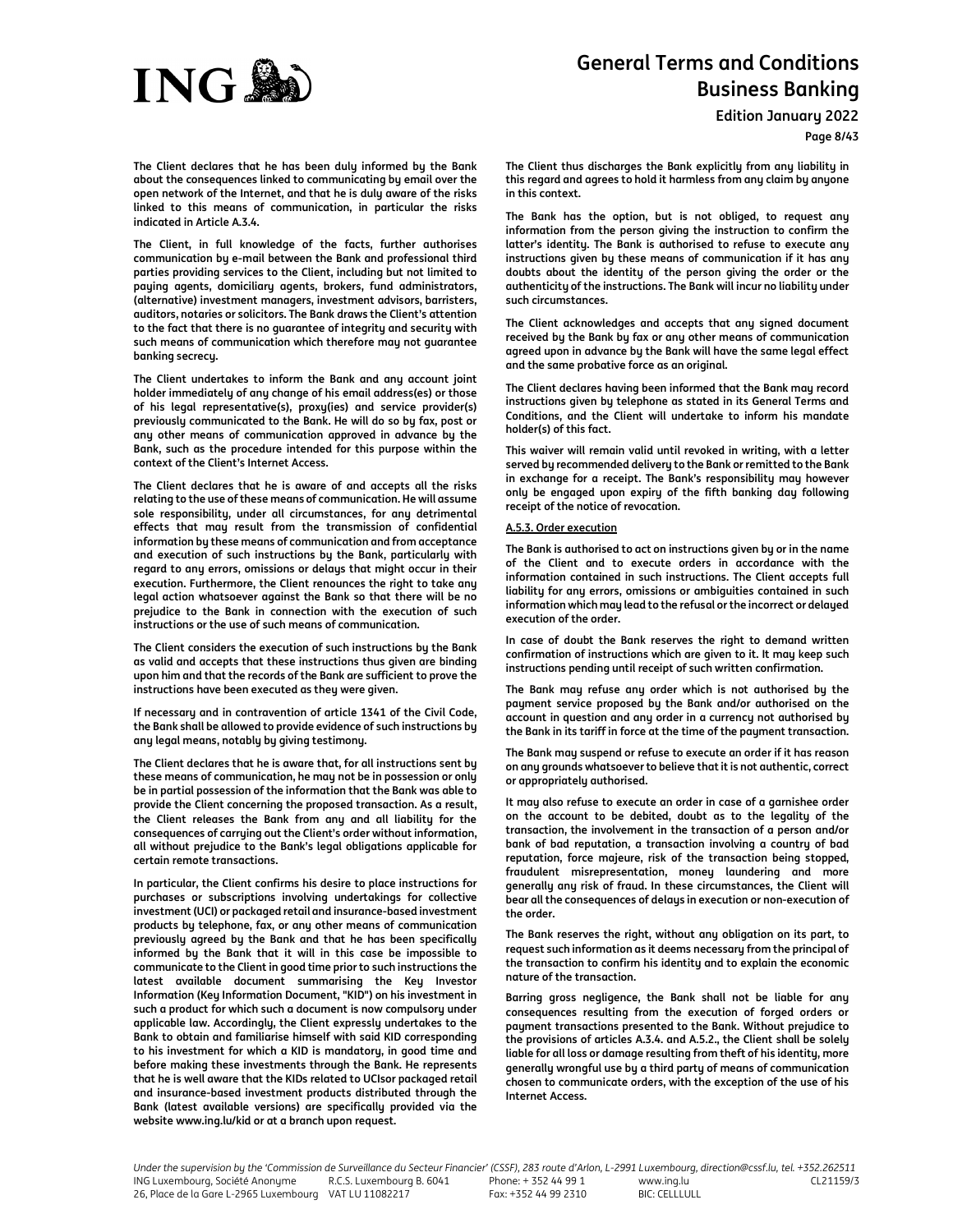

**Edition January 2022**

**Page 8/43**

**The Client declares that he has been duly informed by the Bank about the consequences linked to communicating by email over the open network of the Internet, and that he is duly aware of the risks linked to this means of communication, in particular the risks indicated in Article A.3.4.** 

**The Client, in full knowledge of the facts, further authorises communication by e-mail between the Bank and professional third parties providing services to the Client, including but not limited to paying agents, domiciliary agents, brokers, fund administrators, (alternative) investment managers, investment advisors, barristers, auditors, notaries or solicitors. The Bank draws the Client's attention to the fact that there is no guarantee of integrity and security with such means of communication which therefore may not guarantee banking secrecy.** 

**The Client undertakes to inform the Bank and any account joint holder immediately of any change of his email address(es) or those of his legal representative(s), proxy(ies) and service provider(s) previously communicated to the Bank. He will do so by fax, post or any other means of communication approved in advance by the Bank, such as the procedure intended for this purpose within the context of the Client's Internet Access.** 

**The Client declares that he is aware of and accepts all the risks relating to the use of these means of communication. He will assume sole responsibility, under all circumstances, for any detrimental effects that may result from the transmission of confidential information by these means of communication and from acceptance and execution of such instructions by the Bank, particularly with regard to any errors, omissions or delays that might occur in their execution. Furthermore, the Client renounces the right to take any legal action whatsoever against the Bank so that there will be no prejudice to the Bank in connection with the execution of such instructions or the use of such means of communication.** 

**The Client considers the execution of such instructions by the Bank as valid and accepts that these instructions thus given are binding upon him and that the records of the Bank are sufficient to prove the instructions have been executed as they were given.**

**If necessary and in contravention of article 1341 of the Civil Code, the Bank shall be allowed to provide evidence of such instructions by any legal means, notably by giving testimony.** 

**The Client declares that he is aware that, for all instructions sent by these means of communication, he may not be in possession or only be in partial possession of the information that the Bank was able to provide the Client concerning the proposed transaction. As a result, the Client releases the Bank from any and all liability for the consequences of carrying out the Client's order without information, all without prejudice to the Bank's legal obligations applicable for certain remote transactions.** 

**In particular, the Client confirms his desire to place instructions for purchases or subscriptions involving undertakings for collective investment (UCI) or packaged retail and insurance-based investment products by telephone, fax, or any other means of communication previously agreed by the Bank and that he has been specifically informed by the Bank that it will in this case be impossible to communicate to the Client in good time prior to such instructions the latest available document summarising the Key Investor Information (Key Information Document, "KID") on his investment in such a product for which such a document is now compulsory under applicable law. Accordingly, the Client expressly undertakes to the Bank to obtain and familiarise himself with said KID corresponding to his investment for which a KID is mandatory, in good time and before making these investments through the Bank. He represents that he is well aware that the KIDs related to UCIsor packaged retail and insurance-based investment products distributed through the Bank (latest available versions) are specifically provided via the website www.ing.lu/kid or at a branch upon request.** 

**The Client thus discharges the Bank explicitly from any liability in this regard and agrees to hold it harmless from any claim by anyone in this context.** 

**The Bank has the option, but is not obliged, to request any information from the person giving the instruction to confirm the latter's identity. The Bank is authorised to refuse to execute any instructions given by these means of communication if it has any doubts about the identity of the person giving the order or the authenticity of the instructions. The Bank will incur no liability under such circumstances.** 

**The Client acknowledges and accepts that any signed document received by the Bank by fax or any other means of communication agreed upon in advance by the Bank will have the same legal effect and the same probative force as an original.** 

**The Client declares having been informed that the Bank may record instructions given by telephone as stated in its General Terms and Conditions, and the Client will undertake to inform his mandate holder(s) of this fact.** 

**This waiver will remain valid until revoked in writing, with a letter served by recommended delivery to the Bank or remitted to the Bank in exchange for a receipt. The Bank's responsibility may however only be engaged upon expiry of the fifth banking day following receipt of the notice of revocation.** 

#### **A.5.3. Order execution**

**The Bank is authorised to act on instructions given by or in the name of the Client and to execute orders in accordance with the information contained in such instructions. The Client accepts full liability for any errors, omissions or ambiguities contained in such information which may lead to the refusal or the incorrect or delayed execution of the order.** 

**In case of doubt the Bank reserves the right to demand written confirmation of instructions which are given to it. It may keep such instructions pending until receipt of such written confirmation.** 

**The Bank may refuse any order which is not authorised by the payment service proposed by the Bank and/or authorised on the account in question and any order in a currency not authorised by the Bank in its tariff in force at the time of the payment transaction.** 

**The Bank may suspend or refuse to execute an order if it has reason on any grounds whatsoever to believe that it is not authentic, correct or appropriately authorised.** 

**It may also refuse to execute an order in case of a garnishee order on the account to be debited, doubt as to the legality of the transaction, the involvement in the transaction of a person and/or bank of bad reputation, a transaction involving a country of bad reputation, force majeure, risk of the transaction being stopped, fraudulent misrepresentation, money laundering and more generally any risk of fraud. In these circumstances, the Client will bear all the consequences of delays in execution or non-execution of the order.** 

**The Bank reserves the right, without any obligation on its part, to request such information as it deems necessary from the principal of the transaction to confirm his identity and to explain the economic nature of the transaction.** 

**Barring gross negligence, the Bank shall not be liable for any consequences resulting from the execution of forged orders or payment transactions presented to the Bank. Without prejudice to the provisions of articles A.3.4. and A.5.2., the Client shall be solely liable for all loss or damage resulting from theft of his identity, more generally wrongful use by a third party of means of communication chosen to communicate orders, with the exception of the use of his Internet Access.**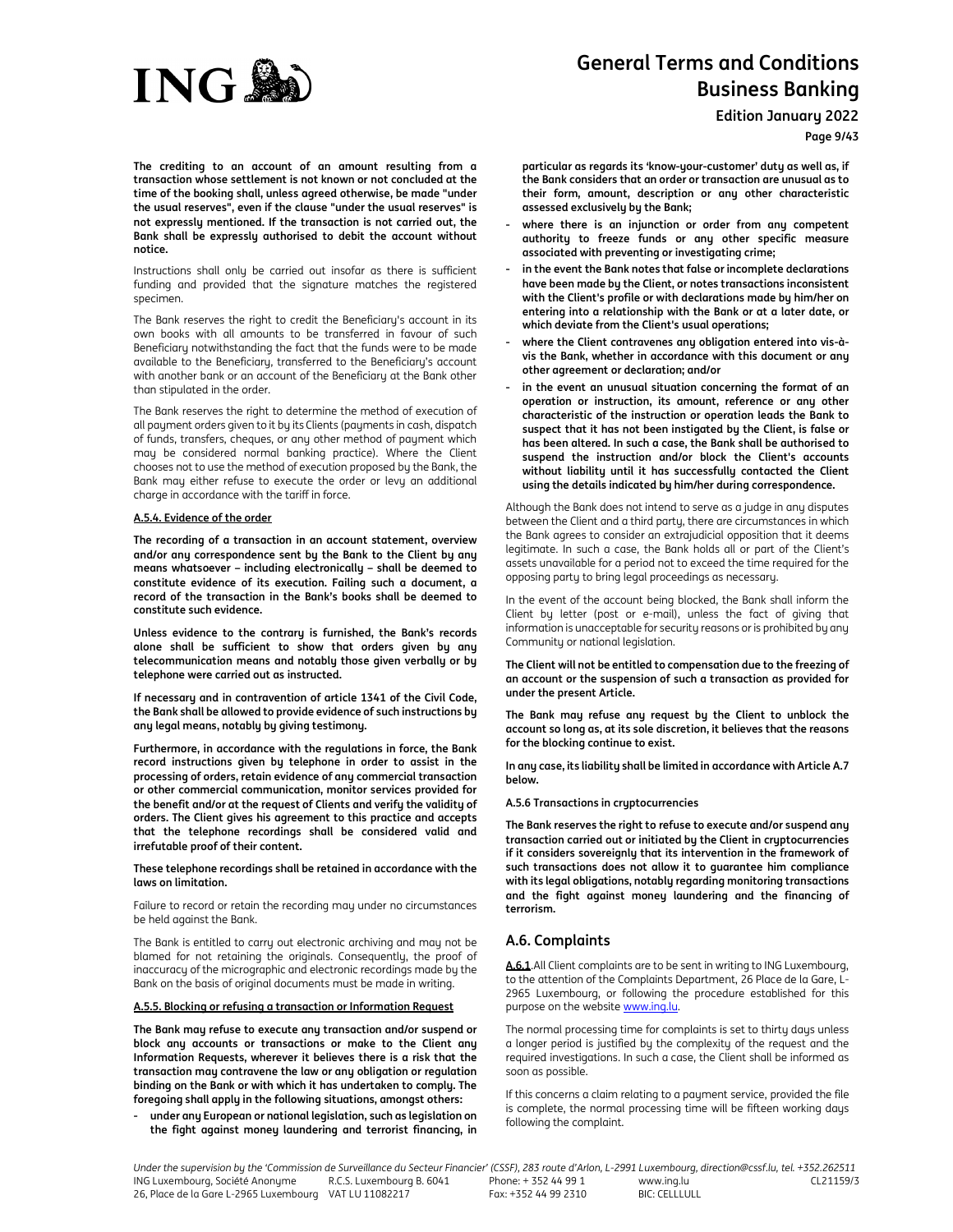

**Edition January 2022**

**Page 9/43**

**The crediting to an account of an amount resulting from a transaction whose settlement is not known or not concluded at the time of the booking shall, unless agreed otherwise, be made "under the usual reserves", even if the clause "under the usual reserves" is not expressly mentioned. If the transaction is not carried out, the Bank shall be expressly authorised to debit the account without notice.** 

Instructions shall only be carried out insofar as there is sufficient funding and provided that the signature matches the registered specimen.

The Bank reserves the right to credit the Beneficiary's account in its own books with all amounts to be transferred in favour of such Beneficiary notwithstanding the fact that the funds were to be made available to the Beneficiary, transferred to the Beneficiary's account with another bank or an account of the Beneficiary at the Bank other than stipulated in the order.

The Bank reserves the right to determine the method of execution of all payment orders given to it by its Clients (payments in cash, dispatch of funds, transfers, cheques, or any other method of payment which may be considered normal banking practice). Where the Client chooses not to use the method of execution proposed by the Bank, the Bank may either refuse to execute the order or levy an additional charge in accordance with the tariff in force.

## **A.5.4. Evidence of the order**

**The recording of a transaction in an account statement, overview and/or any correspondence sent by the Bank to the Client by any means whatsoever – including electronically – shall be deemed to constitute evidence of its execution. Failing such a document, a record of the transaction in the Bank's books shall be deemed to constitute such evidence.** 

**Unless evidence to the contrary is furnished, the Bank's records alone shall be sufficient to show that orders given by any telecommunication means and notably those given verbally or by telephone were carried out as instructed.** 

**If necessary and in contravention of article 1341 of the Civil Code, the Bank shall be allowed to provide evidence of such instructions by any legal means, notably by giving testimony.** 

**Furthermore, in accordance with the regulations in force, the Bank record instructions given by telephone in order to assist in the processing of orders, retain evidence of any commercial transaction or other commercial communication, monitor services provided for the benefit and/or at the request of Clients and verify the validity of orders. The Client gives his agreement to this practice and accepts that the telephone recordings shall be considered valid and irrefutable proof of their content.** 

**These telephone recordings shall be retained in accordance with the laws on limitation.** 

Failure to record or retain the recording may under no circumstances be held against the Bank.

The Bank is entitled to carry out electronic archiving and may not be blamed for not retaining the originals. Consequently, the proof of inaccuracy of the micrographic and electronic recordings made by the Bank on the basis of original documents must be made in writing.

## **A.5.5. Blocking or refusing a transaction or Information Request**

**The Bank may refuse to execute any transaction and/or suspend or block any accounts or transactions or make to the Client any Information Requests, wherever it believes there is a risk that the transaction may contravene the law or any obligation or regulation binding on the Bank or with which it has undertaken to comply. The foregoing shall apply in the following situations, amongst others:** 

**- under any European or national legislation, such as legislation on the fight against money laundering and terrorist financing, in**  **particular as regards its 'know-your-customer' duty as well as, if the Bank considers that an order or transaction are unusual as to their form, amount, description or any other characteristic assessed exclusively by the Bank;** 

- **- where there is an injunction or order from any competent authority to freeze funds or any other specific measure associated with preventing or investigating crime;**
- **- in the event the Bank notes that false or incomplete declarations have been made by the Client, or notes transactions inconsistent with the Client's profile or with declarations made by him/her on entering into a relationship with the Bank or at a later date, or which deviate from the Client's usual operations;**
- **- where the Client contravenes any obligation entered into vis-àvis the Bank, whether in accordance with this document or any other agreement or declaration; and/or**
- **- in the event an unusual situation concerning the format of an operation or instruction, its amount, reference or any other characteristic of the instruction or operation leads the Bank to suspect that it has not been instigated by the Client, is false or has been altered. In such a case, the Bank shall be authorised to suspend the instruction and/or block the Client's accounts without liability until it has successfully contacted the Client using the details indicated by him/her during correspondence.**

Although the Bank does not intend to serve as a judge in any disputes between the Client and a third party, there are circumstances in which the Bank agrees to consider an extrajudicial opposition that it deems legitimate. In such a case, the Bank holds all or part of the Client's assets unavailable for a period not to exceed the time required for the opposing party to bring legal proceedings as necessary.

In the event of the account being blocked, the Bank shall inform the Client by letter (post or e-mail), unless the fact of giving that information is unacceptable for security reasons or is prohibited by any Community or national legislation.

**The Client will not be entitled to compensation due to the freezing of an account or the suspension of such a transaction as provided for under the present Article.** 

**The Bank may refuse any request by the Client to unblock the account so long as, at its sole discretion, it believes that the reasons for the blocking continue to exist.** 

**In any case, its liability shall be limited in accordance with Article A.7 below.** 

**A.5.6 Transactions in cryptocurrencies** 

**The Bank reserves the right to refuse to execute and/or suspend any transaction carried out or initiated by the Client in cryptocurrencies if it considers sovereignly that its intervention in the framework of such transactions does not allow it to guarantee him compliance with its legal obligations, notably regarding monitoring transactions and the fight against money laundering and the financing of terrorism.** 

# **A.6. Complaints**

**A.6.1**.All Client complaints are to be sent in writing to ING Luxembourg, to the attention of the Complaints Department, 26 Place de la Gare, L-2965 Luxembourg, or following the procedure established for this purpose on the website www.ing.lu.

The normal processing time for complaints is set to thirty days unless a longer period is justified by the complexity of the request and the required investigations. In such a case, the Client shall be informed as soon as possible.

If this concerns a claim relating to a payment service, provided the file is complete, the normal processing time will be fifteen working days following the complaint.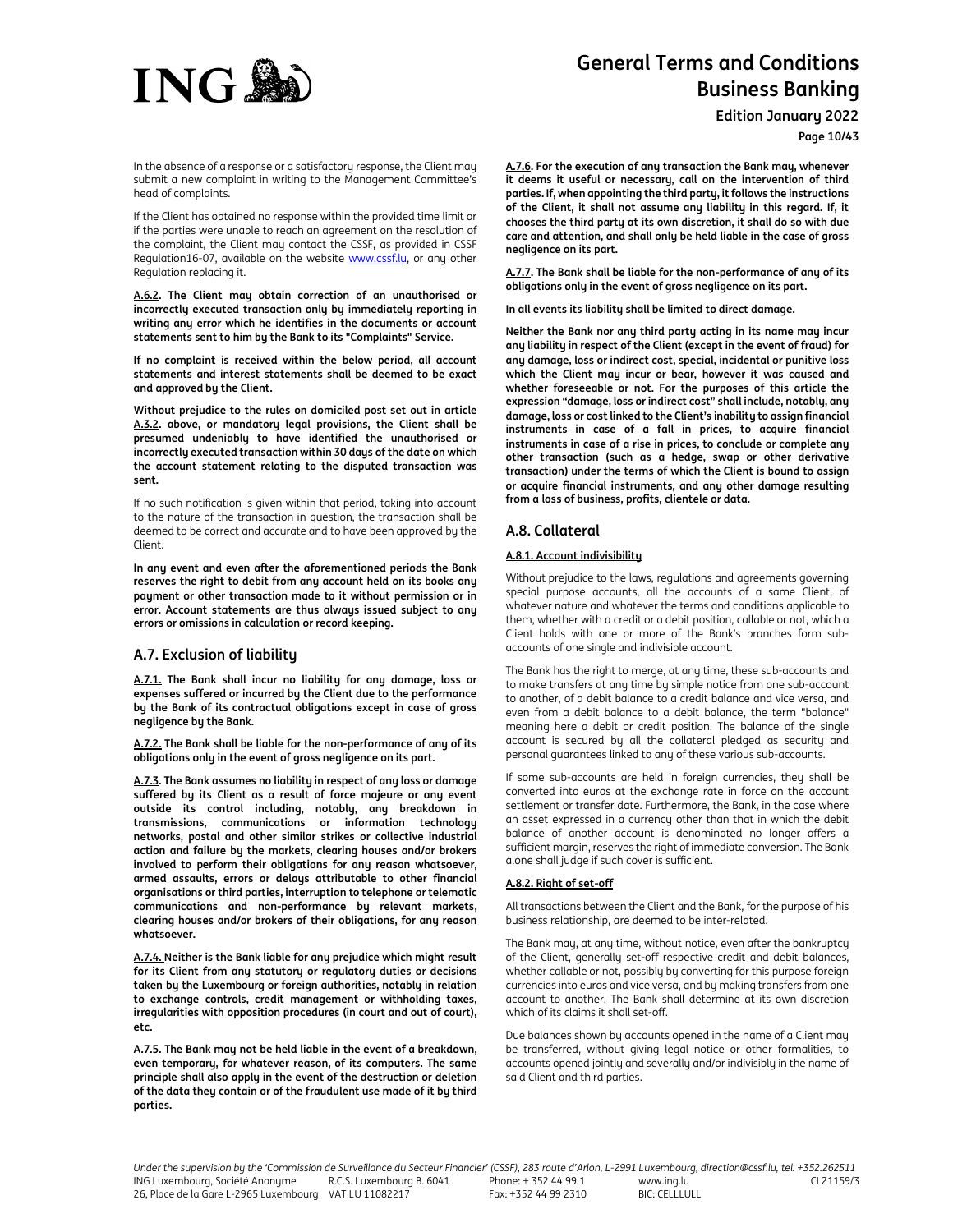

**Edition January 2022**

**Page 10/43**

In the absence of a response or a satisfactory response, the Client may submit a new complaint in writing to the Management Committee's head of complaints.

If the Client has obtained no response within the provided time limit or if the parties were unable to reach an agreement on the resolution of the complaint, the Client may contact the CSSF, as provided in CSSF Regulation16-07, available on the website www.cssf.lu, or any other Regulation replacing it.

**A.6.2. The Client may obtain correction of an unauthorised or incorrectly executed transaction only by immediately reporting in writing any error which he identifies in the documents or account statements sent to him by the Bank to its "Complaints" Service.** 

**If no complaint is received within the below period, all account statements and interest statements shall be deemed to be exact and approved by the Client.** 

**Without prejudice to the rules on domiciled post set out in article A.3.2. above, or mandatory legal provisions, the Client shall be presumed undeniably to have identified the unauthorised or incorrectly executed transaction within 30 days of the date on which the account statement relating to the disputed transaction was sent.** 

If no such notification is given within that period, taking into account to the nature of the transaction in question, the transaction shall be deemed to be correct and accurate and to have been approved by the Client.

**In any event and even after the aforementioned periods the Bank reserves the right to debit from any account held on its books any payment or other transaction made to it without permission or in error. Account statements are thus always issued subject to any errors or omissions in calculation or record keeping.** 

# **A.7. Exclusion of liability**

**A.7.1. The Bank shall incur no liability for any damage, loss or expenses suffered or incurred by the Client due to the performance by the Bank of its contractual obligations except in case of gross negligence by the Bank.** 

**A.7.2. The Bank shall be liable for the non-performance of any of its obligations only in the event of gross negligence on its part.**

**A.7.3. The Bank assumes no liability in respect of any loss or damage suffered by its Client as a result of force majeure or any event outside its control including, notably, any breakdown in transmissions, communications or information technology networks, postal and other similar strikes or collective industrial action and failure by the markets, clearing houses and/or brokers involved to perform their obligations for any reason whatsoever, armed assaults, errors or delays attributable to other financial organisations or third parties, interruption to telephone or telematic communications and non-performance by relevant markets, clearing houses and/or brokers of their obligations, for any reason whatsoever.** 

**A.7.4. Neither is the Bank liable for any prejudice which might result for its Client from any statutory or regulatory duties or decisions taken by the Luxembourg or foreign authorities, notably in relation to exchange controls, credit management or withholding taxes, irregularities with opposition procedures (in court and out of court), etc.** 

**A.7.5. The Bank may not be held liable in the event of a breakdown, even temporary, for whatever reason, of its computers. The same principle shall also apply in the event of the destruction or deletion of the data they contain or of the fraudulent use made of it by third parties.** 

**A.7.6. For the execution of any transaction the Bank may, whenever it deems it useful or necessary, call on the intervention of third parties. If, when appointing the third party, it follows the instructions of the Client, it shall not assume any liability in this regard. If, it chooses the third party at its own discretion, it shall do so with due care and attention, and shall only be held liable in the case of gross negligence on its part.** 

**A.7.7. The Bank shall be liable for the non-performance of any of its obligations only in the event of gross negligence on its part.** 

**In all events its liability shall be limited to direct damage.** 

**Neither the Bank nor any third party acting in its name may incur any liability in respect of the Client (except in the event of fraud) for any damage, loss or indirect cost, special, incidental or punitive loss which the Client may incur or bear, however it was caused and whether foreseeable or not. For the purposes of this article the expression "damage, loss or indirect cost" shall include, notably, any damage, loss or cost linked to the Client's inability to assign financial instruments in case of a fall in prices, to acquire financial instruments in case of a rise in prices, to conclude or complete any other transaction (such as a hedge, swap or other derivative transaction) under the terms of which the Client is bound to assign or acquire financial instruments, and any other damage resulting from a loss of business, profits, clientele or data.** 

# **A.8. Collateral**

# **A.8.1. Account indivisibility**

Without prejudice to the laws, regulations and agreements governing special purpose accounts, all the accounts of a same Client, of whatever nature and whatever the terms and conditions applicable to them, whether with a credit or a debit position, callable or not, which a Client holds with one or more of the Bank's branches form subaccounts of one single and indivisible account.

The Bank has the right to merge, at any time, these sub-accounts and to make transfers at any time by simple notice from one sub-account to another, of a debit balance to a credit balance and vice versa, and even from a debit balance to a debit balance, the term "balance" meaning here a debit or credit position. The balance of the single account is secured by all the collateral pledged as security and personal guarantees linked to any of these various sub-accounts.

If some sub-accounts are held in foreign currencies, they shall be converted into euros at the exchange rate in force on the account settlement or transfer date. Furthermore, the Bank, in the case where an asset expressed in a currency other than that in which the debit balance of another account is denominated no longer offers a sufficient margin, reserves the right of immediate conversion. The Bank alone shall judge if such cover is sufficient.

## **A.8.2. Right of set-off**

All transactions between the Client and the Bank, for the purpose of his business relationship, are deemed to be inter-related.

The Bank may, at any time, without notice, even after the bankruptcy of the Client, generally set-off respective credit and debit balances, whether callable or not, possibly by converting for this purpose foreign currencies into euros and vice versa, and by making transfers from one account to another. The Bank shall determine at its own discretion which of its claims it shall set-off.

Due balances shown by accounts opened in the name of a Client may be transferred, without giving legal notice or other formalities, to accounts opened jointly and severally and/or indivisibly in the name of said Client and third parties.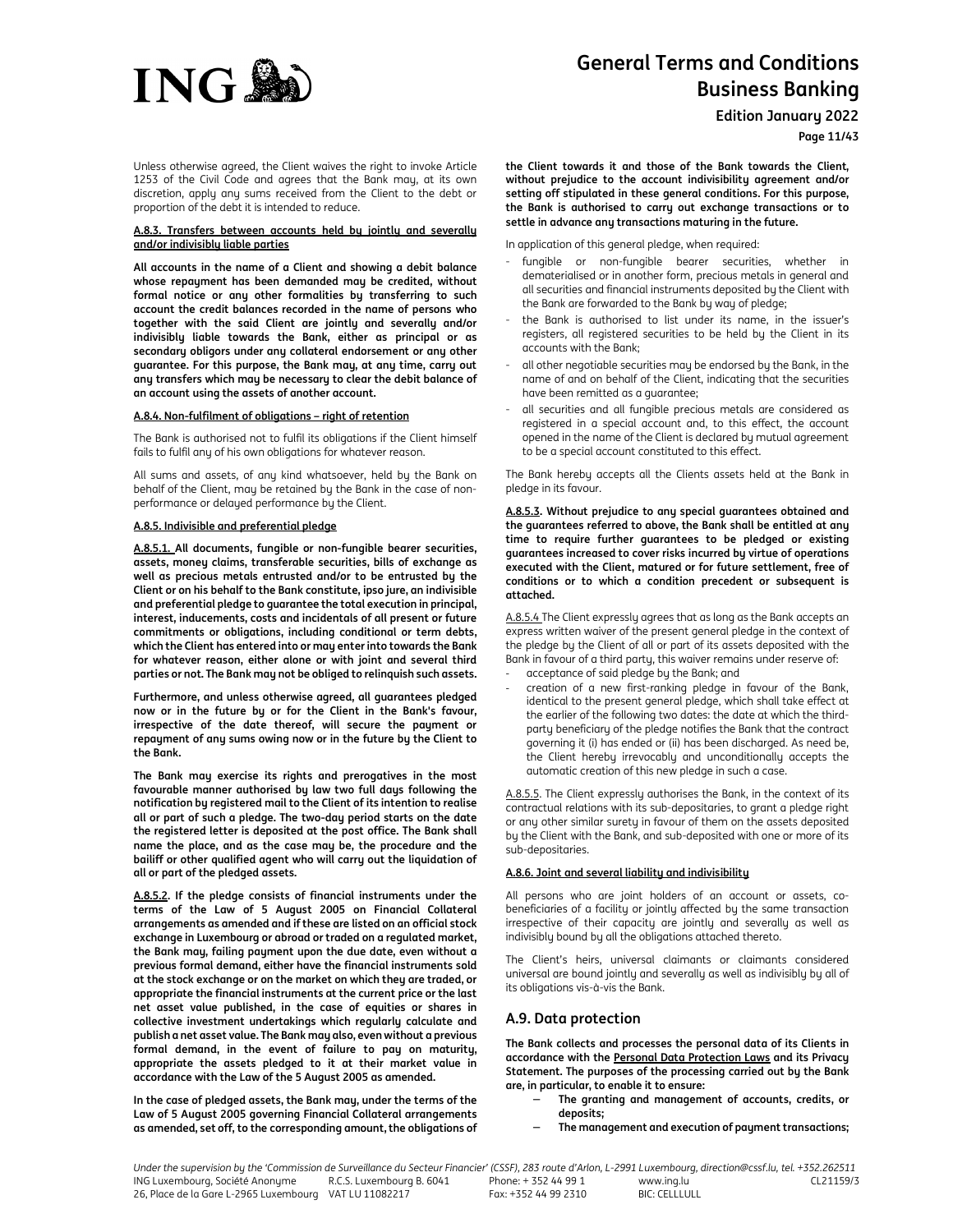

**Edition January 2022**

**Page 11/43**

Unless otherwise agreed, the Client waives the right to invoke Article 1253 of the Civil Code and agrees that the Bank may, at its own discretion, apply any sums received from the Client to the debt or proportion of the debt it is intended to reduce.

#### **A.8.3. Transfers between accounts held by jointly and severally and/or indivisibly liable parties**

**All accounts in the name of a Client and showing a debit balance whose repayment has been demanded may be credited, without formal notice or any other formalities by transferring to such account the credit balances recorded in the name of persons who together with the said Client are jointly and severally and/or indivisibly liable towards the Bank, either as principal or as secondary obligors under any collateral endorsement or any other guarantee. For this purpose, the Bank may, at any time, carry out any transfers which may be necessary to clear the debit balance of an account using the assets of another account.** 

## **A.8.4. Non-fulfilment of obligations – right of retention**

The Bank is authorised not to fulfil its obligations if the Client himself fails to fulfil any of his own obligations for whatever reason.

All sums and assets, of any kind whatsoever, held by the Bank on behalf of the Client, may be retained by the Bank in the case of nonperformance or delayed performance by the Client.

#### **A.8.5. Indivisible and preferential pledge**

**A.8.5.1. All documents, fungible or non-fungible bearer securities, assets, money claims, transferable securities, bills of exchange as well as precious metals entrusted and/or to be entrusted by the Client or on his behalf to the Bank constitute, ipso jure, an indivisible and preferential pledge to guarantee the total execution in principal, interest, inducements, costs and incidentals of all present or future commitments or obligations, including conditional or term debts, which the Client has entered into or may enter into towards the Bank for whatever reason, either alone or with joint and several third parties or not. The Bank may not be obliged to relinquish such assets.** 

**Furthermore, and unless otherwise agreed, all guarantees pledged now or in the future by or for the Client in the Bank's favour, irrespective of the date thereof, will secure the payment or repayment of any sums owing now or in the future by the Client to the Bank.** 

**The Bank may exercise its rights and prerogatives in the most favourable manner authorised by law two full days following the notification by registered mail to the Client of its intention to realise all or part of such a pledge. The two-day period starts on the date the registered letter is deposited at the post office. The Bank shall name the place, and as the case may be, the procedure and the bailiff or other qualified agent who will carry out the liquidation of all or part of the pledged assets.** 

**A.8.5.2. If the pledge consists of financial instruments under the terms of the Law of 5 August 2005 on Financial Collateral arrangements as amended and if these are listed on an official stock exchange in Luxembourg or abroad or traded on a regulated market, the Bank may, failing payment upon the due date, even without a previous formal demand, either have the financial instruments sold at the stock exchange or on the market on which they are traded, or appropriate the financial instruments at the current price or the last net asset value published, in the case of equities or shares in collective investment undertakings which regularly calculate and publish a net asset value. The Bank may also, even without a previous formal demand, in the event of failure to pay on maturity, appropriate the assets pledged to it at their market value in accordance with the Law of the 5 August 2005 as amended.** 

**In the case of pledged assets, the Bank may, under the terms of the Law of 5 August 2005 governing Financial Collateral arrangements as amended, set off, to the corresponding amount, the obligations of**  **the Client towards it and those of the Bank towards the Client, without prejudice to the account indivisibility agreement and/or setting off stipulated in these general conditions. For this purpose, the Bank is authorised to carry out exchange transactions or to settle in advance any transactions maturing in the future.** 

In application of this general pledge, when required:

- fungible or non-fungible bearer securities, whether in dematerialised or in another form, precious metals in general and all securities and financial instruments deposited by the Client with the Bank are forwarded to the Bank by way of pledge;
- the Bank is authorised to list under its name, in the issuer's registers, all registered securities to be held by the Client in its accounts with the Bank;
- all other negotiable securities may be endorsed by the Bank, in the name of and on behalf of the Client, indicating that the securities have been remitted as a guarantee;
- all securities and all fungible precious metals are considered as registered in a special account and, to this effect, the account opened in the name of the Client is declared by mutual agreement to be a special account constituted to this effect.

The Bank hereby accepts all the Clients assets held at the Bank in pledge in its favour.

**A.8.5.3. Without prejudice to any special guarantees obtained and the guarantees referred to above, the Bank shall be entitled at any time to require further guarantees to be pledged or existing guarantees increased to cover risks incurred by virtue of operations executed with the Client, matured or for future settlement, free of conditions or to which a condition precedent or subsequent is attached.** 

A.8.5.4 The Client expressly agrees that as long as the Bank accepts an express written waiver of the present general pledge in the context of the pledge by the Client of all or part of its assets deposited with the Bank in favour of a third party, this waiver remains under reserve of:

- acceptance of said pledge by the Bank; and
- creation of a new first-ranking pledge in favour of the Bank, identical to the present general pledge, which shall take effect at the earlier of the following two dates: the date at which the thirdparty beneficiary of the pledge notifies the Bank that the contract governing it (i) has ended or (ii) has been discharged. As need be, the Client hereby irrevocably and unconditionally accepts the automatic creation of this new pledge in such a case.

A.8.5.5. The Client expressly authorises the Bank, in the context of its contractual relations with its sub-depositaries, to grant a pledge right or any other similar surety in favour of them on the assets deposited by the Client with the Bank, and sub-deposited with one or more of its sub-depositaries.

## **A.8.6. Joint and several liability and indivisibility**

All persons who are joint holders of an account or assets, cobeneficiaries of a facility or jointly affected by the same transaction irrespective of their capacity are jointly and severally as well as indivisibly bound by all the obligations attached thereto.

The Client's heirs, universal claimants or claimants considered universal are bound jointly and severally as well as indivisibly by all of its obligations vis-à-vis the Bank.

# **A.9. Data protection**

**The Bank collects and processes the personal data of its Clients in accordance with the Personal Data Protection Laws and its Privacy Statement. The purposes of the processing carried out by the Bank are, in particular, to enable it to ensure:** 

- − **The granting and management of accounts, credits, or deposits;** 
	- − **The management and execution of payment transactions;**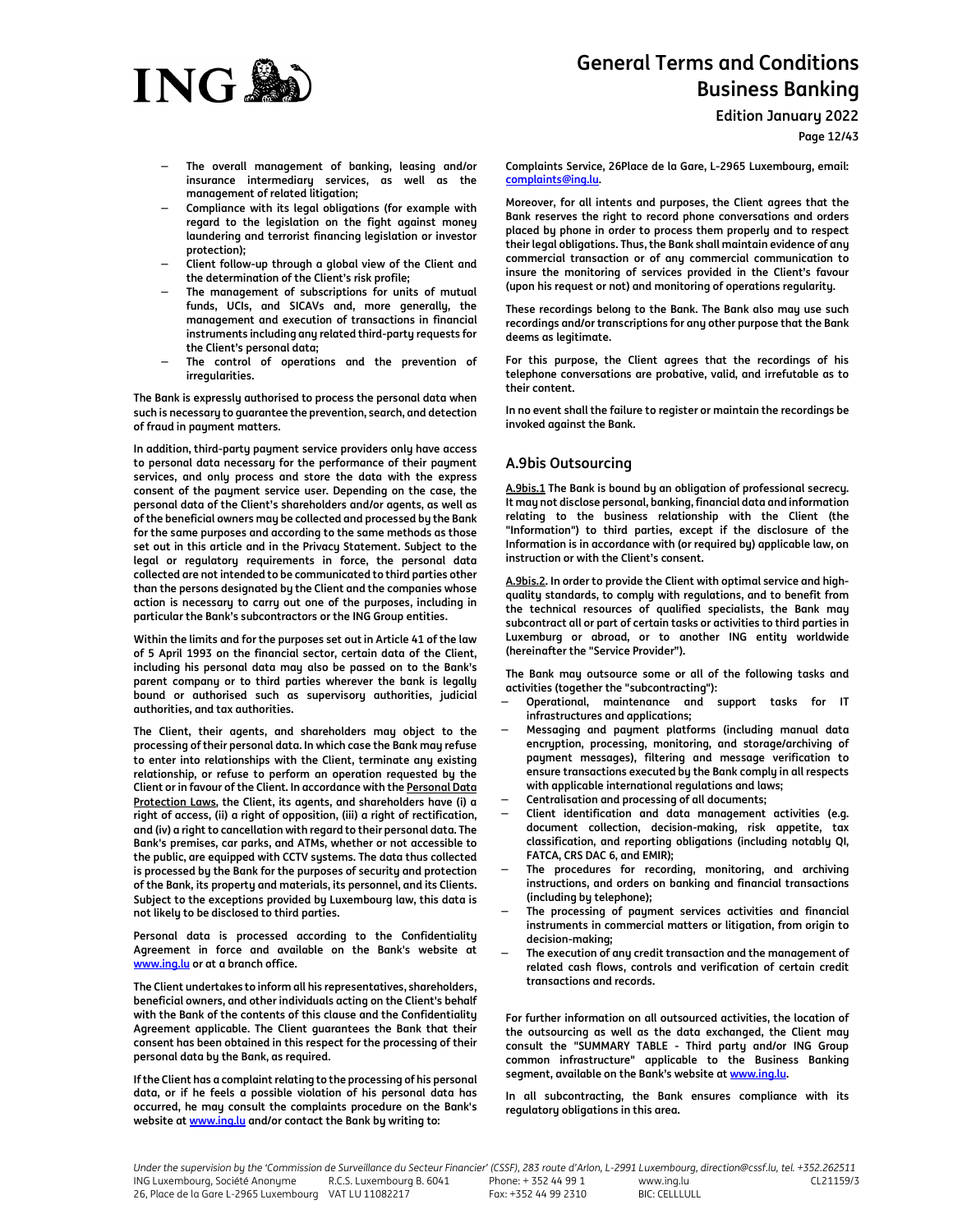

**Edition January 2022**

**Page 12/43**

- − **The overall management of banking, leasing and/or insurance intermediary services, as well as the management of related litigation;**
- − **Compliance with its legal obligations (for example with regard to the legislation on the fight against money laundering and terrorist financing legislation or investor protection);**
- − **Client follow-up through a global view of the Client and the determination of the Client's risk profile;**
- − **The management of subscriptions for units of mutual funds, UCIs, and SICAVs and, more generally, the management and execution of transactions in financial instruments including any related third-party requests for the Client's personal data;**
- The control of operations and the prevention of **irregularities.**

**The Bank is expressly authorised to process the personal data when such is necessary to guarantee the prevention, search, and detection of fraud in payment matters.** 

**In addition, third-party payment service providers only have access to personal data necessary for the performance of their payment services, and only process and store the data with the express consent of the payment service user. Depending on the case, the personal data of the Client's shareholders and/or agents, as well as of the beneficial owners may be collected and processed by the Bank for the same purposes and according to the same methods as those set out in this article and in the Privacy Statement. Subject to the legal or regulatory requirements in force, the personal data collected are not intended to be communicated to third parties other than the persons designated by the Client and the companies whose action is necessary to carry out one of the purposes, including in particular the Bank's subcontractors or the ING Group entities.** 

**Within the limits and for the purposes set out in Article 41 of the law of 5 April 1993 on the financial sector, certain data of the Client, including his personal data may also be passed on to the Bank's parent company or to third parties wherever the bank is legally bound or authorised such as supervisory authorities, judicial authorities, and tax authorities.** 

**The Client, their agents, and shareholders may object to the processing of their personal data. In which case the Bank may refuse to enter into relationships with the Client, terminate any existing relationship, or refuse to perform an operation requested by the Client or in favour of the Client. In accordance with the Personal Data Protection Laws, the Client, its agents, and shareholders have (i) a right of access, (ii) a right of opposition, (iii) a right of rectification, and (iv) a right to cancellation with regard to their personal data. The Bank's premises, car parks, and ATMs, whether or not accessible to the public, are equipped with CCTV systems. The data thus collected is processed by the Bank for the purposes of security and protection of the Bank, its property and materials, its personnel, and its Clients. Subject to the exceptions provided by Luxembourg law, this data is not likely to be disclosed to third parties.** 

**Personal data is processed according to the Confidentiality Agreement in force and available on the Bank's website at www.ing.lu or at a branch office.** 

**The Client undertakes to inform all his representatives, shareholders, beneficial owners, and other individuals acting on the Client's behalf with the Bank of the contents of this clause and the Confidentiality Agreement applicable. The Client guarantees the Bank that their consent has been obtained in this respect for the processing of their personal data by the Bank, as required.** 

**If the Client has a complaint relating to the processing of his personal data, or if he feels a possible violation of his personal data has occurred, he may consult the complaints procedure on the Bank's website at www.ing.lu and/or contact the Bank by writing to:** 

**Complaints Service, 26Place de la Gare, L-2965 Luxembourg, email: complaints@ing.lu.** 

**Moreover, for all intents and purposes, the Client agrees that the Bank reserves the right to record phone conversations and orders placed by phone in order to process them properly and to respect their legal obligations. Thus, the Bank shall maintain evidence of any commercial transaction or of any commercial communication to insure the monitoring of services provided in the Client's favour (upon his request or not) and monitoring of operations regularity.** 

**These recordings belong to the Bank. The Bank also may use such recordings and/or transcriptions for any other purpose that the Bank deems as legitimate.** 

**For this purpose, the Client agrees that the recordings of his telephone conversations are probative, valid, and irrefutable as to their content.** 

**In no event shall the failure to register or maintain the recordings be invoked against the Bank.** 

# **A.9bis Outsourcing**

**A.9bis.1 The Bank is bound by an obligation of professional secrecy. It may not disclose personal, banking, financial data and information relating to the business relationship with the Client (the "Information") to third parties, except if the disclosure of the Information is in accordance with (or required by) applicable law, on instruction or with the Client's consent.** 

**A.9bis.2. In order to provide the Client with optimal service and highquality standards, to comply with regulations, and to benefit from the technical resources of qualified specialists, the Bank may subcontract all or part of certain tasks or activities to third parties in Luxemburg or abroad, or to another ING entity worldwide (hereinafter the "Service Provider").**

**The Bank may outsource some or all of the following tasks and activities (together the "subcontracting"):**

- − **Operational, maintenance and support tasks for IT infrastructures and applications;**
- − **Messaging and payment platforms (including manual data encryption, processing, monitoring, and storage/archiving of payment messages), filtering and message verification to ensure transactions executed by the Bank comply in all respects with applicable international regulations and laws;**
- − **Centralisation and processing of all documents;**
- − **Client identification and data management activities (e.g. document collection, decision-making, risk appetite, tax classification, and reporting obligations (including notably QI, FATCA, CRS DAC 6, and EMIR);**
- The procedures for recording, monitoring, and archiving **instructions, and orders on banking and financial transactions (including by telephone);**
- − **The processing of payment services activities and financial instruments in commercial matters or litigation, from origin to decision-making;**
- The execution of any credit transaction and the management of **related cash flows, controls and verification of certain credit transactions and records.**

**For further information on all outsourced activities, the location of the outsourcing as well as the data exchanged, the Client may consult the "SUMMARY TABLE - Third party and/or ING Group common infrastructure" applicable to the Business Banking segment, available on the Bank's website at www.ing.lu.** 

**In all subcontracting, the Bank ensures compliance with its regulatory obligations in this area.**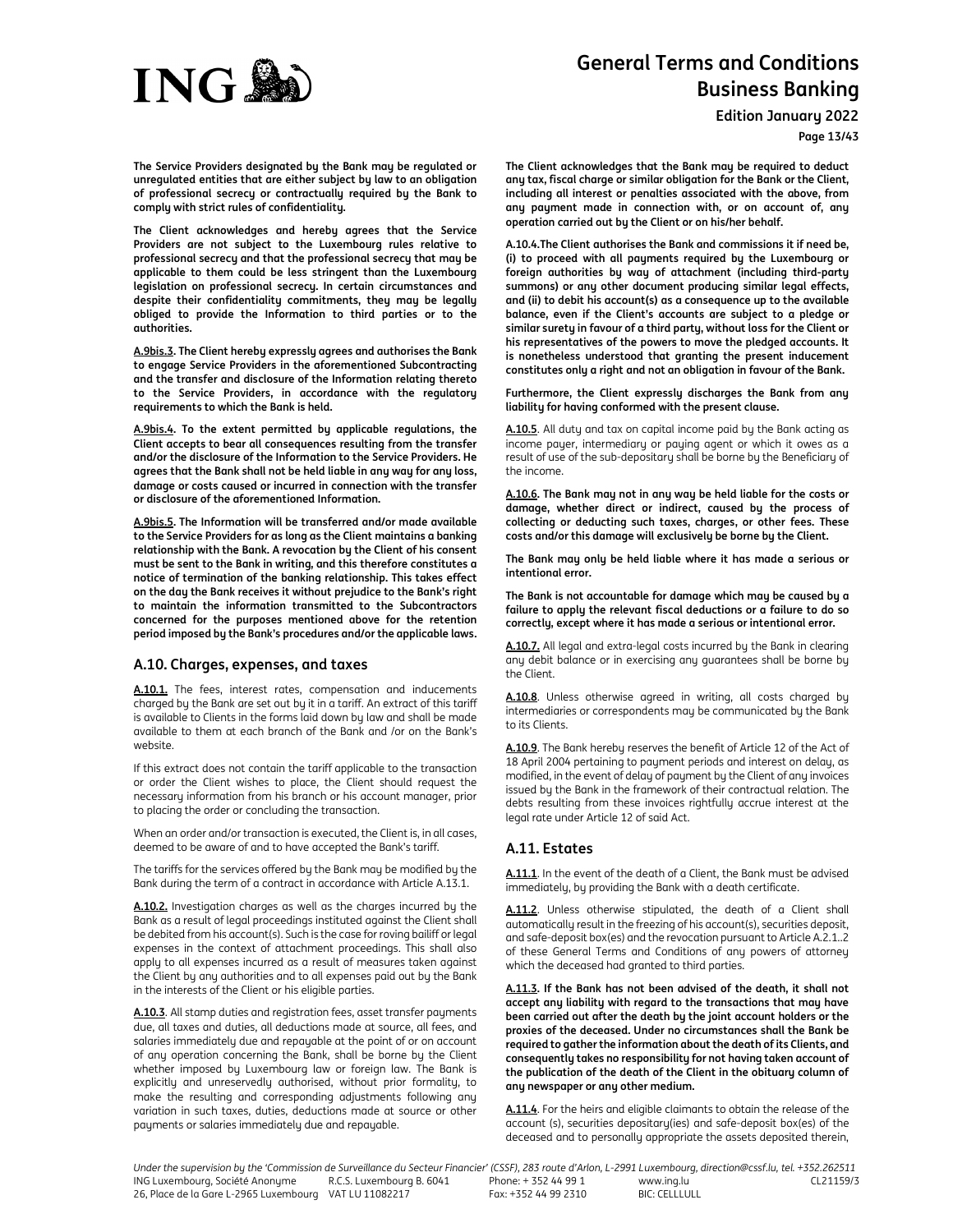

**Edition January 2022**

**Page 13/43**

**The Service Providers designated by the Bank may be regulated or unregulated entities that are either subject by law to an obligation of professional secrecy or contractually required by the Bank to comply with strict rules of confidentiality.** 

**The Client acknowledges and hereby agrees that the Service Providers are not subject to the Luxembourg rules relative to professional secrecy and that the professional secrecy that may be applicable to them could be less stringent than the Luxembourg legislation on professional secrecy. In certain circumstances and despite their confidentiality commitments, they may be legally obliged to provide the Information to third parties or to the authorities.** 

**A.9bis.3. The Client hereby expressly agrees and authorises the Bank to engage Service Providers in the aforementioned Subcontracting and the transfer and disclosure of the Information relating thereto to the Service Providers, in accordance with the regulatory requirements to which the Bank is held.** 

**A.9bis.4. To the extent permitted by applicable regulations, the Client accepts to bear all consequences resulting from the transfer and/or the disclosure of the Information to the Service Providers. He agrees that the Bank shall not be held liable in any way for any loss, damage or costs caused or incurred in connection with the transfer or disclosure of the aforementioned Information.** 

**A.9bis.5. The Information will be transferred and/or made available to the Service Providers for as long as the Client maintains a banking relationship with the Bank. A revocation by the Client of his consent must be sent to the Bank in writing, and this therefore constitutes a notice of termination of the banking relationship. This takes effect on the day the Bank receives it without prejudice to the Bank's right to maintain the information transmitted to the Subcontractors concerned for the purposes mentioned above for the retention period imposed by the Bank's procedures and/or the applicable laws.** 

# **A.10. Charges, expenses, and taxes**

**A.10.1.** The fees, interest rates, compensation and inducements charged by the Bank are set out by it in a tariff. An extract of this tariff is available to Clients in the forms laid down by law and shall be made available to them at each branch of the Bank and /or on the Bank's website.

If this extract does not contain the tariff applicable to the transaction or order the Client wishes to place, the Client should request the necessary information from his branch or his account manager, prior to placing the order or concluding the transaction.

When an order and/or transaction is executed, the Client is, in all cases, deemed to be aware of and to have accepted the Bank's tariff.

The tariffs for the services offered by the Bank may be modified by the Bank during the term of a contract in accordance with Article A.13.1.

**A.10.2.** Investigation charges as well as the charges incurred by the Bank as a result of legal proceedings instituted against the Client shall be debited from his account(s). Such is the case for roving bailiff or legal expenses in the context of attachment proceedings. This shall also apply to all expenses incurred as a result of measures taken against the Client by any authorities and to all expenses paid out by the Bank in the interests of the Client or his eligible parties.

**A.10.3**. All stamp duties and registration fees, asset transfer payments due, all taxes and duties, all deductions made at source, all fees, and salaries immediately due and repayable at the point of or on account of any operation concerning the Bank, shall be borne by the Client whether imposed by Luxembourg law or foreign law. The Bank is explicitly and unreservedly authorised, without prior formality, to make the resulting and corresponding adjustments following any variation in such taxes, duties, deductions made at source or other payments or salaries immediately due and repayable.

**The Client acknowledges that the Bank may be required to deduct any tax, fiscal charge or similar obligation for the Bank or the Client, including all interest or penalties associated with the above, from any payment made in connection with, or on account of, any operation carried out by the Client or on his/her behalf.**

**A.10.4.The Client authorises the Bank and commissions it if need be, (i) to proceed with all payments required by the Luxembourg or foreign authorities by way of attachment (including third-party summons) or any other document producing similar legal effects, and (ii) to debit his account(s) as a consequence up to the available balance, even if the Client's accounts are subject to a pledge or similar surety in favour of a third party, without loss for the Client or his representatives of the powers to move the pledged accounts. It is nonetheless understood that granting the present inducement constitutes only a right and not an obligation in favour of the Bank.**

**Furthermore, the Client expressly discharges the Bank from any liability for having conformed with the present clause.**

**A.10.5**. All duty and tax on capital income paid by the Bank acting as income payer, intermediary or paying agent or which it owes as a result of use of the sub-depositary shall be borne by the Beneficiary of the income.

**A.10.6. The Bank may not in any way be held liable for the costs or damage, whether direct or indirect, caused by the process of collecting or deducting such taxes, charges, or other fees. These costs and/or this damage will exclusively be borne by the Client.** 

**The Bank may only be held liable where it has made a serious or intentional error.**

**The Bank is not accountable for damage which may be caused by a failure to apply the relevant fiscal deductions or a failure to do so correctly, except where it has made a serious or intentional error.** 

**A.10.7.** All legal and extra-legal costs incurred by the Bank in clearing any debit balance or in exercising any guarantees shall be borne by the Client.

**A.10.8**. Unless otherwise agreed in writing, all costs charged by intermediaries or correspondents may be communicated by the Bank to its Clients.

**A.10.9**. The Bank hereby reserves the benefit of Article 12 of the Act of 18 April 2004 pertaining to payment periods and interest on delay, as modified, in the event of delay of payment by the Client of any invoices issued by the Bank in the framework of their contractual relation. The debts resulting from these invoices rightfully accrue interest at the legal rate under Article 12 of said Act.

# **A.11. Estates**

**A.11.1**. In the event of the death of a Client, the Bank must be advised immediately, by providing the Bank with a death certificate.

**A.11.2**. Unless otherwise stipulated, the death of a Client shall automatically result in the freezing of his account(s), securities deposit, and safe-deposit box(es) and the revocation pursuant to Article A.2.1..2 of these General Terms and Conditions of any powers of attorney which the deceased had granted to third parties.

**A.11.3. If the Bank has not been advised of the death, it shall not accept any liability with regard to the transactions that may have been carried out after the death by the joint account holders or the proxies of the deceased. Under no circumstances shall the Bank be required to gather the information about the death of its Clients, and consequently takes no responsibility for not having taken account of the publication of the death of the Client in the obituary column of any newspaper or any other medium.** 

**A.11.4**. For the heirs and eligible claimants to obtain the release of the account (s), securities depositary(ies) and safe-deposit box(es) of the deceased and to personally appropriate the assets deposited therein,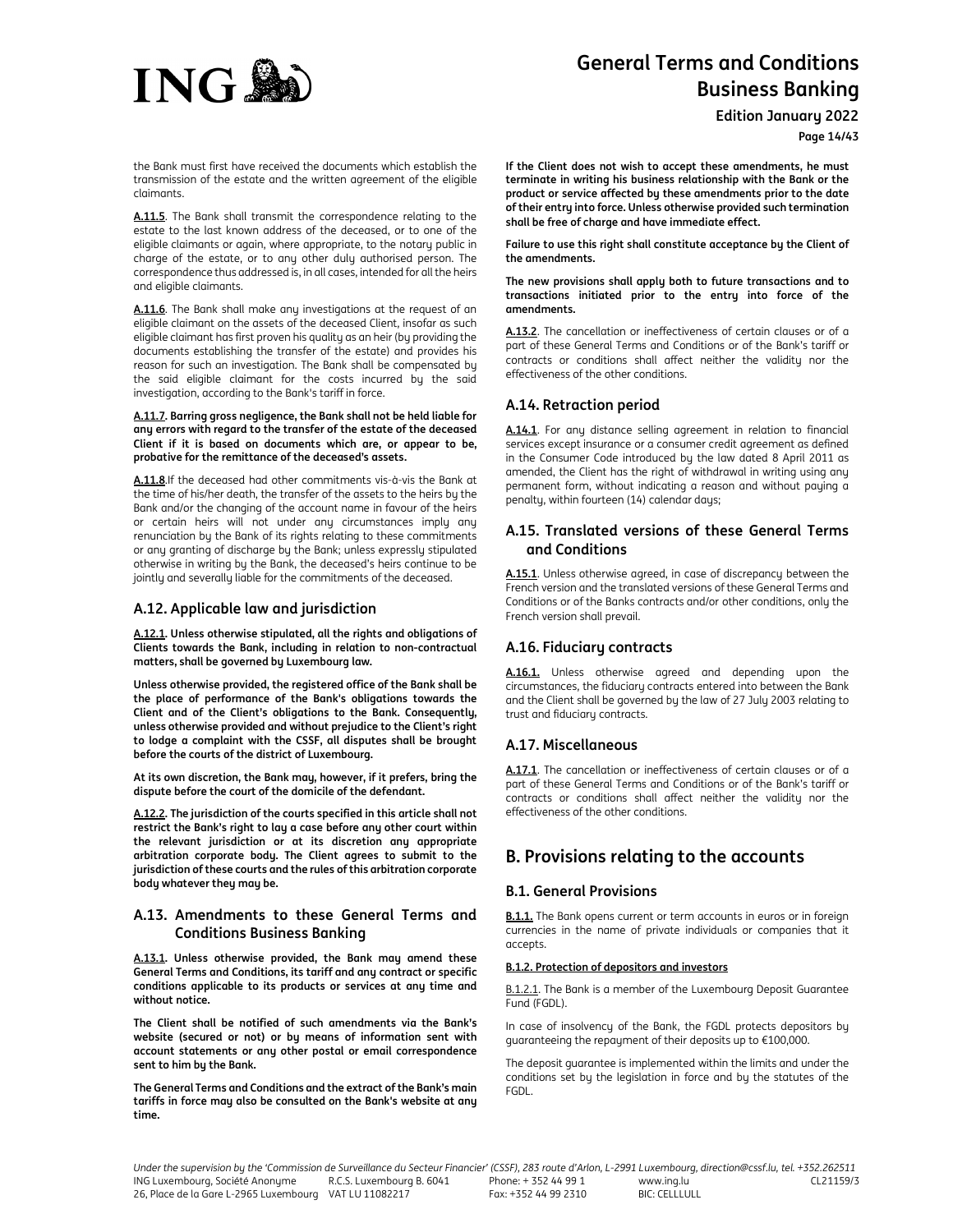

**Edition January 2022**

**Page 14/43**

the Bank must first have received the documents which establish the transmission of the estate and the written agreement of the eligible claimants.

**A.11.5**. The Bank shall transmit the correspondence relating to the estate to the last known address of the deceased, or to one of the eligible claimants or again, where appropriate, to the notary public in charge of the estate, or to any other duly authorised person. The correspondence thus addressed is, in all cases, intended for all the heirs and eligible claimants.

**A.11.6**. The Bank shall make any investigations at the request of an eligible claimant on the assets of the deceased Client, insofar as such eligible claimant has first proven his quality as an heir (by providing the documents establishing the transfer of the estate) and provides his reason for such an investigation. The Bank shall be compensated by the said eligible claimant for the costs incurred by the said investigation, according to the Bank's tariff in force.

**A.11.7. Barring gross negligence, the Bank shall not be held liable for any errors with regard to the transfer of the estate of the deceased Client if it is based on documents which are, or appear to be, probative for the remittance of the deceased's assets.** 

**A.11.8**.If the deceased had other commitments vis-à-vis the Bank at the time of his/her death, the transfer of the assets to the heirs by the Bank and/or the changing of the account name in favour of the heirs or certain heirs will not under any circumstances imply any renunciation by the Bank of its rights relating to these commitments or any granting of discharge by the Bank; unless expressly stipulated otherwise in writing by the Bank, the deceased's heirs continue to be jointly and severally liable for the commitments of the deceased.

# **A.12. Applicable law and jurisdiction**

**A.12.1. Unless otherwise stipulated, all the rights and obligations of Clients towards the Bank, including in relation to non-contractual matters, shall be governed by Luxembourg law.** 

**Unless otherwise provided, the registered office of the Bank shall be the place of performance of the Bank's obligations towards the Client and of the Client's obligations to the Bank. Consequently, unless otherwise provided and without prejudice to the Client's right to lodge a complaint with the CSSF, all disputes shall be brought before the courts of the district of Luxembourg.** 

**At its own discretion, the Bank may, however, if it prefers, bring the dispute before the court of the domicile of the defendant.** 

**A.12.2. The jurisdiction of the courts specified in this article shall not restrict the Bank's right to lay a case before any other court within the relevant jurisdiction or at its discretion any appropriate arbitration corporate body. The Client agrees to submit to the jurisdiction of these courts and the rules of this arbitration corporate body whatever they may be.**

# **A.13. Amendments to these General Terms and Conditions Business Banking**

**A.13.1. Unless otherwise provided, the Bank may amend these General Terms and Conditions, its tariff and any contract or specific conditions applicable to its products or services at any time and without notice.** 

**The Client shall be notified of such amendments via the Bank's website (secured or not) or by means of information sent with account statements or any other postal or email correspondence sent to him by the Bank.** 

**The General Terms and Conditions and the extract of the Bank's main tariffs in force may also be consulted on the Bank's website at any time.** 

**If the Client does not wish to accept these amendments, he must terminate in writing his business relationship with the Bank or the product or service affected by these amendments prior to the date of their entry into force. Unless otherwise provided such termination shall be free of charge and have immediate effect.** 

**Failure to use this right shall constitute acceptance by the Client of the amendments.** 

**The new provisions shall apply both to future transactions and to transactions initiated prior to the entry into force of the amendments.** 

**A.13.2**. The cancellation or ineffectiveness of certain clauses or of a part of these General Terms and Conditions or of the Bank's tariff or contracts or conditions shall affect neither the validity nor the effectiveness of the other conditions.

# **A.14. Retraction period**

**A.14.1**. For any distance selling agreement in relation to financial services except insurance or a consumer credit agreement as defined in the Consumer Code introduced by the law dated 8 April 2011 as amended, the Client has the right of withdrawal in writing using any permanent form, without indicating a reason and without paying a penalty, within fourteen (14) calendar days;

# **A.15. Translated versions of these General Terms and Conditions**

**A.15.1**. Unless otherwise agreed, in case of discrepancy between the French version and the translated versions of these General Terms and Conditions or of the Banks contracts and/or other conditions, only the French version shall prevail.

# **A.16. Fiduciary contracts**

**A.16.1.** Unless otherwise agreed and depending upon the circumstances, the fiduciary contracts entered into between the Bank and the Client shall be governed by the law of 27 July 2003 relating to trust and fiduciary contracts.

# **A.17. Miscellaneous**

**A.17.1**. The cancellation or ineffectiveness of certain clauses or of a part of these General Terms and Conditions or of the Bank's tariff or contracts or conditions shall affect neither the validity nor the effectiveness of the other conditions.

# **B. Provisions relating to the accounts**

# **B.1. General Provisions**

**B.1.1.** The Bank opens current or term accounts in euros or in foreign currencies in the name of private individuals or companies that it accepts.

# **B.1.2. Protection of depositors and investors**

B.1.2.1. The Bank is a member of the Luxembourg Deposit Guarantee Fund (FGDL).

In case of insolvency of the Bank, the FGDL protects depositors by guaranteeing the repayment of their deposits up to €100,000.

The deposit guarantee is implemented within the limits and under the conditions set by the legislation in force and by the statutes of the FGDL.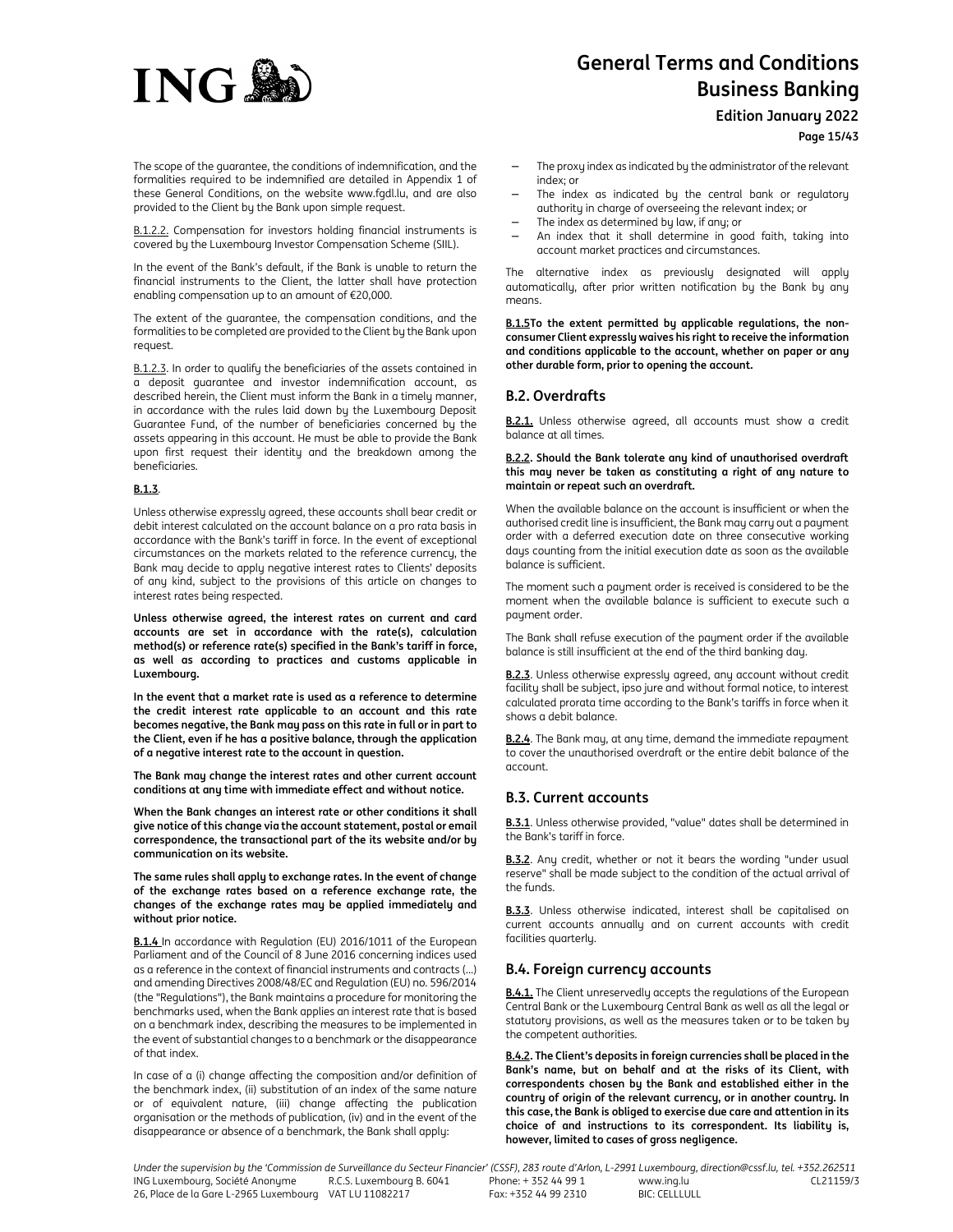

**Edition January 2022**

**Page 15/43**

The scope of the guarantee, the conditions of indemnification, and the formalities required to be indemnified are detailed in Appendix 1 of these General Conditions, on the website www.fgdl.lu, and are also provided to the Client by the Bank upon simple request.

B.1.2.2. Compensation for investors holding financial instruments is covered by the Luxembourg Investor Compensation Scheme (SIIL).

In the event of the Bank's default, if the Bank is unable to return the financial instruments to the Client, the latter shall have protection enabling compensation up to an amount of €20,000.

The extent of the guarantee, the compensation conditions, and the formalities to be completed are provided to the Client by the Bank upon request.

B.1.2.3. In order to qualify the beneficiaries of the assets contained in a deposit guarantee and investor indemnification account, as described herein, the Client must inform the Bank in a timely manner, in accordance with the rules laid down by the Luxembourg Deposit Guarantee Fund, of the number of beneficiaries concerned by the assets appearing in this account. He must be able to provide the Bank upon first request their identity and the breakdown among the beneficiaries.

## **B.1.3**.

Unless otherwise expressly agreed, these accounts shall bear credit or debit interest calculated on the account balance on a pro rata basis in accordance with the Bank's tariff in force. In the event of exceptional circumstances on the markets related to the reference currency, the Bank may decide to apply negative interest rates to Clients' deposits of any kind, subject to the provisions of this article on changes to interest rates being respected.

**Unless otherwise agreed, the interest rates on current and card accounts are set in accordance with the rate(s), calculation method(s) or reference rate(s) specified in the Bank's tariff in force, as well as according to practices and customs applicable in Luxembourg.** 

**In the event that a market rate is used as a reference to determine the credit interest rate applicable to an account and this rate becomes negative, the Bank may pass on this rate in full or in part to the Client, even if he has a positive balance, through the application of a negative interest rate to the account in question.** 

**The Bank may change the interest rates and other current account conditions at any time with immediate effect and without notice.** 

**When the Bank changes an interest rate or other conditions it shall give notice of this change via the account statement, postal or email correspondence, the transactional part of the its website and/or by communication on its website.** 

**The same rules shall apply to exchange rates. In the event of change of the exchange rates based on a reference exchange rate, the changes of the exchange rates may be applied immediately and without prior notice.** 

**B.1.4** In accordance with Regulation (EU) 2016/1011 of the European Parliament and of the Council of 8 June 2016 concerning indices used as a reference in the context of financial instruments and contracts (...) and amending Directives 2008/48/EC and Regulation (EU) no. 596/2014 (the "Regulations"), the Bank maintains a procedure for monitoring the benchmarks used, when the Bank applies an interest rate that is based on a benchmark index, describing the measures to be implemented in the event of substantial changes to a benchmark or the disappearance of that index.

In case of a (i) change affecting the composition and/or definition of the benchmark index, (ii) substitution of an index of the same nature or of equivalent nature, (iii) change affecting the publication organisation or the methods of publication, (iv) and in the event of the disappearance or absence of a benchmark, the Bank shall apply:

- The proxy index as indicated by the administrator of the relevant index; or
- The index as indicated by the central bank or regulatory authority in charge of overseeing the relevant index; or
- The index as determined by law, if any; or
- An index that it shall determine in good faith, taking into account market practices and circumstances.

The alternative index as previously designated will apply automatically, after prior written notification by the Bank by any means.

**B.1.5To the extent permitted by applicable regulations, the nonconsumer Client expressly waives his right to receive the information and conditions applicable to the account, whether on paper or any other durable form, prior to opening the account.** 

# **B.2. Overdrafts**

**B.2.1.** Unless otherwise agreed, all accounts must show a credit balance at all times.

#### **B.2.2. Should the Bank tolerate any kind of unauthorised overdraft this may never be taken as constituting a right of any nature to maintain or repeat such an overdraft.**

When the available balance on the account is insufficient or when the authorised credit line is insufficient, the Bank may carry out a payment order with a deferred execution date on three consecutive working days counting from the initial execution date as soon as the available balance is sufficient.

The moment such a payment order is received is considered to be the moment when the available balance is sufficient to execute such a payment order.

The Bank shall refuse execution of the payment order if the available balance is still insufficient at the end of the third banking day.

**B.2.3**. Unless otherwise expressly agreed, any account without credit facility shall be subject, ipso jure and without formal notice, to interest calculated prorata time according to the Bank's tariffs in force when it shows a debit balance.

**B.2.4**. The Bank may, at any time, demand the immediate repayment to cover the unauthorised overdraft or the entire debit balance of the account.

# **B.3. Current accounts**

**B.3.1**. Unless otherwise provided, "value" dates shall be determined in the Bank's tariff in force.

**B.3.2**. Any credit, whether or not it bears the wording "under usual reserve" shall be made subject to the condition of the actual arrival of the funds.

**B.3.3**. Unless otherwise indicated, interest shall be capitalised on current accounts annually and on current accounts with credit facilities quarterly.

# **B.4. Foreign currency accounts**

**B.4.1.** The Client unreservedly accepts the regulations of the European Central Bank or the Luxembourg Central Bank as well as all the legal or statutory provisions, as well as the measures taken or to be taken by the competent authorities.

**B.4.2. The Client's deposits in foreign currencies shall be placed in the Bank's name, but on behalf and at the risks of its Client, with correspondents chosen by the Bank and established either in the country of origin of the relevant currency, or in another country. In this case, the Bank is obliged to exercise due care and attention in its choice of and instructions to its correspondent. Its liability is, however, limited to cases of gross negligence.**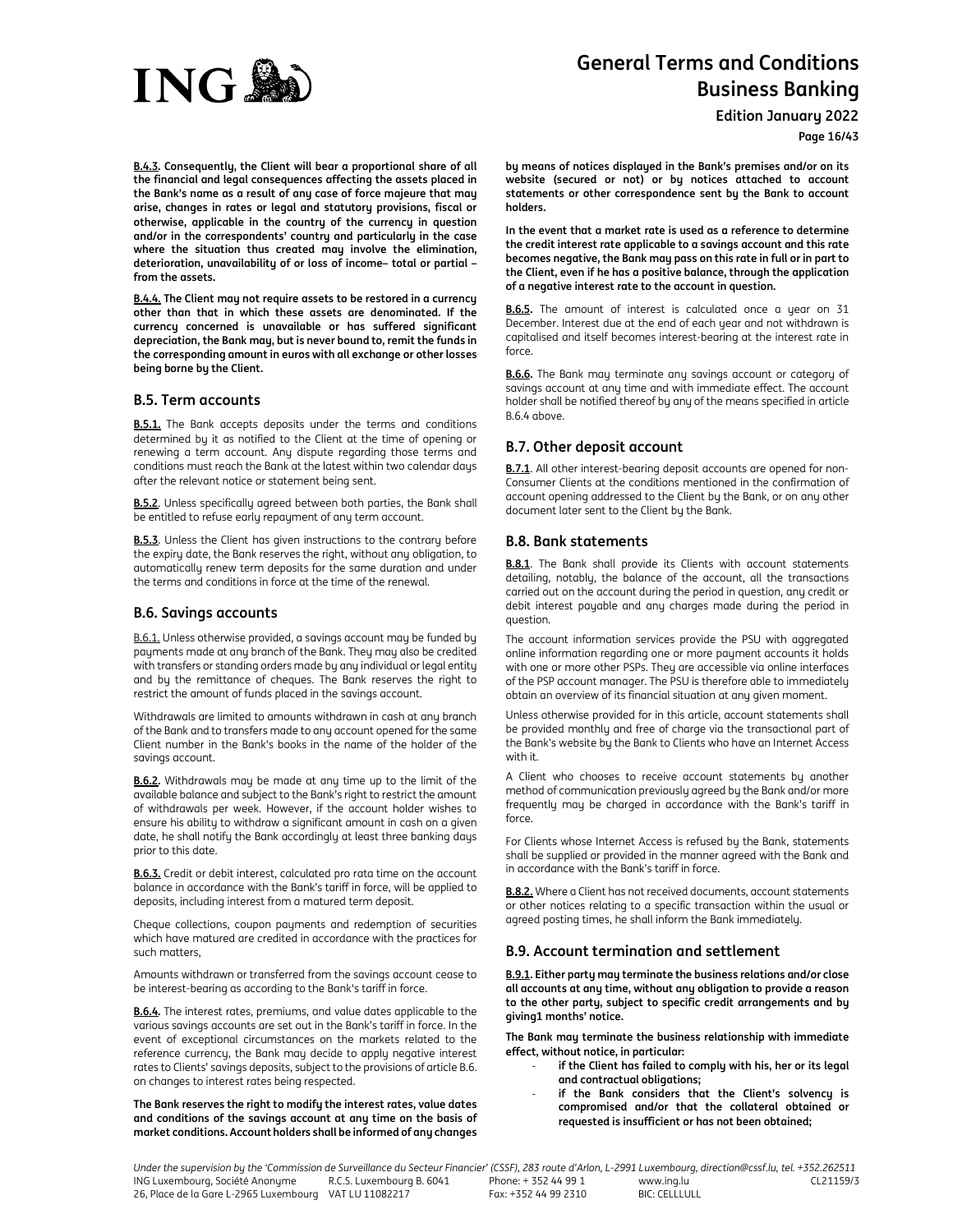

**Edition January 2022**

**Page 16/43**

**B.4.3. Consequently, the Client will bear a proportional share of all the financial and legal consequences affecting the assets placed in the Bank's name as a result of any case of force majeure that may arise, changes in rates or legal and statutory provisions, fiscal or otherwise, applicable in the country of the currency in question and/or in the correspondents' country and particularly in the case where the situation thus created may involve the elimination, deterioration, unavailability of or loss of income– total or partial – from the assets.** 

**B.4.4. The Client may not require assets to be restored in a currency other than that in which these assets are denominated. If the currency concerned is unavailable or has suffered significant depreciation, the Bank may, but is never bound to, remit the funds in the corresponding amount in euros with all exchange or other losses being borne by the Client.** 

# **B.5. Term accounts**

**B.5.1.** The Bank accepts deposits under the terms and conditions determined by it as notified to the Client at the time of opening or renewing a term account. Any dispute regarding those terms and conditions must reach the Bank at the latest within two calendar days after the relevant notice or statement being sent.

**B.5.2**. Unless specifically agreed between both parties, the Bank shall be entitled to refuse early repayment of any term account.

**B.5.3**. Unless the Client has given instructions to the contrary before the expiry date, the Bank reserves the right, without any obligation, to automatically renew term deposits for the same duration and under the terms and conditions in force at the time of the renewal.

# **B.6. Savings accounts**

B.6.1. Unless otherwise provided, a savings account may be funded by payments made at any branch of the Bank. They may also be credited with transfers or standing orders made by any individual or legal entity and by the remittance of cheques. The Bank reserves the right to restrict the amount of funds placed in the savings account.

Withdrawals are limited to amounts withdrawn in cash at any branch of the Bank and to transfers made to any account opened for the same Client number in the Bank's books in the name of the holder of the savings account.

**B.6.2.** Withdrawals may be made at any time up to the limit of the available balance and subject to the Bank's right to restrict the amount of withdrawals per week. However, if the account holder wishes to ensure his ability to withdraw a significant amount in cash on a given date, he shall notify the Bank accordingly at least three banking days prior to this date.

**B.6.3.** Credit or debit interest, calculated pro rata time on the account balance in accordance with the Bank's tariff in force, will be applied to deposits, including interest from a matured term deposit.

Cheque collections, coupon payments and redemption of securities which have matured are credited in accordance with the practices for such matters,

Amounts withdrawn or transferred from the savings account cease to be interest-bearing as according to the Bank's tariff in force.

**B.6.4.** The interest rates, premiums, and value dates applicable to the various savings accounts are set out in the Bank's tariff in force. In the event of exceptional circumstances on the markets related to the reference currency, the Bank may decide to apply negative interest rates to Clients' savings deposits, subject to the provisions of article B.6. on changes to interest rates being respected.

**The Bank reserves the right to modify the interest rates, value dates and conditions of the savings account at any time on the basis of market conditions. Account holders shall be informed of any changes**  **by means of notices displayed in the Bank's premises and/or on its website (secured or not) or by notices attached to account statements or other correspondence sent by the Bank to account holders.** 

**In the event that a market rate is used as a reference to determine the credit interest rate applicable to a savings account and this rate becomes negative, the Bank may pass on this rate in full or in part to the Client, even if he has a positive balance, through the application of a negative interest rate to the account in question.** 

**B.6.5.** The amount of interest is calculated once a year on 31 December. Interest due at the end of each year and not withdrawn is capitalised and itself becomes interest-bearing at the interest rate in force.

**B.6.6.** The Bank may terminate any savings account or category of savings account at any time and with immediate effect. The account holder shall be notified thereof by any of the means specified in article B.6.4 above.

# **B.7. Other deposit account**

**B.7.1**. All other interest-bearing deposit accounts are opened for non-Consumer Clients at the conditions mentioned in the confirmation of account opening addressed to the Client by the Bank, or on any other document later sent to the Client by the Bank.

# **B.8. Bank statements**

**B.8.1**. The Bank shall provide its Clients with account statements detailing, notably, the balance of the account, all the transactions carried out on the account during the period in question, any credit or debit interest payable and any charges made during the period in question.

The account information services provide the PSU with aggregated online information regarding one or more payment accounts it holds with one or more other PSPs. They are accessible via online interfaces of the PSP account manager. The PSU is therefore able to immediately obtain an overview of its financial situation at any given moment.

Unless otherwise provided for in this article, account statements shall be provided monthly and free of charge via the transactional part of the Bank's website by the Bank to Clients who have an Internet Access with it.

A Client who chooses to receive account statements by another method of communication previously agreed by the Bank and/or more frequently may be charged in accordance with the Bank's tariff in force.

For Clients whose Internet Access is refused by the Bank, statements shall be supplied or provided in the manner agreed with the Bank and in accordance with the Bank's tariff in force.

**B.8.2.** Where a Client has not received documents, account statements or other notices relating to a specific transaction within the usual or agreed posting times, he shall inform the Bank immediately.

# **B.9. Account termination and settlement**

**B.9.1. Either party may terminate the business relations and/or close all accounts at any time, without any obligation to provide a reason to the other party, subject to specific credit arrangements and by giving1 months' notice.** 

**The Bank may terminate the business relationship with immediate effect, without notice, in particular:** 

- if the Client has failed to comply with his, her or its legal **and contractual obligations;**
- **if the Bank considers that the Client's solvency is compromised and/or that the collateral obtained or requested is insufficient or has not been obtained;**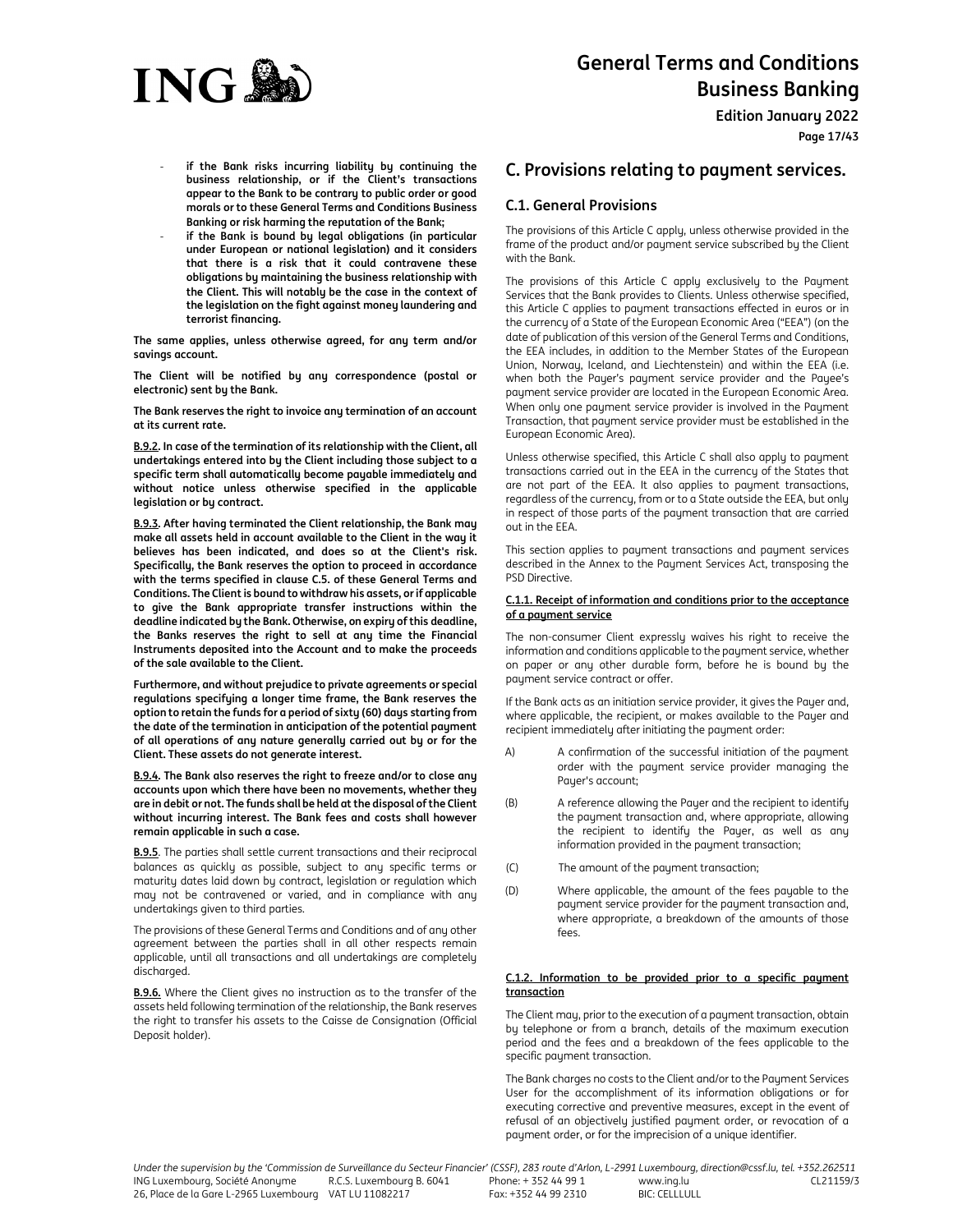

**Edition January 2022**

**Page 17/43**

- if the Bank risks incurring liability by continuing the **business relationship, or if the Client's transactions appear to the Bank to be contrary to public order or good morals or to these General Terms and Conditions Business Banking or risk harming the reputation of the Bank;**
- if the Bank is bound by legal obligations (in particular **under European or national legislation) and it considers that there is a risk that it could contravene these obligations by maintaining the business relationship with the Client. This will notably be the case in the context of the legislation on the fight against money laundering and terrorist financing.**

**The same applies, unless otherwise agreed, for any term and/or savings account.** 

**The Client will be notified by any correspondence (postal or electronic) sent by the Bank.** 

**The Bank reserves the right to invoice any termination of an account at its current rate.** 

**B.9.2. In case of the termination of its relationship with the Client, all undertakings entered into by the Client including those subject to a specific term shall automatically become payable immediately and without notice unless otherwise specified in the applicable legislation or by contract.** 

**B.9.3. After having terminated the Client relationship, the Bank may make all assets held in account available to the Client in the way it believes has been indicated, and does so at the Client's risk. Specifically, the Bank reserves the option to proceed in accordance with the terms specified in clause C.5. of these General Terms and Conditions. The Client is bound to withdraw his assets, or if applicable to give the Bank appropriate transfer instructions within the deadline indicated by the Bank. Otherwise, on expiry of this deadline, the Banks reserves the right to sell at any time the Financial Instruments deposited into the Account and to make the proceeds of the sale available to the Client.** 

**Furthermore, and without prejudice to private agreements or special regulations specifying a longer time frame, the Bank reserves the option to retain the funds for a period of sixty (60) days starting from the date of the termination in anticipation of the potential payment of all operations of any nature generally carried out by or for the Client. These assets do not generate interest.** 

**B.9.4. The Bank also reserves the right to freeze and/or to close any accounts upon which there have been no movements, whether they are in debit or not. The funds shall be held at the disposal of the Client without incurring interest. The Bank fees and costs shall however remain applicable in such a case.** 

**B.9.5**. The parties shall settle current transactions and their reciprocal balances as quickly as possible, subject to any specific terms or maturity dates laid down by contract, legislation or regulation which may not be contravened or varied, and in compliance with any undertakings given to third parties.

The provisions of these General Terms and Conditions and of any other agreement between the parties shall in all other respects remain applicable, until all transactions and all undertakings are completely discharged.

**B.9.6.** Where the Client gives no instruction as to the transfer of the assets held following termination of the relationship, the Bank reserves the right to transfer his assets to the Caisse de Consignation (Official Deposit holder).

# **C. Provisions relating to payment services.**

# **C.1. General Provisions**

The provisions of this Article C apply, unless otherwise provided in the frame of the product and/or payment service subscribed by the Client with the Bank.

The provisions of this Article C apply exclusively to the Payment Services that the Bank provides to Clients. Unless otherwise specified, this Article C applies to payment transactions effected in euros or in the currency of a State of the European Economic Area ("EEA") (on the date of publication of this version of the General Terms and Conditions, the EEA includes, in addition to the Member States of the European Union, Norway, Iceland, and Liechtenstein) and within the EEA (i.e. when both the Payer's payment service provider and the Payee's payment service provider are located in the European Economic Area. When only one payment service provider is involved in the Payment Transaction, that payment service provider must be established in the European Economic Area).

Unless otherwise specified, this Article C shall also apply to payment transactions carried out in the EEA in the currency of the States that are not part of the EEA. It also applies to payment transactions, regardless of the currency, from or to a State outside the EEA, but only in respect of those parts of the payment transaction that are carried out in the EEA.

This section applies to payment transactions and payment services described in the Annex to the Payment Services Act, transposing the PSD Directive.

## **C.1.1. Receipt of information and conditions prior to the acceptance of a payment service**

The non-consumer Client expressly waives his right to receive the information and conditions applicable to the payment service, whether on paper or any other durable form, before he is bound by the payment service contract or offer.

If the Bank acts as an initiation service provider, it gives the Payer and, where applicable, the recipient, or makes available to the Payer and recipient immediately after initiating the payment order:

- A) A confirmation of the successful initiation of the payment order with the payment service provider managing the Payer's account;
- (B) A reference allowing the Payer and the recipient to identify the payment transaction and, where appropriate, allowing the recipient to identify the Payer, as well as any information provided in the payment transaction;
- (C) The amount of the payment transaction;
- (D) Where applicable, the amount of the fees payable to the payment service provider for the payment transaction and, where appropriate, a breakdown of the amounts of those fees.

## **C.1.2. Information to be provided prior to a specific payment transaction**

The Client may, prior to the execution of a payment transaction, obtain by telephone or from a branch, details of the maximum execution period and the fees and a breakdown of the fees applicable to the specific payment transaction.

The Bank charges no costs to the Client and/or to the Payment Services User for the accomplishment of its information obligations or for executing corrective and preventive measures, except in the event of refusal of an objectively justified payment order, or revocation of a payment order, or for the imprecision of a unique identifier.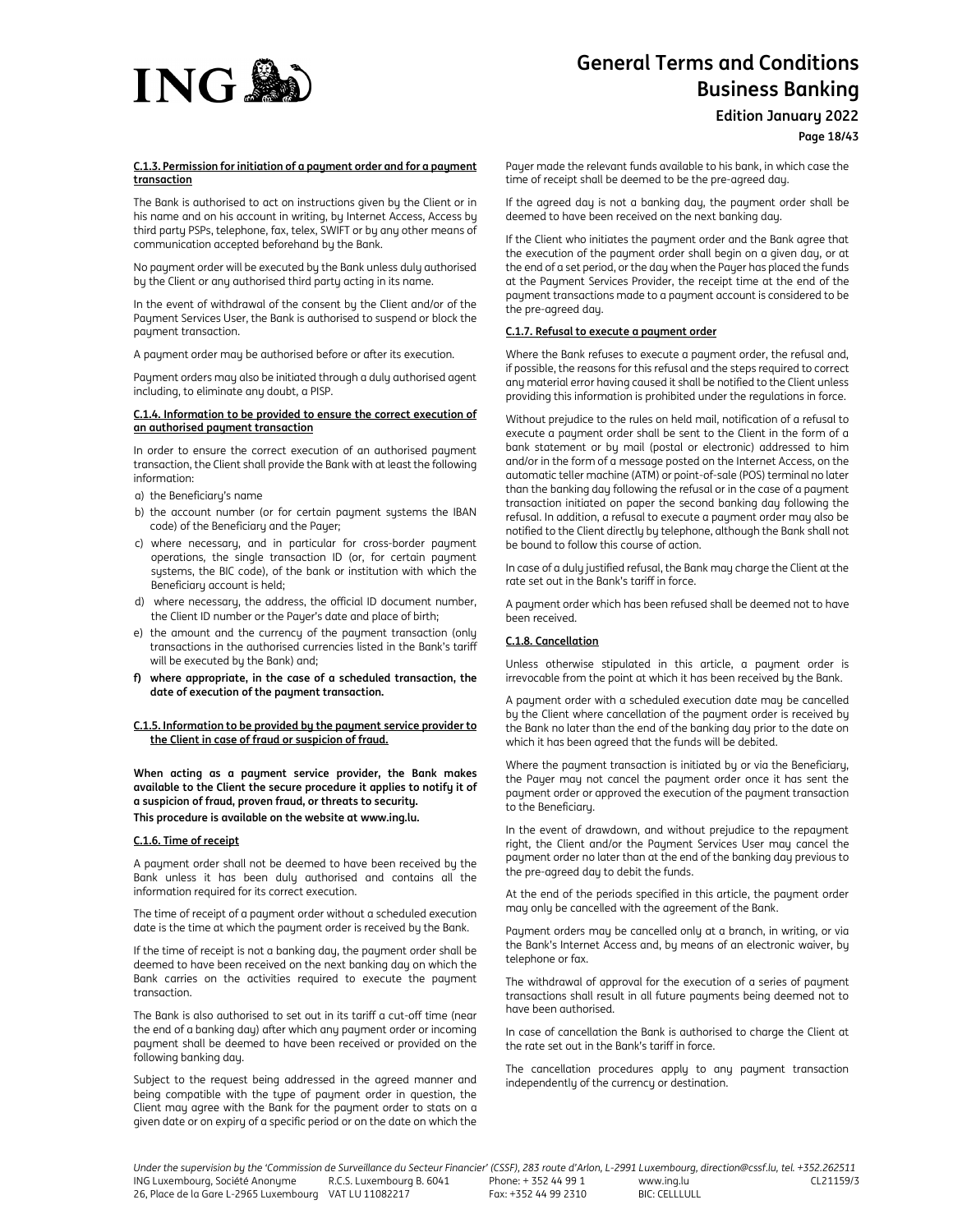

**Edition January 2022**

**Page 18/43**

## **C.1.3. Permission for initiation of a payment order and for a payment transaction**

The Bank is authorised to act on instructions given by the Client or in his name and on his account in writing, by Internet Access, Access by third party PSPs, telephone, fax, telex, SWIFT or by any other means of communication accepted beforehand by the Bank.

No payment order will be executed by the Bank unless duly authorised by the Client or any authorised third party acting in its name.

In the event of withdrawal of the consent by the Client and/or of the Payment Services User, the Bank is authorised to suspend or block the payment transaction.

A payment order may be authorised before or after its execution.

Payment orders may also be initiated through a duly authorised agent including, to eliminate any doubt, a PISP.

#### **C.1.4. Information to be provided to ensure the correct execution of an authorised payment transaction**

In order to ensure the correct execution of an authorised payment transaction, the Client shall provide the Bank with at least the following information:

- a) the Beneficiary's name
- b) the account number (or for certain payment systems the IBAN code) of the Beneficiary and the Payer;
- c) where necessary, and in particular for cross-border payment operations, the single transaction ID (or, for certain payment systems, the BIC code), of the bank or institution with which the Beneficiary account is held;
- d) where necessary, the address, the official ID document number, the Client ID number or the Payer's date and place of birth;
- e) the amount and the currency of the payment transaction (only transactions in the authorised currencies listed in the Bank's tariff will be executed by the Bank) and;
- **f) where appropriate, in the case of a scheduled transaction, the date of execution of the payment transaction.**

#### **C.1.5. Information to be provided by the payment service provider to the Client in case of fraud or suspicion of fraud.**

**When acting as a payment service provider, the Bank makes available to the Client the secure procedure it applies to notify it of a suspicion of fraud, proven fraud, or threats to security. This procedure is available on the website at www.ing.lu.** 

## **C.1.6. Time of receipt**

A payment order shall not be deemed to have been received by the Bank unless it has been duly authorised and contains all the information required for its correct execution.

The time of receipt of a payment order without a scheduled execution date is the time at which the payment order is received by the Bank.

If the time of receipt is not a banking day, the payment order shall be deemed to have been received on the next banking day on which the Bank carries on the activities required to execute the payment transaction.

The Bank is also authorised to set out in its tariff a cut-off time (near the end of a banking day) after which any payment order or incoming payment shall be deemed to have been received or provided on the following banking day.

Subject to the request being addressed in the agreed manner and being compatible with the type of payment order in question, the Client may agree with the Bank for the payment order to stats on a given date or on expiry of a specific period or on the date on which the

Payer made the relevant funds available to his bank, in which case the time of receipt shall be deemed to be the pre-agreed day.

If the agreed day is not a banking day, the payment order shall be deemed to have been received on the next banking day.

If the Client who initiates the payment order and the Bank agree that the execution of the payment order shall begin on a given day, or at the end of a set period, or the day when the Payer has placed the funds at the Payment Services Provider, the receipt time at the end of the payment transactions made to a payment account is considered to be the pre-agreed day.

# **C.1.7. Refusal to execute a payment order**

Where the Bank refuses to execute a payment order, the refusal and, if possible, the reasons for this refusal and the steps required to correct any material error having caused it shall be notified to the Client unless providing this information is prohibited under the regulations in force.

Without prejudice to the rules on held mail, notification of a refusal to execute a payment order shall be sent to the Client in the form of a bank statement or by mail (postal or electronic) addressed to him and/or in the form of a message posted on the Internet Access, on the automatic teller machine (ATM) or point-of-sale (POS) terminal no later than the banking day following the refusal or in the case of a payment transaction initiated on paper the second banking day following the refusal. In addition, a refusal to execute a payment order may also be notified to the Client directly by telephone, although the Bank shall not be bound to follow this course of action.

In case of a duly justified refusal, the Bank may charge the Client at the rate set out in the Bank's tariff in force.

A payment order which has been refused shall be deemed not to have been received.

# **C.1.8. Cancellation**

Unless otherwise stipulated in this article, a payment order is irrevocable from the point at which it has been received by the Bank.

A payment order with a scheduled execution date may be cancelled by the Client where cancellation of the payment order is received by the Bank no later than the end of the banking day prior to the date on which it has been agreed that the funds will be debited.

Where the payment transaction is initiated by or via the Beneficiary, the Payer may not cancel the payment order once it has sent the payment order or approved the execution of the payment transaction to the Beneficiary.

In the event of drawdown, and without prejudice to the repayment right, the Client and/or the Payment Services User may cancel the payment order no later than at the end of the banking day previous to the pre-agreed day to debit the funds.

At the end of the periods specified in this article, the payment order may only be cancelled with the agreement of the Bank.

Payment orders may be cancelled only at a branch, in writing, or via the Bank's Internet Access and, by means of an electronic waiver, by telephone or fax.

The withdrawal of approval for the execution of a series of payment transactions shall result in all future payments being deemed not to have been authorised.

In case of cancellation the Bank is authorised to charge the Client at the rate set out in the Bank's tariff in force.

The cancellation procedures apply to any payment transaction independently of the currency or destination.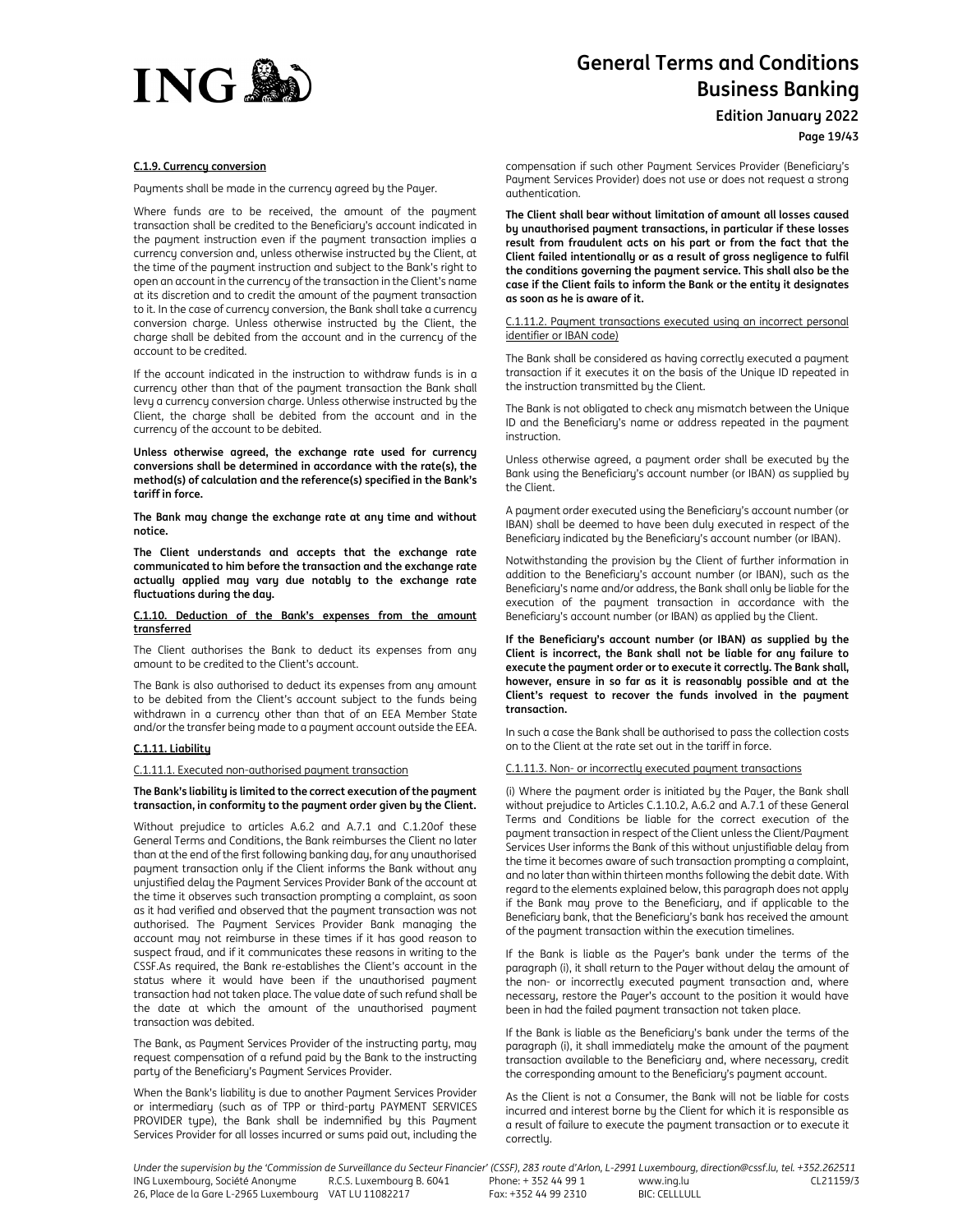

**Edition January 2022**

**Page 19/43**

#### **C.1.9. Currency conversion**

Payments shall be made in the currency agreed by the Payer.

Where funds are to be received, the amount of the payment transaction shall be credited to the Beneficiary's account indicated in the payment instruction even if the payment transaction implies a currency conversion and, unless otherwise instructed by the Client, at the time of the payment instruction and subject to the Bank's right to open an account in the currency of the transaction in the Client's name at its discretion and to credit the amount of the payment transaction to it. In the case of currency conversion, the Bank shall take a currency conversion charge. Unless otherwise instructed by the Client, the charge shall be debited from the account and in the currency of the account to be credited.

If the account indicated in the instruction to withdraw funds is in a currency other than that of the payment transaction the Bank shall levy a currency conversion charge. Unless otherwise instructed by the Client, the charge shall be debited from the account and in the currency of the account to be debited.

**Unless otherwise agreed, the exchange rate used for currency conversions shall be determined in accordance with the rate(s), the method(s) of calculation and the reference(s) specified in the Bank's tariff in force.** 

**The Bank may change the exchange rate at any time and without notice.** 

**The Client understands and accepts that the exchange rate communicated to him before the transaction and the exchange rate actually applied may vary due notably to the exchange rate fluctuations during the day.** 

#### **C.1.10. Deduction of the Bank's expenses from the amount transferred**

The Client authorises the Bank to deduct its expenses from any amount to be credited to the Client's account.

The Bank is also authorised to deduct its expenses from any amount to be debited from the Client's account subject to the funds being withdrawn in a currency other than that of an EEA Member State and/or the transfer being made to a payment account outside the EEA.

#### **C.1.11. Liability**

C.1.11.1. Executed non-authorised payment transaction

#### **The Bank's liability is limited to the correct execution of the payment transaction, in conformity to the payment order given by the Client.**

Without prejudice to articles A.6.2 and A.7.1 and C.1.20of these General Terms and Conditions, the Bank reimburses the Client no later than at the end of the first following banking day, for any unauthorised payment transaction only if the Client informs the Bank without any unjustified delay the Payment Services Provider Bank of the account at the time it observes such transaction prompting a complaint, as soon as it had verified and observed that the payment transaction was not authorised. The Payment Services Provider Bank managing the account may not reimburse in these times if it has good reason to suspect fraud, and if it communicates these reasons in writing to the CSSF.As required, the Bank re-establishes the Client's account in the status where it would have been if the unauthorised payment transaction had not taken place. The value date of such refund shall be the date at which the amount of the unauthorised payment transaction was debited.

The Bank, as Payment Services Provider of the instructing party, may request compensation of a refund paid by the Bank to the instructing party of the Beneficiary's Payment Services Provider.

When the Bank's liability is due to another Payment Services Provider or intermediary (such as of TPP or third-party PAYMENT SERVICES PROVIDER type), the Bank shall be indemnified by this Payment Services Provider for all losses incurred or sums paid out, including the

compensation if such other Payment Services Provider (Beneficiary's Payment Services Provider) does not use or does not request a strong authentication.

**The Client shall bear without limitation of amount all losses caused by unauthorised payment transactions, in particular if these losses result from fraudulent acts on his part or from the fact that the Client failed intentionally or as a result of gross negligence to fulfil the conditions governing the payment service. This shall also be the case if the Client fails to inform the Bank or the entity it designates as soon as he is aware of it.** 

C.1.11.2. Payment transactions executed using an incorrect personal identifier or IBAN code)

The Bank shall be considered as having correctly executed a payment transaction if it executes it on the basis of the Unique ID repeated in the instruction transmitted by the Client.

The Bank is not obligated to check any mismatch between the Unique ID and the Beneficiary's name or address repeated in the payment instruction.

Unless otherwise agreed, a payment order shall be executed by the Bank using the Beneficiary's account number (or IBAN) as supplied by the Client.

A payment order executed using the Beneficiary's account number (or IBAN) shall be deemed to have been duly executed in respect of the Beneficiary indicated by the Beneficiary's account number (or IBAN).

Notwithstanding the provision by the Client of further information in addition to the Beneficiary's account number (or IBAN), such as the Beneficiary's name and/or address, the Bank shall only be liable for the execution of the payment transaction in accordance with the Beneficiary's account number (or IBAN) as applied by the Client.

**If the Beneficiary's account number (or IBAN) as supplied by the Client is incorrect, the Bank shall not be liable for any failure to execute the payment order or to execute it correctly. The Bank shall, however, ensure in so far as it is reasonably possible and at the Client's request to recover the funds involved in the payment transaction.** 

In such a case the Bank shall be authorised to pass the collection costs on to the Client at the rate set out in the tariff in force.

## C.1.11.3. Non- or incorrectly executed payment transactions

(i) Where the payment order is initiated by the Payer, the Bank shall without prejudice to Articles C.1.10.2, A.6.2 and A.7.1 of these General Terms and Conditions be liable for the correct execution of the payment transaction in respect of the Client unless the Client/Payment Services User informs the Bank of this without unjustifiable delay from the time it becomes aware of such transaction prompting a complaint, and no later than within thirteen months following the debit date. With regard to the elements explained below, this paragraph does not apply if the Bank may prove to the Beneficiary, and if applicable to the Beneficiary bank, that the Beneficiary's bank has received the amount of the payment transaction within the execution timelines.

If the Bank is liable as the Payer's bank under the terms of the paragraph (i), it shall return to the Payer without delay the amount of the non- or incorrectly executed payment transaction and, where necessary, restore the Payer's account to the position it would have been in had the failed payment transaction not taken place.

If the Bank is liable as the Beneficiary's bank under the terms of the paragraph (i), it shall immediately make the amount of the payment transaction available to the Beneficiary and, where necessary, credit the corresponding amount to the Beneficiary's payment account.

As the Client is not a Consumer, the Bank will not be liable for costs incurred and interest borne by the Client for which it is responsible as a result of failure to execute the payment transaction or to execute it correctly.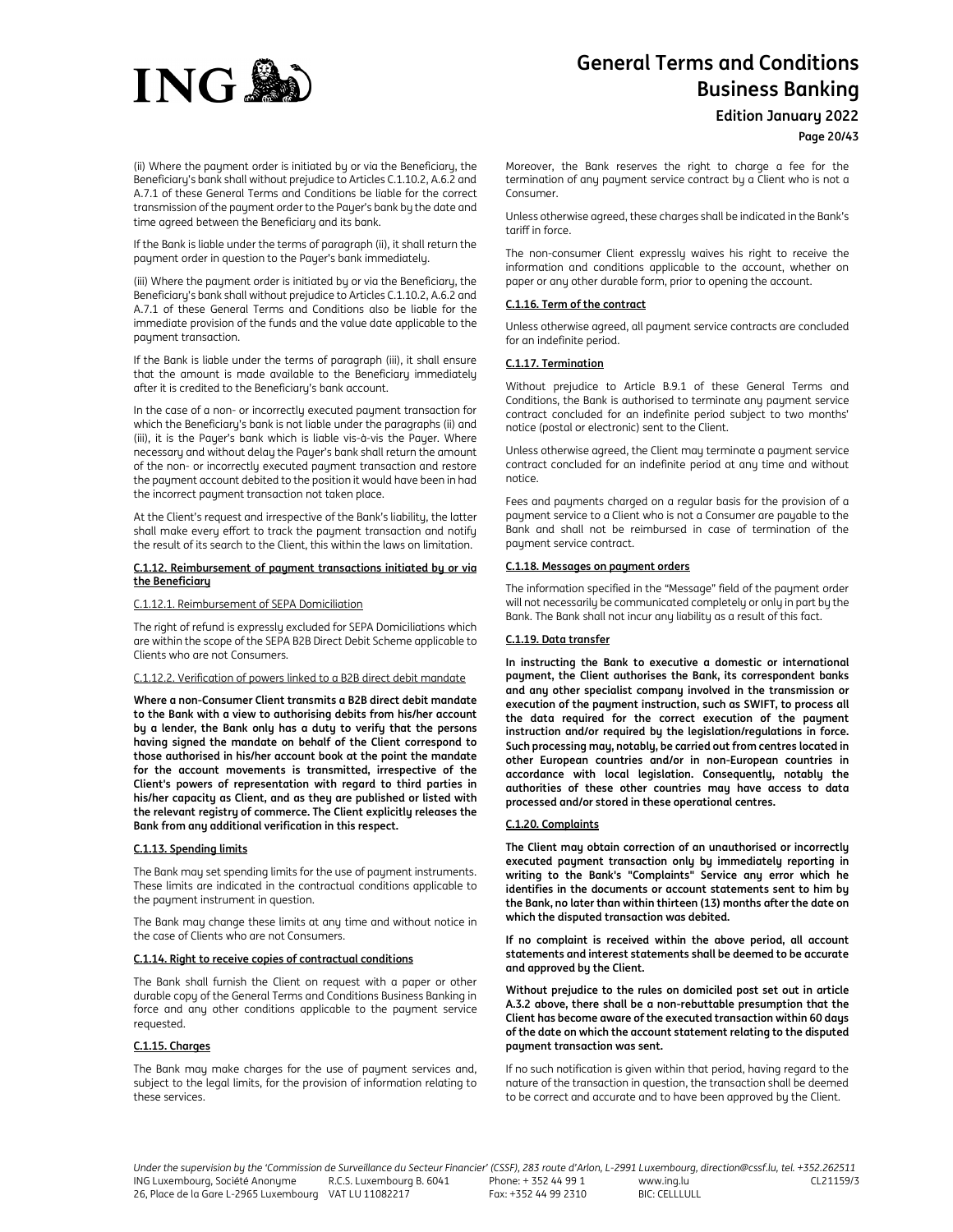

**Edition January 2022**

**Page 20/43**

(ii) Where the payment order is initiated by or via the Beneficiary, the Beneficiary's bank shall without prejudice to Articles C.1.10.2, A.6.2 and A.7.1 of these General Terms and Conditions be liable for the correct transmission of the payment order to the Payer's bank by the date and time agreed between the Beneficiary and its bank.

If the Bank is liable under the terms of paragraph (ii), it shall return the payment order in question to the Payer's bank immediately.

(iii) Where the payment order is initiated by or via the Beneficiary, the Beneficiary's bank shall without prejudice to Articles C.1.10.2, A.6.2 and A.7.1 of these General Terms and Conditions also be liable for the immediate provision of the funds and the value date applicable to the payment transaction.

If the Bank is liable under the terms of paragraph (iii), it shall ensure that the amount is made available to the Beneficiary immediately after it is credited to the Beneficiary's bank account.

In the case of a non- or incorrectly executed payment transaction for which the Beneficiary's bank is not liable under the paragraphs (ii) and (iii), it is the Payer's bank which is liable vis-à-vis the Payer. Where necessary and without delay the Payer's bank shall return the amount of the non- or incorrectly executed payment transaction and restore the payment account debited to the position it would have been in had the incorrect payment transaction not taken place.

At the Client's request and irrespective of the Bank's liability, the latter shall make every effort to track the payment transaction and notify the result of its search to the Client, this within the laws on limitation.

#### **C.1.12. Reimbursement of payment transactions initiated by or via the Beneficiary**

C.1.12.1. Reimbursement of SEPA Domiciliation

The right of refund is expressly excluded for SEPA Domiciliations which are within the scope of the SEPA B2B Direct Debit Scheme applicable to Clients who are not Consumers.

## C.1.12.2. Verification of powers linked to a B2B direct debit mandate

**Where a non-Consumer Client transmits a B2B direct debit mandate to the Bank with a view to authorising debits from his/her account by a lender, the Bank only has a duty to verify that the persons having signed the mandate on behalf of the Client correspond to those authorised in his/her account book at the point the mandate for the account movements is transmitted, irrespective of the Client's powers of representation with regard to third parties in his/her capacity as Client, and as they are published or listed with the relevant registry of commerce. The Client explicitly releases the Bank from any additional verification in this respect.**

#### **C.1.13. Spending limits**

The Bank may set spending limits for the use of payment instruments. These limits are indicated in the contractual conditions applicable to the payment instrument in question.

The Bank may change these limits at any time and without notice in the case of Clients who are not Consumers.

#### **C.1.14. Right to receive copies of contractual conditions**

The Bank shall furnish the Client on request with a paper or other durable copy of the General Terms and Conditions Business Banking in force and any other conditions applicable to the payment service requested.

#### **C.1.15. Charges**

The Bank may make charges for the use of payment services and, subject to the legal limits, for the provision of information relating to these services.

Moreover, the Bank reserves the right to charge a fee for the termination of any payment service contract by a Client who is not a Consumer.

Unless otherwise agreed, these charges shall be indicated in the Bank's tariff in force.

The non-consumer Client expressly waives his right to receive the information and conditions applicable to the account, whether on paper or any other durable form, prior to opening the account.

## **C.1.16. Term of the contract**

Unless otherwise agreed, all payment service contracts are concluded for an indefinite period.

#### **C.1.17. Termination**

Without prejudice to Article B.9.1 of these General Terms and Conditions, the Bank is authorised to terminate any payment service contract concluded for an indefinite period subject to two months' notice (postal or electronic) sent to the Client.

Unless otherwise agreed, the Client may terminate a payment service contract concluded for an indefinite period at any time and without notice.

Fees and payments charged on a regular basis for the provision of a payment service to a Client who is not a Consumer are payable to the Bank and shall not be reimbursed in case of termination of the payment service contract.

#### **C.1.18. Messages on payment orders**

The information specified in the "Message" field of the payment order will not necessarily be communicated completely or only in part by the Bank. The Bank shall not incur any liability as a result of this fact.

## **C.1.19. Data transfer**

**In instructing the Bank to executive a domestic or international payment, the Client authorises the Bank, its correspondent banks and any other specialist company involved in the transmission or execution of the payment instruction, such as SWIFT, to process all the data required for the correct execution of the payment instruction and/or required by the legislation/regulations in force. Such processing may, notably, be carried out from centres located in other European countries and/or in non-European countries in accordance with local legislation. Consequently, notably the authorities of these other countries may have access to data processed and/or stored in these operational centres.** 

#### **C.1.20. Complaints**

**The Client may obtain correction of an unauthorised or incorrectly executed payment transaction only by immediately reporting in writing to the Bank's "Complaints" Service any error which he identifies in the documents or account statements sent to him by the Bank, no later than within thirteen (13) months after the date on which the disputed transaction was debited.** 

**If no complaint is received within the above period, all account statements and interest statements shall be deemed to be accurate and approved by the Client.** 

**Without prejudice to the rules on domiciled post set out in article A.3.2 above, there shall be a non-rebuttable presumption that the Client has become aware of the executed transaction within 60 days of the date on which the account statement relating to the disputed payment transaction was sent.** 

If no such notification is given within that period, having regard to the nature of the transaction in question, the transaction shall be deemed to be correct and accurate and to have been approved by the Client.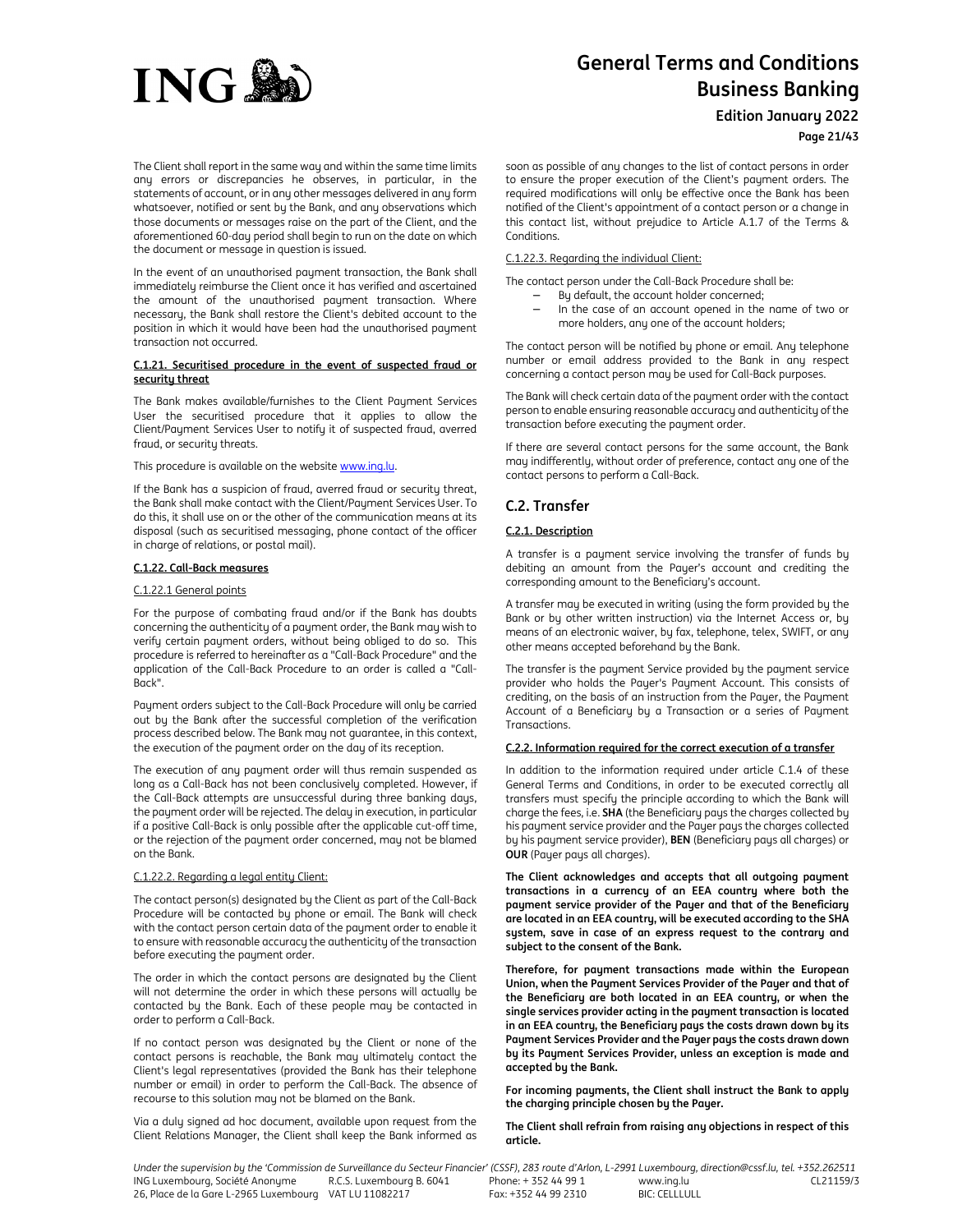

**Edition January 2022**

# **Page 21/43**

The Client shall report in the same way and within the same time limits any errors or discrepancies he observes, in particular, in the statements of account, or in any other messages delivered in any form whatsoever, notified or sent by the Bank, and any observations which those documents or messages raise on the part of the Client, and the aforementioned 60-day period shall begin to run on the date on which the document or message in question is issued.

In the event of an unauthorised payment transaction, the Bank shall immediately reimburse the Client once it has verified and ascertained the amount of the unauthorised payment transaction. Where necessary, the Bank shall restore the Client's debited account to the position in which it would have been had the unauthorised payment transaction not occurred.

#### **C.1.21. Securitised procedure in the event of suspected fraud or security threat**

The Bank makes available/furnishes to the Client Payment Services User the securitised procedure that it applies to allow the Client/Payment Services User to notify it of suspected fraud, averred fraud, or security threats.

#### This procedure is available on the website www.ing.lu.

If the Bank has a suspicion of fraud, averred fraud or security threat, the Bank shall make contact with the Client/Payment Services User. To do this, it shall use on or the other of the communication means at its disposal (such as securitised messaging, phone contact of the officer in charge of relations, or postal mail).

#### **C.1.22. Call-Back measures**

#### C.1.22.1 General points

For the purpose of combating fraud and/or if the Bank has doubts concerning the authenticity of a payment order, the Bank may wish to verify certain payment orders, without being obliged to do so. This procedure is referred to hereinafter as a "Call-Back Procedure" and the application of the Call-Back Procedure to an order is called a "Call-Back".

Payment orders subject to the Call-Back Procedure will only be carried out by the Bank after the successful completion of the verification process described below. The Bank may not guarantee, in this context, the execution of the payment order on the day of its reception.

The execution of any payment order will thus remain suspended as long as a Call-Back has not been conclusively completed. However, if the Call-Back attempts are unsuccessful during three banking days, the payment order will be rejected. The delay in execution, in particular if a positive Call-Back is only possible after the applicable cut-off time, or the rejection of the payment order concerned, may not be blamed on the Bank.

#### C.1.22.2. Regarding a legal entity Client:

The contact person(s) designated by the Client as part of the Call-Back Procedure will be contacted by phone or email. The Bank will check with the contact person certain data of the payment order to enable it to ensure with reasonable accuracy the authenticity of the transaction before executing the payment order.

The order in which the contact persons are designated by the Client will not determine the order in which these persons will actually be contacted by the Bank. Each of these people may be contacted in order to perform a Call-Back.

If no contact person was designated by the Client or none of the contact persons is reachable, the Bank may ultimately contact the Client's legal representatives (provided the Bank has their telephone number or email) in order to perform the Call-Back. The absence of recourse to this solution may not be blamed on the Bank.

Via a duly signed ad hoc document, available upon request from the Client Relations Manager, the Client shall keep the Bank informed as soon as possible of any changes to the list of contact persons in order to ensure the proper execution of the Client's payment orders. The required modifications will only be effective once the Bank has been notified of the Client's appointment of a contact person or a change in this contact list, without prejudice to Article A.1.7 of the Terms & Conditions.

# C.1.22.3. Regarding the individual Client:

The contact person under the Call-Back Procedure shall be:

- By default, the account holder concerned;
- − In the case of an account opened in the name of two or more holders, any one of the account holders;

The contact person will be notified by phone or email. Any telephone number or email address provided to the Bank in any respect concerning a contact person may be used for Call-Back purposes.

The Bank will check certain data of the payment order with the contact person to enable ensuring reasonable accuracy and authenticity of the transaction before executing the payment order.

If there are several contact persons for the same account, the Bank may indifferently, without order of preference, contact any one of the contact persons to perform a Call-Back.

# **C.2. Transfer**

# **C.2.1. Description**

A transfer is a payment service involving the transfer of funds by debiting an amount from the Payer's account and crediting the corresponding amount to the Beneficiary's account.

A transfer may be executed in writing (using the form provided by the Bank or by other written instruction) via the Internet Access or, by means of an electronic waiver, by fax, telephone, telex, SWIFT, or any other means accepted beforehand by the Bank.

The transfer is the payment Service provided by the payment service provider who holds the Payer's Payment Account. This consists of crediting, on the basis of an instruction from the Payer, the Payment Account of a Beneficiary by a Transaction or a series of Payment **Transactions** 

## **C.2.2. Information required for the correct execution of a transfer**

In addition to the information required under article C.1.4 of these General Terms and Conditions, in order to be executed correctly all transfers must specify the principle according to which the Bank will charge the fees, i.e. **SHA** (the Beneficiary pays the charges collected by his payment service provider and the Payer pays the charges collected by his payment service provider), **BEN** (Beneficiary pays all charges) or **OUR** (Payer pays all charges).

**The Client acknowledges and accepts that all outgoing payment transactions in a currency of an EEA country where both the payment service provider of the Payer and that of the Beneficiary are located in an EEA country, will be executed according to the SHA system, save in case of an express request to the contrary and subject to the consent of the Bank.** 

**Therefore, for payment transactions made within the European Union, when the Payment Services Provider of the Payer and that of the Beneficiary are both located in an EEA country, or when the single services provider acting in the payment transaction is located in an EEA country, the Beneficiary pays the costs drawn down by its Payment Services Provider and the Payer pays the costs drawn down by its Payment Services Provider, unless an exception is made and accepted by the Bank.** 

**For incoming payments, the Client shall instruct the Bank to apply the charging principle chosen by the Payer.** 

**The Client shall refrain from raising any objections in respect of this article.**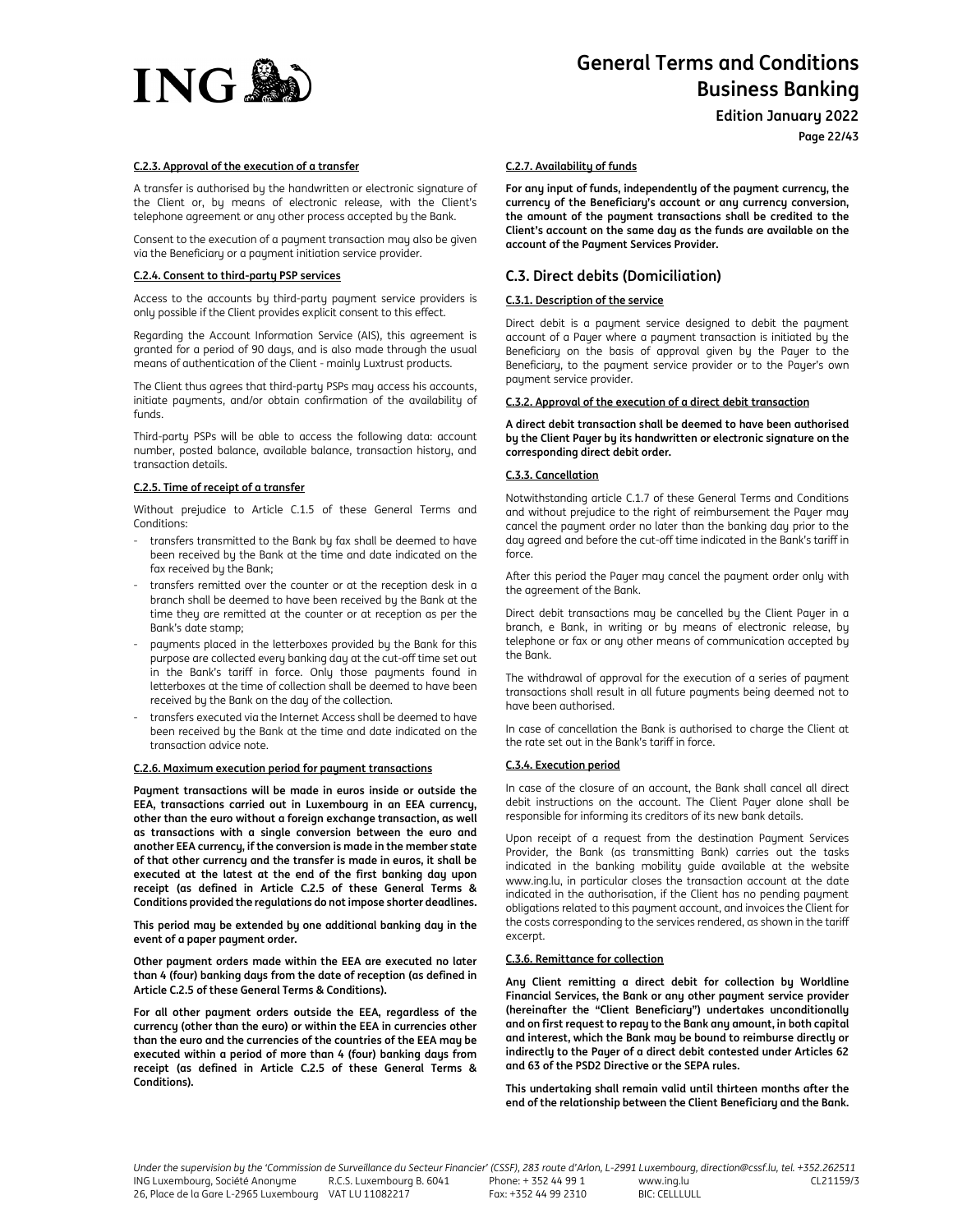

**Edition January 2022**

**Page 22/43**

# **C.2.3. Approval of the execution of a transfer**

A transfer is authorised by the handwritten or electronic signature of the Client or, by means of electronic release, with the Client's telephone agreement or any other process accepted by the Bank.

Consent to the execution of a payment transaction may also be given via the Beneficiary or a payment initiation service provider.

# **C.2.4. Consent to third-party PSP services**

Access to the accounts by third-party payment service providers is only possible if the Client provides explicit consent to this effect.

Regarding the Account Information Service (AIS), this agreement is granted for a period of 90 days, and is also made through the usual means of authentication of the Client - mainly Luxtrust products.

The Client thus agrees that third-party PSPs may access his accounts, initiate payments, and/or obtain confirmation of the availability of funds.

Third-party PSPs will be able to access the following data: account number, posted balance, available balance, transaction history, and transaction details.

## **C.2.5. Time of receipt of a transfer**

Without prejudice to Article C.1.5 of these General Terms and Conditions:

- transfers transmitted to the Bank by fax shall be deemed to have been received by the Bank at the time and date indicated on the fax received by the Bank;
- transfers remitted over the counter or at the reception desk in a branch shall be deemed to have been received by the Bank at the time they are remitted at the counter or at reception as per the Bank's date stamp;
- payments placed in the letterboxes provided by the Bank for this purpose are collected every banking day at the cut-off time set out in the Bank's tariff in force. Only those payments found in letterboxes at the time of collection shall be deemed to have been received by the Bank on the day of the collection.
- transfers executed via the Internet Access shall be deemed to have been received by the Bank at the time and date indicated on the transaction advice note.

#### **C.2.6. Maximum execution period for payment transactions**

**Payment transactions will be made in euros inside or outside the EEA, transactions carried out in Luxembourg in an EEA currency, other than the euro without a foreign exchange transaction, as well as transactions with a single conversion between the euro and another EEA currency, if the conversion is made in the member state of that other currency and the transfer is made in euros, it shall be executed at the latest at the end of the first banking day upon receipt (as defined in Article C.2.5 of these General Terms & Conditions provided the regulations do not impose shorter deadlines.** 

**This period may be extended by one additional banking day in the event of a paper payment order.** 

**Other payment orders made within the EEA are executed no later than 4 (four) banking days from the date of reception (as defined in Article C.2.5 of these General Terms & Conditions).**

**For all other payment orders outside the EEA, regardless of the currency (other than the euro) or within the EEA in currencies other than the euro and the currencies of the countries of the EEA may be executed within a period of more than 4 (four) banking days from receipt (as defined in Article C.2.5 of these General Terms & Conditions).** 

#### **C.2.7. Availability of funds**

**For any input of funds, independently of the payment currency, the currency of the Beneficiary's account or any currency conversion, the amount of the payment transactions shall be credited to the Client's account on the same day as the funds are available on the account of the Payment Services Provider.** 

# **C.3. Direct debits (Domiciliation)**

# **C.3.1. Description of the service**

Direct debit is a payment service designed to debit the payment account of a Payer where a payment transaction is initiated by the Beneficiary on the basis of approval given by the Payer to the Beneficiary, to the payment service provider or to the Payer's own payment service provider.

## **C.3.2. Approval of the execution of a direct debit transaction**

**A direct debit transaction shall be deemed to have been authorised by the Client Payer by its handwritten or electronic signature on the corresponding direct debit order.** 

#### **C.3.3. Cancellation**

Notwithstanding article C.1.7 of these General Terms and Conditions and without prejudice to the right of reimbursement the Payer may cancel the payment order no later than the banking day prior to the day agreed and before the cut-off time indicated in the Bank's tariff in force.

After this period the Payer may cancel the payment order only with the agreement of the Bank.

Direct debit transactions may be cancelled by the Client Payer in a branch, e Bank, in writing or by means of electronic release, by telephone or fax or any other means of communication accepted by the Bank.

The withdrawal of approval for the execution of a series of payment transactions shall result in all future payments being deemed not to have been authorised.

In case of cancellation the Bank is authorised to charge the Client at the rate set out in the Bank's tariff in force.

## **C.3.4. Execution period**

In case of the closure of an account, the Bank shall cancel all direct debit instructions on the account. The Client Payer alone shall be responsible for informing its creditors of its new bank details.

Upon receipt of a request from the destination Payment Services Provider, the Bank (as transmitting Bank) carries out the tasks indicated in the banking mobility guide available at the website www.ing.lu, in particular closes the transaction account at the date indicated in the authorisation, if the Client has no pending payment obligations related to this payment account, and invoices the Client for the costs corresponding to the services rendered, as shown in the tariff excerpt.

## **C.3.6. Remittance for collection**

**Any Client remitting a direct debit for collection by Worldline Financial Services, the Bank or any other payment service provider (hereinafter the "Client Beneficiary") undertakes unconditionally and on first request to repay to the Bank any amount, in both capital and interest, which the Bank may be bound to reimburse directly or indirectly to the Payer of a direct debit contested under Articles 62 and 63 of the PSD2 Directive or the SEPA rules.** 

**This undertaking shall remain valid until thirteen months after the end of the relationship between the Client Beneficiary and the Bank.**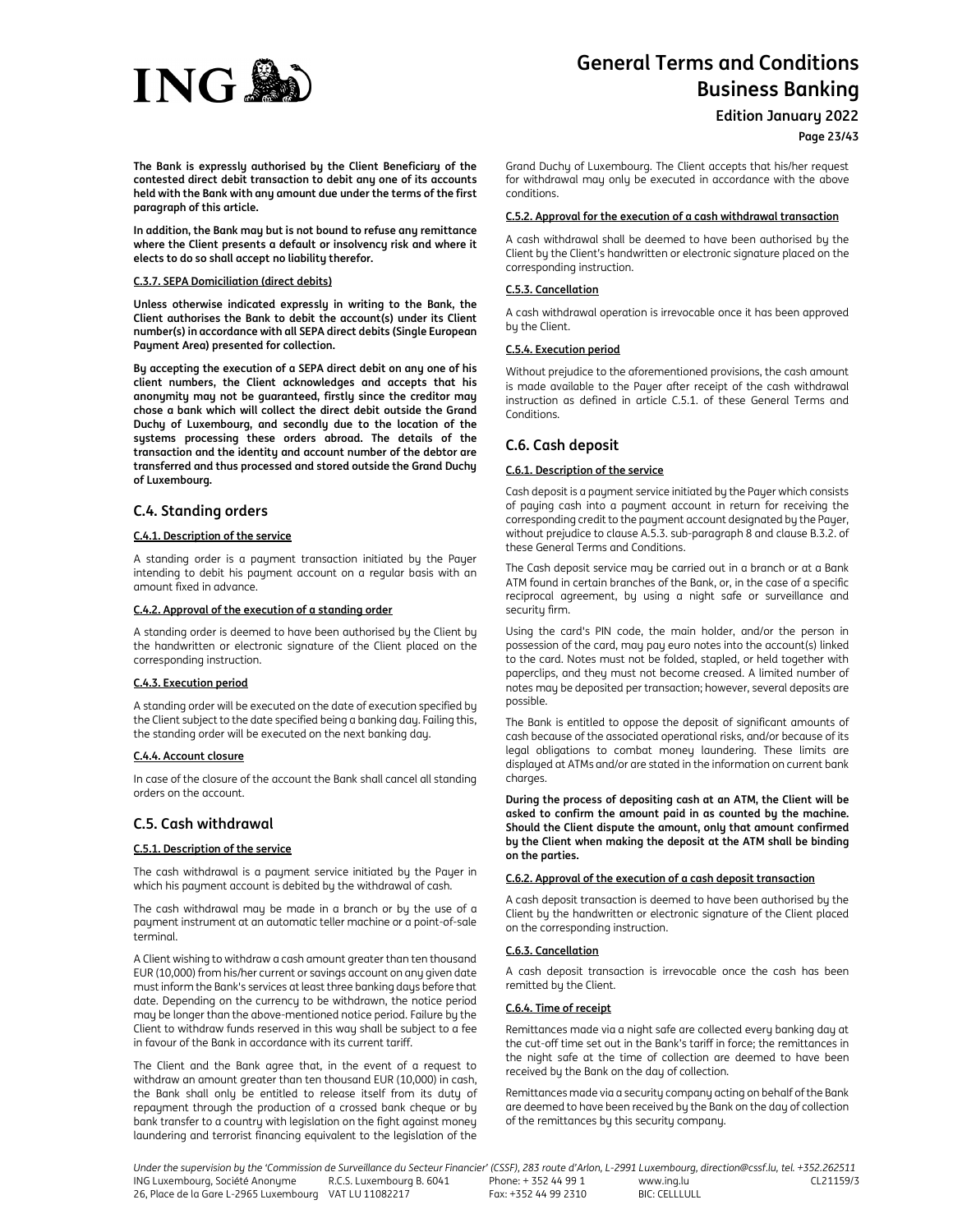

**Edition January 2022**

**Page 23/43**

**The Bank is expressly authorised by the Client Beneficiary of the contested direct debit transaction to debit any one of its accounts held with the Bank with any amount due under the terms of the first paragraph of this article.** 

**In addition, the Bank may but is not bound to refuse any remittance where the Client presents a default or insolvency risk and where it elects to do so shall accept no liability therefor.**

# **C.3.7. SEPA Domiciliation (direct debits)**

**Unless otherwise indicated expressly in writing to the Bank, the Client authorises the Bank to debit the account(s) under its Client number(s) in accordance with all SEPA direct debits (Single European Payment Area) presented for collection.** 

**By accepting the execution of a SEPA direct debit on any one of his client numbers, the Client acknowledges and accepts that his anonymity may not be guaranteed, firstly since the creditor may chose a bank which will collect the direct debit outside the Grand Duchy of Luxembourg, and secondly due to the location of the systems processing these orders abroad. The details of the transaction and the identity and account number of the debtor are transferred and thus processed and stored outside the Grand Duchy of Luxembourg.** 

# **C.4. Standing orders**

# **C.4.1. Description of the service**

A standing order is a payment transaction initiated by the Payer intending to debit his payment account on a regular basis with an amount fixed in advance.

# **C.4.2. Approval of the execution of a standing order**

A standing order is deemed to have been authorised by the Client by the handwritten or electronic signature of the Client placed on the corresponding instruction.

## **C.4.3. Execution period**

A standing order will be executed on the date of execution specified by the Client subject to the date specified being a banking day. Failing this, the standing order will be executed on the next banking day.

## **C.4.4. Account closure**

In case of the closure of the account the Bank shall cancel all standing orders on the account.

# **C.5. Cash withdrawal**

## **C.5.1. Description of the service**

The cash withdrawal is a payment service initiated by the Payer in which his payment account is debited by the withdrawal of cash.

The cash withdrawal may be made in a branch or by the use of a payment instrument at an automatic teller machine or a point-of-sale terminal.

A Client wishing to withdraw a cash amount greater than ten thousand EUR (10,000) from his/her current or savings account on any given date must inform the Bank's services at least three banking days before that date. Depending on the currency to be withdrawn, the notice period may be longer than the above-mentioned notice period. Failure by the Client to withdraw funds reserved in this way shall be subject to a fee in favour of the Bank in accordance with its current tariff.

The Client and the Bank agree that, in the event of a request to withdraw an amount greater than ten thousand EUR (10,000) in cash, the Bank shall only be entitled to release itself from its duty of repayment through the production of a crossed bank cheque or by bank transfer to a country with legislation on the fight against money laundering and terrorist financing equivalent to the legislation of the

Grand Duchy of Luxembourg. The Client accepts that his/her request for withdrawal may only be executed in accordance with the above conditions.

## **C.5.2. Approval for the execution of a cash withdrawal transaction**

A cash withdrawal shall be deemed to have been authorised by the Client by the Client's handwritten or electronic signature placed on the corresponding instruction.

## **C.5.3. Cancellation**

A cash withdrawal operation is irrevocable once it has been approved by the Client.

# **C.5.4. Execution period**

Without prejudice to the aforementioned provisions, the cash amount is made available to the Payer after receipt of the cash withdrawal instruction as defined in article C.5.1. of these General Terms and Conditions.

# **C.6. Cash deposit**

## **C.6.1. Description of the service**

Cash deposit is a payment service initiated by the Payer which consists of paying cash into a payment account in return for receiving the corresponding credit to the payment account designated by the Payer, without prejudice to clause A.5.3. sub-paragraph 8 and clause B.3.2. of these General Terms and Conditions.

The Cash deposit service may be carried out in a branch or at a Bank ATM found in certain branches of the Bank, or, in the case of a specific reciprocal agreement, by using a night safe or surveillance and security firm.

Using the card's PIN code, the main holder, and/or the person in possession of the card, may pay euro notes into the account(s) linked to the card. Notes must not be folded, stapled, or held together with paperclips, and they must not become creased. A limited number of notes may be deposited per transaction; however, several deposits are possible.

The Bank is entitled to oppose the deposit of significant amounts of cash because of the associated operational risks, and/or because of its legal obligations to combat money laundering. These limits are displayed at ATMs and/or are stated in the information on current bank charges.

**During the process of depositing cash at an ATM, the Client will be asked to confirm the amount paid in as counted by the machine. Should the Client dispute the amount, only that amount confirmed by the Client when making the deposit at the ATM shall be binding on the parties.**

## **C.6.2. Approval of the execution of a cash deposit transaction**

A cash deposit transaction is deemed to have been authorised by the Client by the handwritten or electronic signature of the Client placed on the corresponding instruction.

## **C.6.3. Cancellation**

A cash deposit transaction is irrevocable once the cash has been remitted by the Client.

## **C.6.4. Time of receipt**

Remittances made via a night safe are collected every banking day at the cut-off time set out in the Bank's tariff in force; the remittances in the night safe at the time of collection are deemed to have been received by the Bank on the day of collection.

Remittances made via a security company acting on behalf of the Bank are deemed to have been received by the Bank on the day of collection of the remittances by this security company.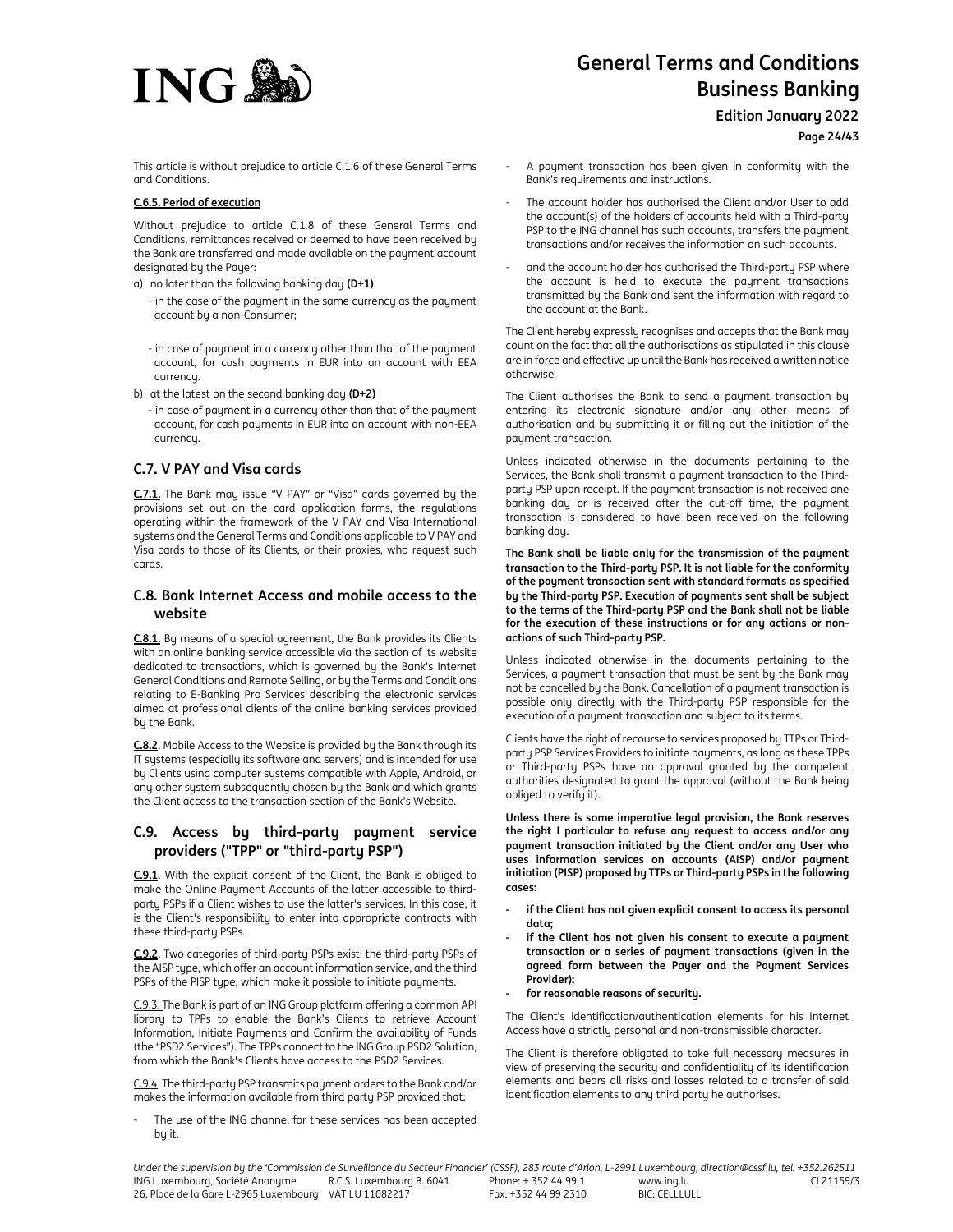

**Edition January 2022**

**Page 24/43**

This article is without prejudice to article C.1.6 of these General Terms and Conditions.

# **C.6.5. Period of execution**

Without prejudice to article C.1.8 of these General Terms and Conditions, remittances received or deemed to have been received by the Bank are transferred and made available on the payment account designated by the Payer:

- a) no later than the following banking day **(D+1)**
	- in the case of the payment in the same currency as the payment account by a non-Consumer;
	- in case of payment in a currency other than that of the payment account, for cash payments in EUR into an account with EEA currency.
- b) at the latest on the second banking day **(D+2)**
	- in case of payment in a currency other than that of the payment account, for cash payments in EUR into an account with non-EEA currency.

# **C.7. V PAY and Visa cards**

**C.7.1.** The Bank may issue "V PAY" or "Visa" cards governed by the provisions set out on the card application forms, the regulations operating within the framework of the V PAY and Visa International systems and the General Terms and Conditions applicable to V PAY and Visa cards to those of its Clients, or their proxies, who request such cards.

# **C.8. Bank Internet Access and mobile access to the website**

**C.8.1.** By means of a special agreement, the Bank provides its Clients with an online banking service accessible via the section of its website dedicated to transactions, which is governed by the Bank's Internet General Conditions and Remote Selling, or by the Terms and Conditions relating to E-Banking Pro Services describing the electronic services aimed at professional clients of the online banking services provided by the Bank.

**C.8.2**. Mobile Access to the Website is provided by the Bank through its IT systems (especially its software and servers) and is intended for use by Clients using computer systems compatible with Apple, Android, or any other system subsequently chosen by the Bank and which grants the Client access to the transaction section of the Bank's Website.

# **C.9. Access by third-party payment service providers ("TPP" or "third-party PSP")**

**C.9.1**. With the explicit consent of the Client, the Bank is obliged to make the Online Payment Accounts of the latter accessible to thirdparty PSPs if a Client wishes to use the latter's services. In this case, it is the Client's responsibility to enter into appropriate contracts with these third-party PSPs.

**C.9.2**. Two categories of third-party PSPs exist: the third-party PSPs of the AISP type, which offer an account information service, and the third PSPs of the PISP type, which make it possible to initiate payments.

C.9.3. The Bank is part of an ING Group platform offering a common API library to TPPs to enable the Bank's Clients to retrieve Account Information, Initiate Payments and Confirm the availability of Funds (the "PSD2 Services"). The TPPs connect to the ING Group PSD2 Solution, from which the Bank's Clients have access to the PSD2 Services.

C.9.4. The third-party PSP transmits payment orders to the Bank and/or makes the information available from third party PSP provided that:

The use of the ING channel for these services has been accepted by it.

- A payment transaction has been given in conformity with the Bank's requirements and instructions.
- The account holder has authorised the Client and/or User to add the account(s) of the holders of accounts held with a Third-party PSP to the ING channel has such accounts, transfers the payment transactions and/or receives the information on such accounts.
- and the account holder has authorised the Third-party PSP where the account is held to execute the payment transactions transmitted by the Bank and sent the information with regard to the account at the Bank.

The Client hereby expressly recognises and accepts that the Bank may count on the fact that all the authorisations as stipulated in this clause are in force and effective up until the Bank has received a written notice otherwise.

The Client authorises the Bank to send a payment transaction by entering its electronic signature and/or any other means of authorisation and by submitting it or filling out the initiation of the payment transaction.

Unless indicated otherwise in the documents pertaining to the Services, the Bank shall transmit a payment transaction to the Thirdparty PSP upon receipt. If the payment transaction is not received one banking day or is received after the cut-off time, the payment transaction is considered to have been received on the following banking day.

**The Bank shall be liable only for the transmission of the payment transaction to the Third-party PSP. It is not liable for the conformity of the payment transaction sent with standard formats as specified by the Third-party PSP. Execution of payments sent shall be subject to the terms of the Third-party PSP and the Bank shall not be liable for the execution of these instructions or for any actions or nonactions of such Third-party PSP.** 

Unless indicated otherwise in the documents pertaining to the Services, a payment transaction that must be sent by the Bank may not be cancelled by the Bank. Cancellation of a payment transaction is possible only directly with the Third-party PSP responsible for the execution of a payment transaction and subject to its terms.

Clients have the right of recourse to services proposed by TTPs or Thirdparty PSP Services Providers to initiate payments, as long as these TPPs or Third-party PSPs have an approval granted by the competent authorities designated to grant the approval (without the Bank being obliged to verify it).

**Unless there is some imperative legal provision, the Bank reserves the right I particular to refuse any request to access and/or any payment transaction initiated by the Client and/or any User who uses information services on accounts (AISP) and/or payment initiation (PISP) proposed by TTPs or Third-party PSPs in the following cases:** 

- **if the Client has not given explicit consent to access its personal data;**
- **if the Client has not given his consent to execute a payment transaction or a series of payment transactions (given in the agreed form between the Payer and the Payment Services Provider);**
- **for reasonable reasons of security.**

The Client's identification/authentication elements for his Internet Access have a strictly personal and non-transmissible character.

The Client is therefore obligated to take full necessary measures in view of preserving the security and confidentiality of its identification elements and bears all risks and losses related to a transfer of said identification elements to any third party he authorises.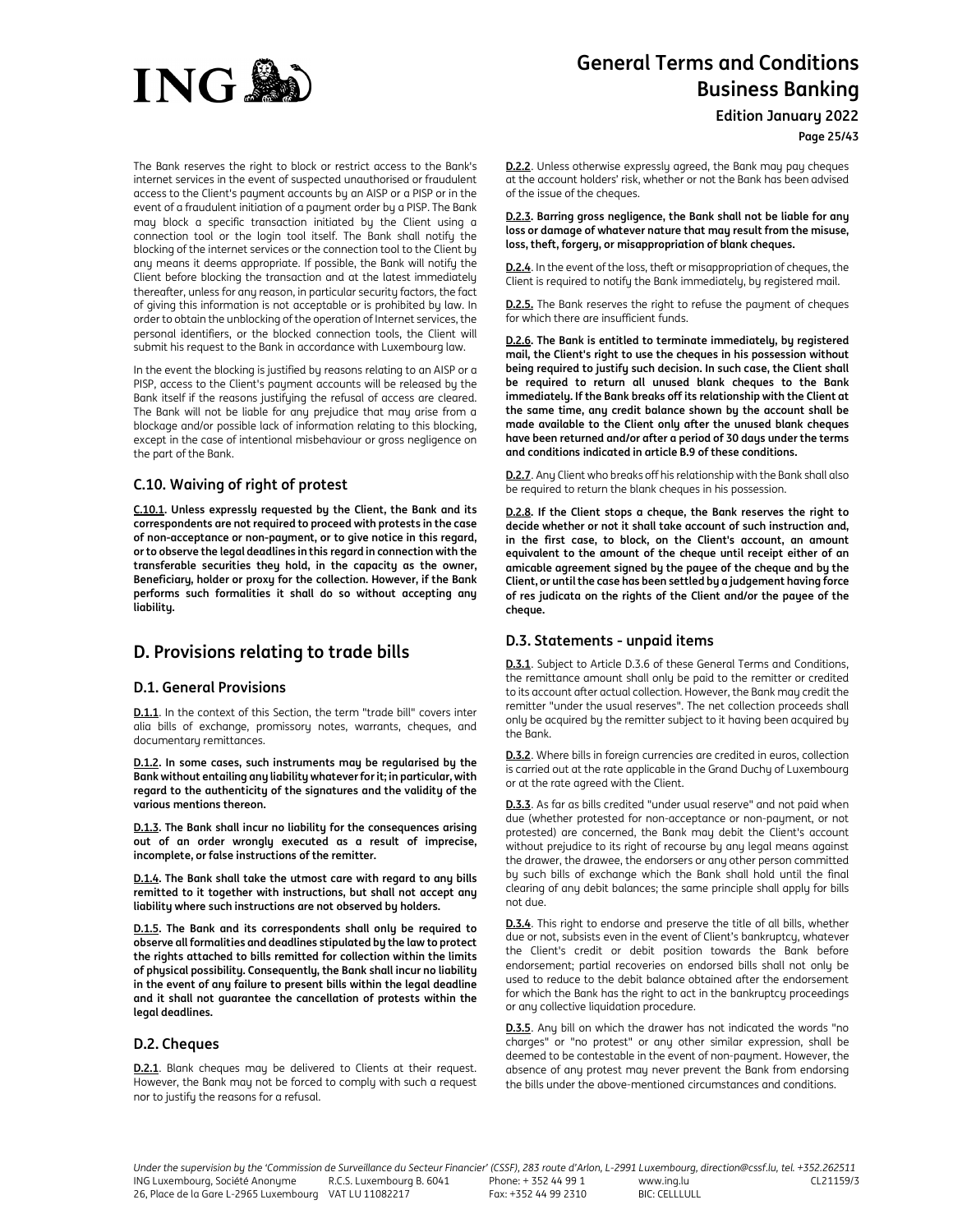

The Bank reserves the right to block or restrict access to the Bank's internet services in the event of suspected unauthorised or fraudulent access to the Client's payment accounts by an AISP or a PISP or in the event of a fraudulent initiation of a payment order by a PISP. The Bank may block a specific transaction initiated by the Client using a connection tool or the login tool itself. The Bank shall notify the blocking of the internet services or the connection tool to the Client by any means it deems appropriate. If possible, the Bank will notify the Client before blocking the transaction and at the latest immediately thereafter, unless for any reason, in particular security factors, the fact of giving this information is not acceptable or is prohibited by law. In order to obtain the unblocking of the operation of Internet services, the personal identifiers, or the blocked connection tools, the Client will submit his request to the Bank in accordance with Luxembourg law.

In the event the blocking is justified by reasons relating to an AISP or a PISP, access to the Client's payment accounts will be released by the Bank itself if the reasons justifying the refusal of access are cleared. The Bank will not be liable for any prejudice that may arise from a blockage and/or possible lack of information relating to this blocking, except in the case of intentional misbehaviour or gross negligence on the part of the Bank.

# **C.10. Waiving of right of protest**

**C.10.1. Unless expressly requested by the Client, the Bank and its correspondents are not required to proceed with protests in the case of non-acceptance or non-payment, or to give notice in this regard, or to observe the legal deadlines in this regard in connection with the transferable securities they hold, in the capacity as the owner, Beneficiary, holder or proxy for the collection. However, if the Bank performs such formalities it shall do so without accepting any liability.** 

# **D. Provisions relating to trade bills**

# **D.1. General Provisions**

**D.1.1**. In the context of this Section, the term "trade bill" covers inter alia bills of exchange, promissory notes, warrants, cheques, and documentary remittances.

**D.1.2. In some cases, such instruments may be regularised by the Bank without entailing any liability whatever for it; in particular, with regard to the authenticity of the signatures and the validity of the various mentions thereon.** 

**D.1.3. The Bank shall incur no liability for the consequences arising out of an order wrongly executed as a result of imprecise, incomplete, or false instructions of the remitter.** 

**D.1.4. The Bank shall take the utmost care with regard to any bills remitted to it together with instructions, but shall not accept any liability where such instructions are not observed by holders.** 

**D.1.5. The Bank and its correspondents shall only be required to observe all formalities and deadlines stipulated by the law to protect the rights attached to bills remitted for collection within the limits of physical possibility. Consequently, the Bank shall incur no liability in the event of any failure to present bills within the legal deadline and it shall not guarantee the cancellation of protests within the legal deadlines.** 

# **D.2. Cheques**

**D.2.1**. Blank cheques may be delivered to Clients at their request. However, the Bank may not be forced to comply with such a request nor to justify the reasons for a refusal.

# **General Terms and Conditions Business Banking**

**Edition January 2022**

**Page 25/43**

**D.2.2**. Unless otherwise expressly agreed, the Bank may pay cheques at the account holders' risk, whether or not the Bank has been advised of the issue of the cheques.

**D.2.3. Barring gross negligence, the Bank shall not be liable for any loss or damage of whatever nature that may result from the misuse, loss, theft, forgery, or misappropriation of blank cheques.** 

**D.2.4**. In the event of the loss, theft or misappropriation of cheques, the Client is required to notify the Bank immediately, by registered mail.

**D.2.5.** The Bank reserves the right to refuse the payment of cheques for which there are insufficient funds.

**D.2.6. The Bank is entitled to terminate immediately, by registered mail, the Client's right to use the cheques in his possession without being required to justify such decision. In such case, the Client shall be required to return all unused blank cheques to the Bank immediately. If the Bank breaks off its relationship with the Client at the same time, any credit balance shown by the account shall be made available to the Client only after the unused blank cheques have been returned and/or after a period of 30 days under the terms and conditions indicated in article B.9 of these conditions.** 

**D.2.7**. Any Client who breaks off his relationship with the Bank shall also be required to return the blank cheques in his possession.

**D.2.8. If the Client stops a cheque, the Bank reserves the right to decide whether or not it shall take account of such instruction and, in the first case, to block, on the Client's account, an amount equivalent to the amount of the cheque until receipt either of an amicable agreement signed by the payee of the cheque and by the Client, or until the case has been settled by a judgement having force of res judicata on the rights of the Client and/or the payee of the cheque.** 

# **D.3. Statements - unpaid items**

**D.3.1**. Subject to Article D.3.6 of these General Terms and Conditions, the remittance amount shall only be paid to the remitter or credited to its account after actual collection. However, the Bank may credit the remitter "under the usual reserves". The net collection proceeds shall only be acquired by the remitter subject to it having been acquired by the Bank.

**D.3.2**. Where bills in foreign currencies are credited in euros, collection is carried out at the rate applicable in the Grand Duchy of Luxembourg or at the rate agreed with the Client.

**D.3.3**. As far as bills credited "under usual reserve" and not paid when due (whether protested for non-acceptance or non-payment, or not protested) are concerned, the Bank may debit the Client's account without prejudice to its right of recourse by any legal means against the drawer, the drawee, the endorsers or any other person committed by such bills of exchange which the Bank shall hold until the final clearing of any debit balances; the same principle shall apply for bills not due.

**D.3.4**. This right to endorse and preserve the title of all bills, whether due or not, subsists even in the event of Client's bankruptcy, whatever the Client's credit or debit position towards the Bank before endorsement; partial recoveries on endorsed bills shall not only be used to reduce to the debit balance obtained after the endorsement for which the Bank has the right to act in the bankruptcy proceedings or any collective liquidation procedure.

**D.3.5**. Any bill on which the drawer has not indicated the words "no charges" or "no protest" or any other similar expression, shall be deemed to be contestable in the event of non-payment. However, the absence of any protest may never prevent the Bank from endorsing the bills under the above-mentioned circumstances and conditions.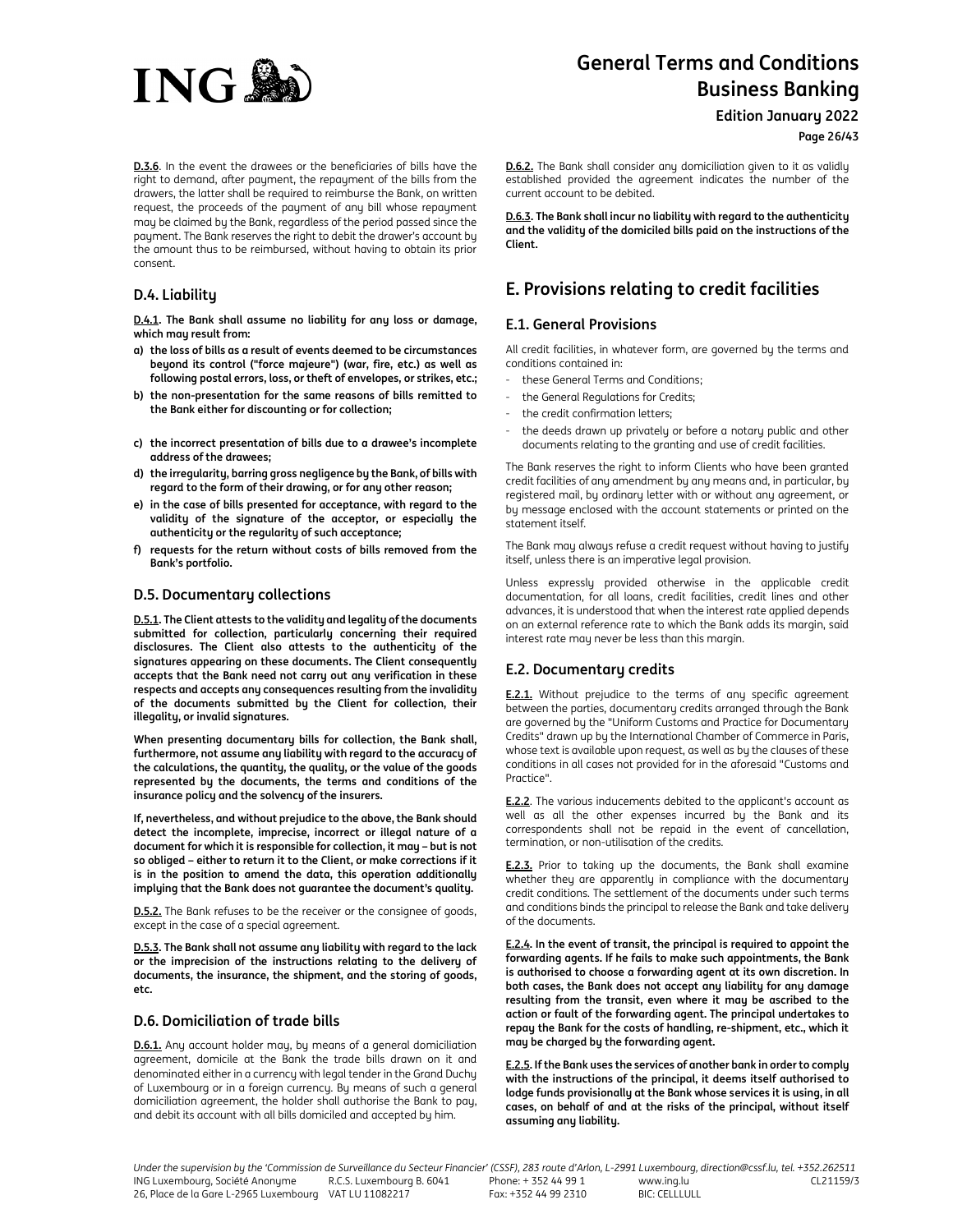

**Edition January 2022**

**Page 26/43**

**D.3.6**. In the event the drawees or the beneficiaries of bills have the right to demand, after payment, the repayment of the bills from the drawers, the latter shall be required to reimburse the Bank, on written request, the proceeds of the payment of any bill whose repayment may be claimed by the Bank, regardless of the period passed since the payment. The Bank reserves the right to debit the drawer's account by the amount thus to be reimbursed, without having to obtain its prior consent.

# **D.4. Liability**

**D.4.1. The Bank shall assume no liability for any loss or damage, which may result from:** 

- **a) the loss of bills as a result of events deemed to be circumstances beyond its control ("force majeure") (war, fire, etc.) as well as following postal errors, loss, or theft of envelopes, or strikes, etc.;**
- **b) the non-presentation for the same reasons of bills remitted to the Bank either for discounting or for collection;**
- **c) the incorrect presentation of bills due to a drawee's incomplete address of the drawees;**
- **d) the irregularity, barring gross negligence by the Bank, of bills with regard to the form of their drawing, or for any other reason;**
- **e) in the case of bills presented for acceptance, with regard to the validity of the signature of the acceptor, or especially the authenticity or the regularity of such acceptance;**
- **f) requests for the return without costs of bills removed from the Bank's portfolio.**

# **D.5. Documentary collections**

**D.5.1. The Client attests to the validity and legality of the documents submitted for collection, particularly concerning their required disclosures. The Client also attests to the authenticity of the signatures appearing on these documents. The Client consequently accepts that the Bank need not carry out any verification in these respects and accepts any consequences resulting from the invalidity of the documents submitted by the Client for collection, their illegality, or invalid signatures.** 

**When presenting documentary bills for collection, the Bank shall, furthermore, not assume any liability with regard to the accuracy of the calculations, the quantity, the quality, or the value of the goods represented by the documents, the terms and conditions of the insurance policy and the solvency of the insurers.** 

**If, nevertheless, and without prejudice to the above, the Bank should detect the incomplete, imprecise, incorrect or illegal nature of a document for which it is responsible for collection, it may – but is not so obliged – either to return it to the Client, or make corrections if it is in the position to amend the data, this operation additionally implying that the Bank does not guarantee the document's quality.** 

**D.5.2.** The Bank refuses to be the receiver or the consignee of goods, except in the case of a special agreement.

**D.5.3. The Bank shall not assume any liability with regard to the lack or the imprecision of the instructions relating to the delivery of documents, the insurance, the shipment, and the storing of goods, etc.** 

# **D.6. Domiciliation of trade bills**

**D.6.1.** Any account holder may, by means of a general domiciliation agreement, domicile at the Bank the trade bills drawn on it and denominated either in a currency with legal tender in the Grand Duchy of Luxembourg or in a foreign currency. By means of such a general domiciliation agreement, the holder shall authorise the Bank to pay, and debit its account with all bills domiciled and accepted by him.

**D.6.2.** The Bank shall consider any domiciliation given to it as validly established provided the agreement indicates the number of the current account to be debited.

**D.6.3. The Bank shall incur no liability with regard to the authenticity and the validity of the domiciled bills paid on the instructions of the Client.** 

# **E. Provisions relating to credit facilities**

# **E.1. General Provisions**

All credit facilities, in whatever form, are governed by the terms and conditions contained in:

- these General Terms and Conditions;
- the General Regulations for Credits;
- the credit confirmation letters;
- the deeds drawn up privately or before a notary public and other documents relating to the granting and use of credit facilities.

The Bank reserves the right to inform Clients who have been granted credit facilities of any amendment by any means and, in particular, by registered mail, by ordinary letter with or without any agreement, or by message enclosed with the account statements or printed on the statement itself.

The Bank may always refuse a credit request without having to justify itself, unless there is an imperative legal provision.

Unless expressly provided otherwise in the applicable credit documentation, for all loans, credit facilities, credit lines and other advances, it is understood that when the interest rate applied depends on an external reference rate to which the Bank adds its margin, said interest rate may never be less than this margin.

# **E.2. Documentary credits**

**E.2.1.** Without prejudice to the terms of any specific agreement between the parties, documentary credits arranged through the Bank are governed by the "Uniform Customs and Practice for Documentary Credits" drawn up by the International Chamber of Commerce in Paris, whose text is available upon request, as well as by the clauses of these conditions in all cases not provided for in the aforesaid "Customs and Practice".

**E.2.2.** The various inducements debited to the applicant's account as well as all the other expenses incurred by the Bank and its correspondents shall not be repaid in the event of cancellation, termination, or non-utilisation of the credits.

**E.2.3.** Prior to taking up the documents, the Bank shall examine whether they are apparently in compliance with the documentary credit conditions. The settlement of the documents under such terms and conditions binds the principal to release the Bank and take delivery of the documents.

**E.2.4. In the event of transit, the principal is required to appoint the forwarding agents. If he fails to make such appointments, the Bank is authorised to choose a forwarding agent at its own discretion. In both cases, the Bank does not accept any liability for any damage resulting from the transit, even where it may be ascribed to the action or fault of the forwarding agent. The principal undertakes to repay the Bank for the costs of handling, re-shipment, etc., which it may be charged by the forwarding agent.** 

**E.2.5. If the Bank uses the services of another bank in order to comply with the instructions of the principal, it deems itself authorised to lodge funds provisionally at the Bank whose services it is using, in all cases, on behalf of and at the risks of the principal, without itself assuming any liability.**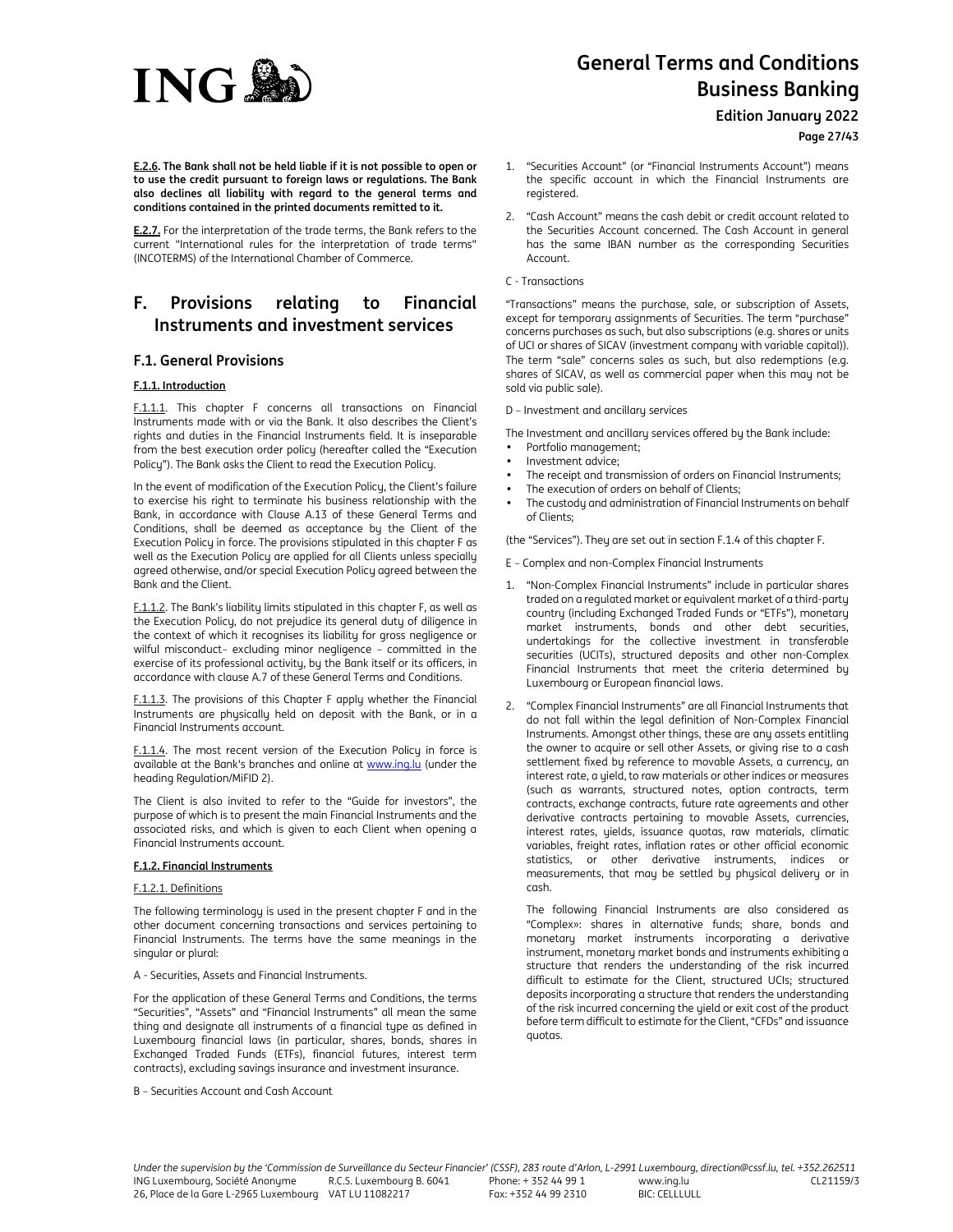# **ING®**

# **General Terms and Conditions Business Banking**

**Edition January 2022**

**Page 27/43**

**E.2.6. The Bank shall not be held liable if it is not possible to open or to use the credit pursuant to foreign laws or regulations. The Bank also declines all liability with regard to the general terms and conditions contained in the printed documents remitted to it.** 

**E.2.7.** For the interpretation of the trade terms, the Bank refers to the current "International rules for the interpretation of trade terms" (INCOTERMS) of the International Chamber of Commerce.

# **F. Provisions relating to Financial Instruments and investment services**

# **F.1. General Provisions**

# **F.1.1. Introduction**

F.1.1.1. This chapter F concerns all transactions on Financial Instruments made with or via the Bank. It also describes the Client's rights and duties in the Financial Instruments field. It is inseparable from the best execution order policy (hereafter called the "Execution Policy"). The Bank asks the Client to read the Execution Policy.

In the event of modification of the Execution Policy, the Client's failure to exercise his right to terminate his business relationship with the Bank, in accordance with Clause A.13 of these General Terms and Conditions, shall be deemed as acceptance by the Client of the Execution Policy in force. The provisions stipulated in this chapter F as well as the Execution Policy are applied for all Clients unless specially agreed otherwise, and/or special Execution Policy agreed between the Bank and the Client.

F.1.1.2. The Bank's liability limits stipulated in this chapter F, as well as the Execution Policy, do not prejudice its general duty of diligence in the context of which it recognises its liability for gross negligence or wilful misconduct– excluding minor negligence – committed in the exercise of its professional activity, by the Bank itself or its officers, in accordance with clause A.7 of these General Terms and Conditions.

F.1.1.3. The provisions of this Chapter F apply whether the Financial Instruments are physically held on deposit with the Bank, or in a Financial Instruments account.

F.1.1.4. The most recent version of the Execution Policy in force is available at the Bank's branches and online at www.ing.lu (under the heading Regulation/MiFID 2).

The Client is also invited to refer to the "Guide for investors", the purpose of which is to present the main Financial Instruments and the associated risks, and which is given to each Client when opening a Financial Instruments account.

# **F.1.2. Financial Instruments**

# F.1.2.1. Definitions

The following terminology is used in the present chapter F and in the other document concerning transactions and services pertaining to Financial Instruments. The terms have the same meanings in the singular or plural:

## A - Securities, Assets and Financial Instruments.

For the application of these General Terms and Conditions, the terms "Securities", "Assets" and "Financial Instruments" all mean the same thing and designate all instruments of a financial type as defined in Luxembourg financial laws (in particular, shares, bonds, shares in Exchanged Traded Funds (ETFs), financial futures, interest term contracts), excluding savings insurance and investment insurance.

## B – Securities Account and Cash Account

1. "Securities Account" (or "Financial Instruments Account") means the specific account in which the Financial Instruments are registered.

- 2. "Cash Account" means the cash debit or credit account related to the Securities Account concerned. The Cash Account in general has the same IBAN number as the corresponding Securities Account.
- C Transactions

"Transactions" means the purchase, sale, or subscription of Assets, except for temporary assignments of Securities. The term "purchase" concerns purchases as such, but also subscriptions (e.g. shares or units of UCI or shares of SICAV (investment company with variable capital)). The term "sale" concerns sales as such, but also redemptions (e.g. shares of SICAV, as well as commercial paper when this may not be sold via public sale).

D – Investment and ancillary services

The Investment and ancillary services offered by the Bank include:

- Portfolio management;
- Investment advice;
- The receipt and transmission of orders on Financial Instruments;
- The execution of orders on behalf of Clients;
- The custody and administration of Financial Instruments on behalf of Clients;

(the "Services"). They are set out in section F.1.4 of this chapter F.

E – Complex and non-Complex Financial Instruments

- 1. "Non-Complex Financial Instruments" include in particular shares traded on a regulated market or equivalent market of a third-party country (including Exchanged Traded Funds or "ETFs"), monetary market instruments, bonds and other debt securities, undertakings for the collective investment in transferable securities (UCITs), structured deposits and other non-Complex Financial Instruments that meet the criteria determined by Luxembourg or European financial laws.
- 2. "Complex Financial Instruments" are all Financial Instruments that do not fall within the legal definition of Non-Complex Financial Instruments. Amongst other things, these are any assets entitling the owner to acquire or sell other Assets, or giving rise to a cash settlement fixed by reference to movable Assets, a currency, an interest rate, a yield, to raw materials or other indices or measures (such as warrants, structured notes, option contracts, term contracts, exchange contracts, future rate agreements and other derivative contracts pertaining to movable Assets, currencies, interest rates, yields, issuance quotas, raw materials, climatic variables, freight rates, inflation rates or other official economic statistics, or other derivative instruments, indices or measurements, that may be settled by physical delivery or in cash.

The following Financial Instruments are also considered as "Complex»: shares in alternative funds; share, bonds and monetary market instruments incorporating a derivative instrument, monetary market bonds and instruments exhibiting a structure that renders the understanding of the risk incurred difficult to estimate for the Client, structured UCIs; structured deposits incorporating a structure that renders the understanding of the risk incurred concerning the yield or exit cost of the product before term difficult to estimate for the Client, "CFDs" and issuance quotas.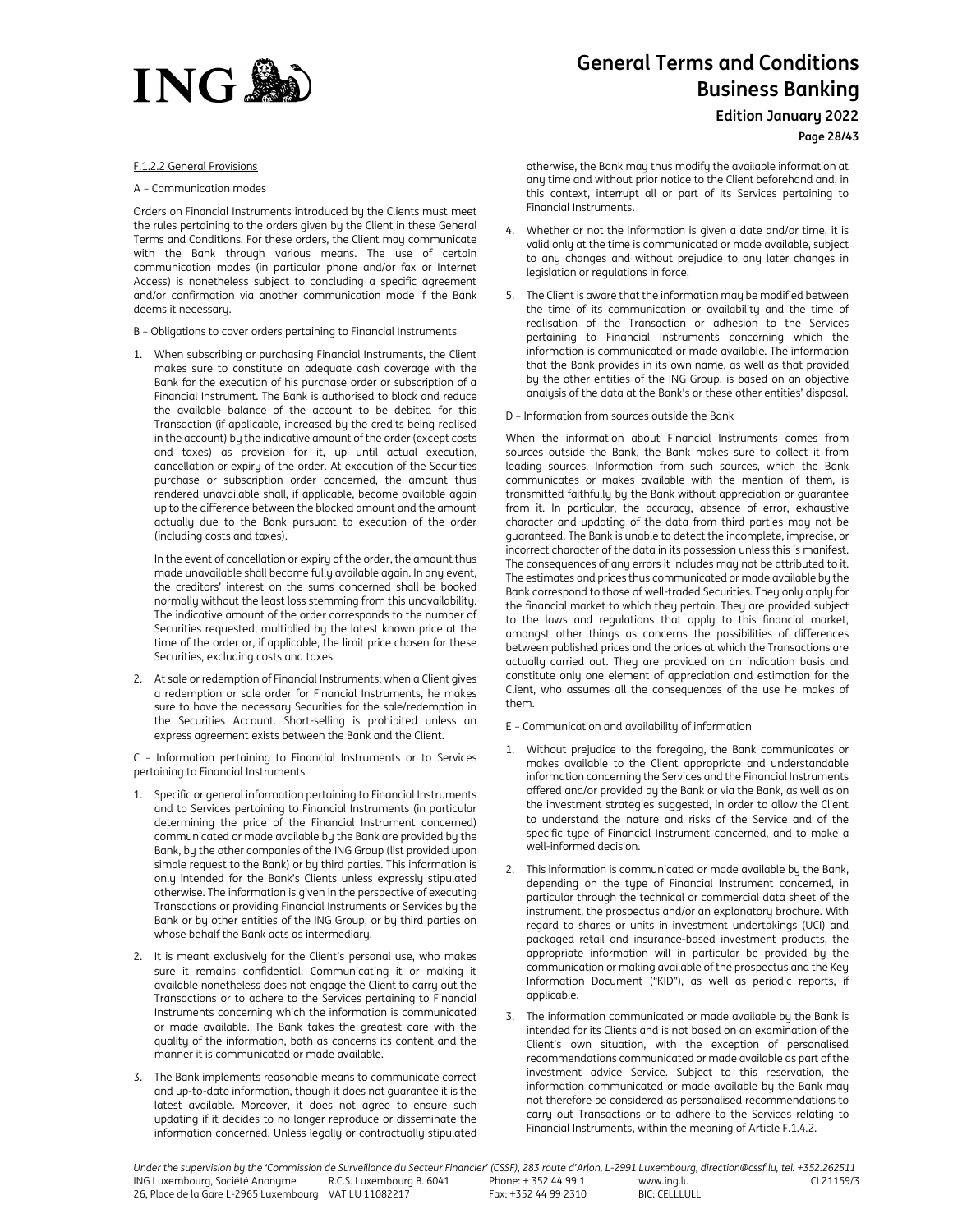

#### F.1.2.2 General Provisions

#### A – Communication modes

Orders on Financial Instruments introduced by the Clients must meet the rules pertaining to the orders given by the Client in these General Terms and Conditions. For these orders, the Client may communicate with the Bank through various means. The use of certain communication modes (in particular phone and/or fax or Internet Access) is nonetheless subject to concluding a specific agreement and/or confirmation via another communication mode if the Bank deems it necessary.

- B Obligations to cover orders pertaining to Financial Instruments
- 1. When subscribing or purchasing Financial Instruments, the Client makes sure to constitute an adequate cash coverage with the Bank for the execution of his purchase order or subscription of a Financial Instrument. The Bank is authorised to block and reduce the available balance of the account to be debited for this Transaction (if applicable, increased by the credits being realised in the account) by the indicative amount of the order (except costs and taxes) as provision for it, up until actual execution, cancellation or expiry of the order. At execution of the Securities purchase or subscription order concerned, the amount thus rendered unavailable shall, if applicable, become available again up to the difference between the blocked amount and the amount actually due to the Bank pursuant to execution of the order (including costs and taxes).

In the event of cancellation or expiry of the order, the amount thus made unavailable shall become fully available again. In any event, the creditors' interest on the sums concerned shall be booked normally without the least loss stemming from this unavailability. The indicative amount of the order corresponds to the number of Securities requested, multiplied by the latest known price at the time of the order or, if applicable, the limit price chosen for these Securities, excluding costs and taxes.

2. At sale or redemption of Financial Instruments: when a Client gives a redemption or sale order for Financial Instruments, he makes sure to have the necessary Securities for the sale/redemption in the Securities Account. Short-selling is prohibited unless an express agreement exists between the Bank and the Client.

C – Information pertaining to Financial Instruments or to Services pertaining to Financial Instruments

- 1. Specific or general information pertaining to Financial Instruments and to Services pertaining to Financial Instruments (in particular determining the price of the Financial Instrument concerned) communicated or made available by the Bank are provided by the Bank, by the other companies of the ING Group (list provided upon simple request to the Bank) or by third parties. This information is only intended for the Bank's Clients unless expressly stipulated otherwise. The information is given in the perspective of executing Transactions or providing Financial Instruments or Services by the Bank or by other entities of the ING Group, or by third parties on whose behalf the Bank acts as intermediary.
- 2. It is meant exclusively for the Client's personal use, who makes sure it remains confidential. Communicating it or making it available nonetheless does not engage the Client to carry out the Transactions or to adhere to the Services pertaining to Financial Instruments concerning which the information is communicated or made available. The Bank takes the greatest care with the quality of the information, both as concerns its content and the manner it is communicated or made available.
- 3. The Bank implements reasonable means to communicate correct and up-to-date information, though it does not guarantee it is the latest available. Moreover, it does not agree to ensure such updating if it decides to no longer reproduce or disseminate the information concerned. Unless legally or contractually stipulated

# **General Terms and Conditions Business Banking**

**Edition January 2022**

**Page 28/43**

otherwise, the Bank may thus modify the available information at any time and without prior notice to the Client beforehand and, in this context, interrupt all or part of its Services pertaining to Financial Instruments.

- 4. Whether or not the information is given a date and/or time, it is valid only at the time is communicated or made available, subject to any changes and without prejudice to any later changes in legislation or regulations in force.
- 5. The Client is aware that the information may be modified between the time of its communication or availability and the time of realisation of the Transaction or adhesion to the Services pertaining to Financial Instruments concerning which the information is communicated or made available. The information that the Bank provides in its own name, as well as that provided by the other entities of the ING Group, is based on an objective analysis of the data at the Bank's or these other entities' disposal.
- D Information from sources outside the Bank

When the information about Financial Instruments comes from sources outside the Bank, the Bank makes sure to collect it from leading sources. Information from such sources, which the Bank communicates or makes available with the mention of them, is transmitted faithfully by the Bank without appreciation or guarantee from it. In particular, the accuracy, absence of error, exhaustive character and updating of the data from third parties may not be guaranteed. The Bank is unable to detect the incomplete, imprecise, or incorrect character of the data in its possession unless this is manifest. The consequences of any errors it includes may not be attributed to it. The estimates and prices thus communicated or made available by the Bank correspond to those of well-traded Securities. They only apply for the financial market to which they pertain. They are provided subject to the laws and regulations that apply to this financial market, amongst other things as concerns the possibilities of differences between published prices and the prices at which the Transactions are actually carried out. They are provided on an indication basis and constitute only one element of appreciation and estimation for the Client, who assumes all the consequences of the use he makes of them.

- E Communication and availability of information
- 1. Without prejudice to the foregoing, the Bank communicates or makes available to the Client appropriate and understandable information concerning the Services and the Financial Instruments offered and/or provided by the Bank or via the Bank, as well as on the investment strategies suggested, in order to allow the Client to understand the nature and risks of the Service and of the specific type of Financial Instrument concerned, and to make a well-informed decision.
- 2. This information is communicated or made available by the Bank, depending on the type of Financial Instrument concerned, in particular through the technical or commercial data sheet of the instrument, the prospectus and/or an explanatory brochure. With regard to shares or units in investment undertakings (UCI) and packaged retail and insurance-based investment products, the appropriate information will in particular be provided by the communication or making available of the prospectus and the Key Information Document ("KID"), as well as periodic reports, if applicable.
- The information communicated or made available by the Bank is intended for its Clients and is not based on an examination of the Client's own situation, with the exception of personalised recommendations communicated or made available as part of the investment advice Service. Subject to this reservation, the information communicated or made available by the Bank may not therefore be considered as personalised recommendations to carry out Transactions or to adhere to the Services relating to Financial Instruments, within the meaning of Article F.1.4.2.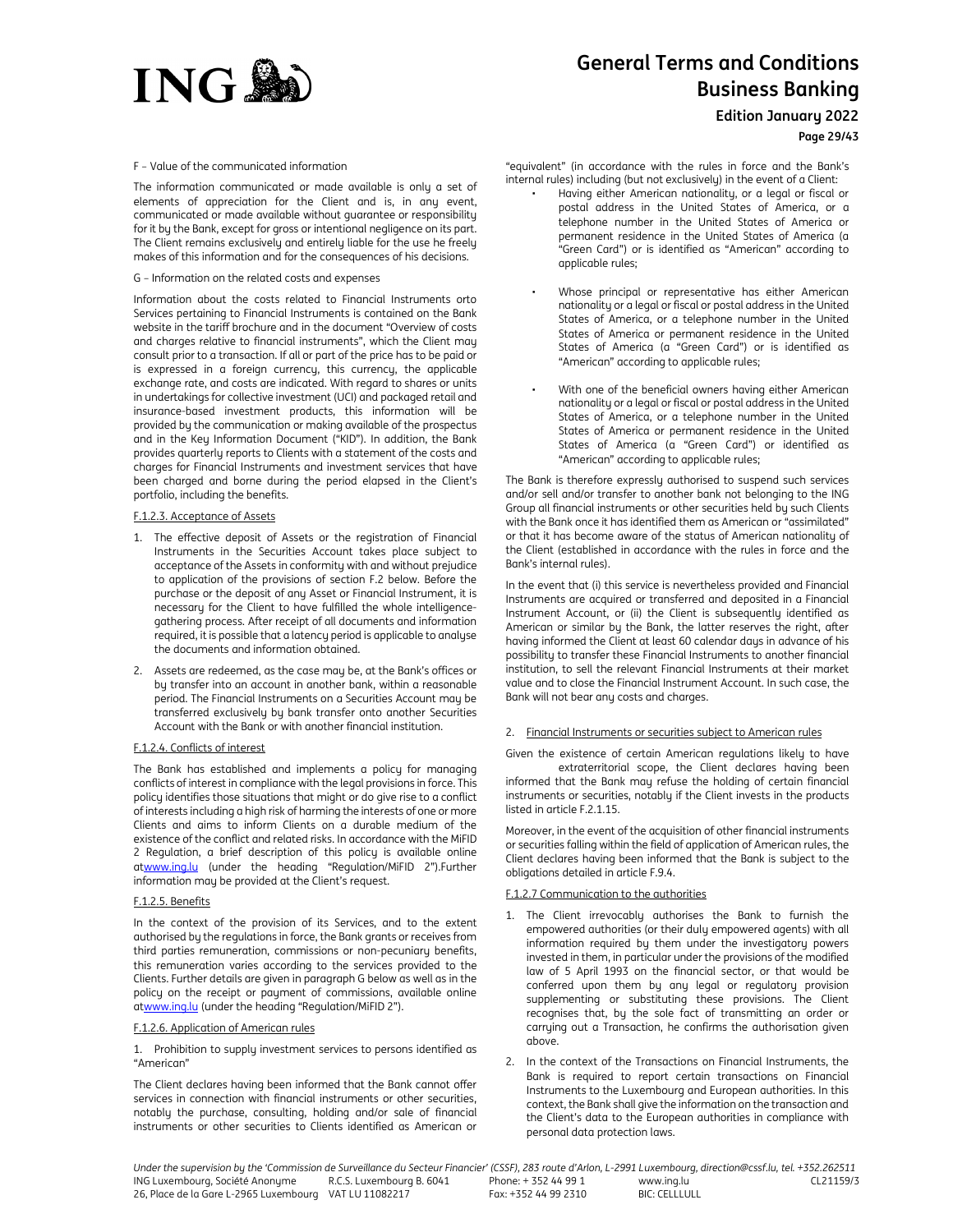

**Edition January 2022**

**Page 29/43**

F – Value of the communicated information

The information communicated or made available is only a set of elements of appreciation for the Client and is, in any event, communicated or made available without guarantee or responsibility for it by the Bank, except for gross or intentional negligence on its part. The Client remains exclusively and entirely liable for the use he freely makes of this information and for the consequences of his decisions.

G – Information on the related costs and expenses

Information about the costs related to Financial Instruments orto Services pertaining to Financial Instruments is contained on the Bank website in the tariff brochure and in the document "Overview of costs and charges relative to financial instruments", which the Client may consult prior to a transaction. If all or part of the price has to be paid or is expressed in a foreign currency, this currency, the applicable exchange rate, and costs are indicated. With regard to shares or units in undertakings for collective investment (UCI) and packaged retail and insurance-based investment products, this information will be provided by the communication or making available of the prospectus and in the Key Information Document ("KID"). In addition, the Bank provides quarterly reports to Clients with a statement of the costs and charges for Financial Instruments and investment services that have been charged and borne during the period elapsed in the Client's portfolio, including the benefits.

## F.1.2.3. Acceptance of Assets

- 1. The effective deposit of Assets or the registration of Financial Instruments in the Securities Account takes place subject to acceptance of the Assets in conformity with and without prejudice to application of the provisions of section F.2 below. Before the purchase or the deposit of any Asset or Financial Instrument, it is necessary for the Client to have fulfilled the whole intelligencegathering process. After receipt of all documents and information required, it is possible that a latency period is applicable to analyse the documents and information obtained.
- 2. Assets are redeemed, as the case may be, at the Bank's offices or by transfer into an account in another bank, within a reasonable period. The Financial Instruments on a Securities Account may be transferred exclusively by bank transfer onto another Securities Account with the Bank or with another financial institution.

## F.1.2.4. Conflicts of interest

The Bank has established and implements a policy for managing conflicts of interest in compliance with the legal provisions in force. This policy identifies those situations that might or do give rise to a conflict of interests including a high risk of harming the interests of one or more Clients and aims to inform Clients on a durable medium of the existence of the conflict and related risks. In accordance with the MiFID 2 Regulation, a brief description of this policy is available online atwww.ing.lu (under the heading "Regulation/MiFID 2").Further information may be provided at the Client's request.

# F.1.2.5. Benefits

In the context of the provision of its Services, and to the extent authorised by the regulations in force, the Bank grants or receives from third parties remuneration, commissions or non-pecuniary benefits, this remuneration varies according to the services provided to the Clients. Further details are given in paragraph G below as well as in the policy on the receipt or payment of commissions, available online atwww.ing.lu (under the heading "Regulation/MiFID 2").

#### F.1.2.6. Application of American rules

1. Prohibition to supply investment services to persons identified as "American"

The Client declares having been informed that the Bank cannot offer services in connection with financial instruments or other securities, notably the purchase, consulting, holding and/or sale of financial instruments or other securities to Clients identified as American or "equivalent" (in accordance with the rules in force and the Bank's internal rules) including (but not exclusively) in the event of a Client:

- Having either American nationality, or a legal or fiscal or postal address in the United States of America, or a telephone number in the United States of America or permanent residence in the United States of America (a "Green Card") or is identified as "American" according to applicable rules;
- Whose principal or representative has either American nationality or a legal or fiscal or postal address in the United States of America, or a telephone number in the United States of America or permanent residence in the United States of America (a "Green Card") or is identified as "American" according to applicable rules;
- With one of the beneficial owners having either American nationality or a legal or fiscal or postal address in the United States of America, or a telephone number in the United States of America or permanent residence in the United States of America (a "Green Card") or identified as "American" according to applicable rules;

The Bank is therefore expressly authorised to suspend such services and/or sell and/or transfer to another bank not belonging to the ING Group all financial instruments or other securities held by such Clients with the Bank once it has identified them as American or "assimilated" or that it has become aware of the status of American nationality of the Client (established in accordance with the rules in force and the Bank's internal rules).

In the event that (i) this service is nevertheless provided and Financial Instruments are acquired or transferred and deposited in a Financial Instrument Account, or (ii) the Client is subsequently identified as American or similar by the Bank, the latter reserves the right, after having informed the Client at least 60 calendar days in advance of his possibility to transfer these Financial Instruments to another financial institution, to sell the relevant Financial Instruments at their market value and to close the Financial Instrument Account. In such case, the Bank will not bear any costs and charges.

#### 2. Financial Instruments or securities subject to American rules

Given the existence of certain American regulations likely to have extraterritorial scope, the Client declares having been informed that the Bank may refuse the holding of certain financial instruments or securities, notably if the Client invests in the products listed in article F.2.1.15.

Moreover, in the event of the acquisition of other financial instruments or securities falling within the field of application of American rules, the Client declares having been informed that the Bank is subject to the obligations detailed in article F.9.4.

## F.1.2.7 Communication to the authorities

- 1. The Client irrevocably authorises the Bank to furnish the empowered authorities (or their duly empowered agents) with all information required by them under the investigatory powers invested in them, in particular under the provisions of the modified law of 5 April 1993 on the financial sector, or that would be conferred upon them by any legal or regulatory provision supplementing or substituting these provisions. The Client recognises that, by the sole fact of transmitting an order or carrying out a Transaction, he confirms the authorisation given above.
- 2. In the context of the Transactions on Financial Instruments, the Bank is required to report certain transactions on Financial Instruments to the Luxembourg and European authorities. In this context, the Bank shall give the information on the transaction and the Client's data to the European authorities in compliance with personal data protection laws.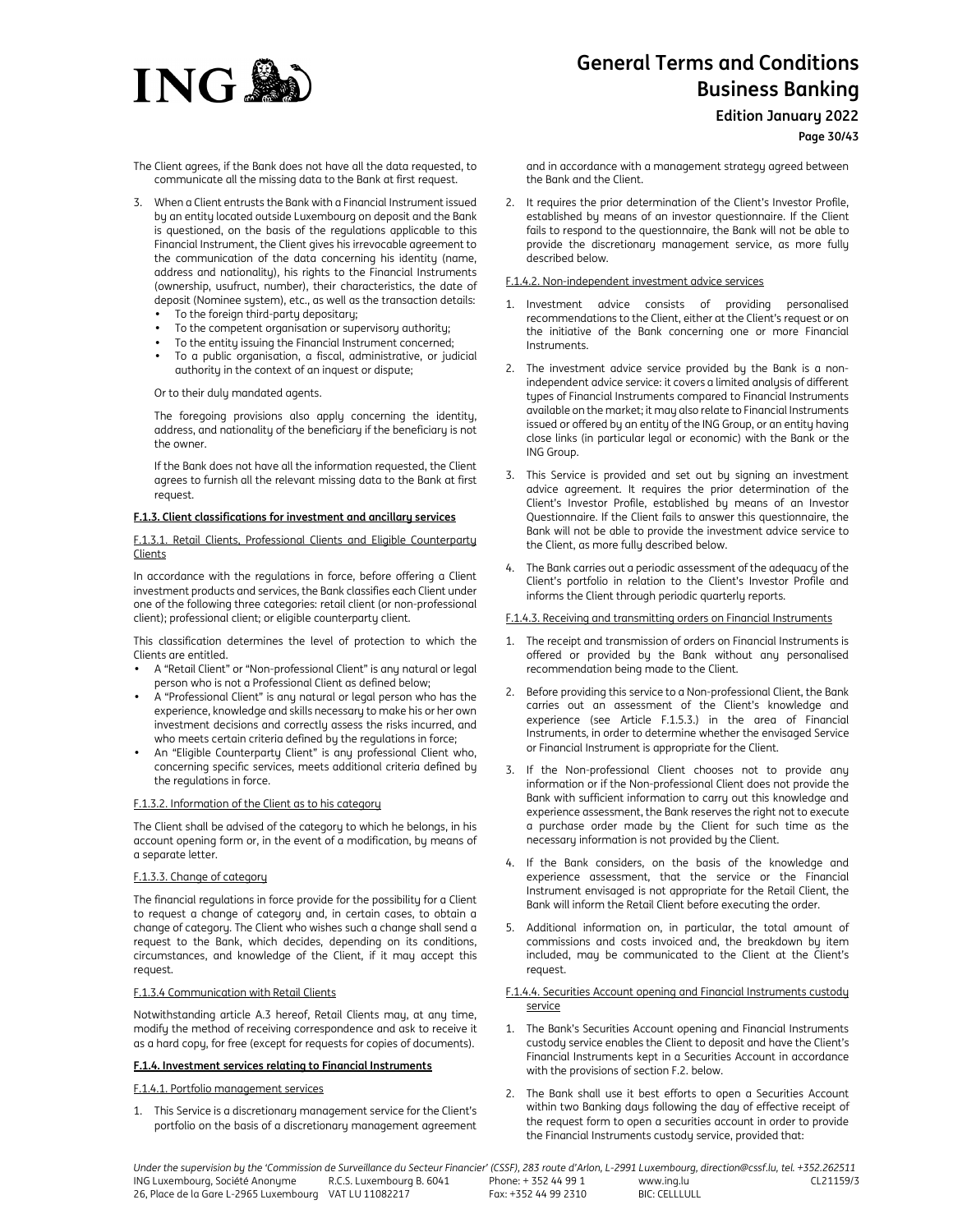

**Edition January 2022**

# **Page 30/43**

The Client agrees, if the Bank does not have all the data requested, to communicate all the missing data to the Bank at first request.

- 3. When a Client entrusts the Bank with a Financial Instrument issued by an entity located outside Luxembourg on deposit and the Bank is questioned, on the basis of the regulations applicable to this Financial Instrument, the Client gives his irrevocable agreement to the communication of the data concerning his identity (name, address and nationality), his rights to the Financial Instruments (ownership, usufruct, number), their characteristics, the date of deposit (Nominee system), etc., as well as the transaction details:
	- To the foreign third-party depositary;
	- To the competent organisation or supervisory authority;
	- To the entity issuing the Financial Instrument concerned;
	- To a public organisation, a fiscal, administrative, or judicial authority in the context of an inquest or dispute;

Or to their duly mandated agents.

The foregoing provisions also apply concerning the identity, address, and nationality of the beneficiary if the beneficiary is not the owner.

If the Bank does not have all the information requested, the Client agrees to furnish all the relevant missing data to the Bank at first request.

#### **F.1.3. Client classifications for investment and ancillary services**

F.1.3.1. Retail Clients, Professional Clients and Eligible Counterparty Clients

In accordance with the regulations in force, before offering a Client investment products and services, the Bank classifies each Client under one of the following three categories: retail client (or non-professional client); professional client; or eligible counterparty client.

This classification determines the level of protection to which the Clients are entitled.

- A "Retail Client" or "Non-professional Client" is any natural or legal person who is not a Professional Client as defined below;
- A "Professional Client" is any natural or legal person who has the experience, knowledge and skills necessary to make his or her own investment decisions and correctly assess the risks incurred, and who meets certain criteria defined by the regulations in force;
- An "Eligible Counterparty Client" is any professional Client who, concerning specific services, meets additional criteria defined by the regulations in force.

#### F.1.3.2. Information of the Client as to his category

The Client shall be advised of the category to which he belongs, in his account opening form or, in the event of a modification, by means of a separate letter.

#### F.1.3.3. Change of category

The financial regulations in force provide for the possibility for a Client to request a change of category and, in certain cases, to obtain a change of category. The Client who wishes such a change shall send a request to the Bank, which decides, depending on its conditions, circumstances, and knowledge of the Client, if it may accept this request.

## F.1.3.4 Communication with Retail Clients

Notwithstanding article A.3 hereof, Retail Clients may, at any time, modify the method of receiving correspondence and ask to receive it as a hard copy, for free (except for requests for copies of documents).

#### **F.1.4. Investment services relating to Financial Instruments**

# F.1.4.1. Portfolio management services

1. This Service is a discretionary management service for the Client's portfolio on the basis of a discretionary management agreement and in accordance with a management strategy agreed between the Bank and the Client.

2. It requires the prior determination of the Client's Investor Profile, established by means of an investor questionnaire. If the Client fails to respond to the questionnaire, the Bank will not be able to provide the discretionary management service, as more fully described below.

## F.1.4.2. Non-independent investment advice services

- 1. Investment advice consists of providing personalised recommendations to the Client, either at the Client's request or on the initiative of the Bank concerning one or more Financial Instruments.
- 2. The investment advice service provided by the Bank is a nonindependent advice service: it covers a limited analysis of different types of Financial Instruments compared to Financial Instruments available on the market; it may also relate to Financial Instruments issued or offered by an entity of the ING Group, or an entity having close links (in particular legal or economic) with the Bank or the ING Group.
- 3. This Service is provided and set out by signing an investment advice agreement. It requires the prior determination of the Client's Investor Profile, established by means of an Investor Questionnaire. If the Client fails to answer this questionnaire, the Bank will not be able to provide the investment advice service to the Client, as more fully described below.
- 4. The Bank carries out a periodic assessment of the adequacy of the Client's portfolio in relation to the Client's Investor Profile and informs the Client through periodic quarterly reports.

# F.1.4.3. Receiving and transmitting orders on Financial Instruments

- 1. The receipt and transmission of orders on Financial Instruments is offered or provided by the Bank without any personalised recommendation being made to the Client.
- 2. Before providing this service to a Non-professional Client, the Bank carries out an assessment of the Client's knowledge and experience (see Article F.1.5.3.) in the area of Financial Instruments, in order to determine whether the envisaged Service or Financial Instrument is appropriate for the Client.
- 3. If the Non-professional Client chooses not to provide any information or if the Non-professional Client does not provide the Bank with sufficient information to carry out this knowledge and experience assessment, the Bank reserves the right not to execute a purchase order made by the Client for such time as the necessary information is not provided by the Client.
- 4. If the Bank considers, on the basis of the knowledge and experience assessment, that the service or the Financial Instrument envisaged is not appropriate for the Retail Client, the Bank will inform the Retail Client before executing the order.
- 5. Additional information on, in particular, the total amount of commissions and costs invoiced and, the breakdown by item included, may be communicated to the Client at the Client's request.

#### F.1.4.4. Securities Account opening and Financial Instruments custody service

- 1. The Bank's Securities Account opening and Financial Instruments custody service enables the Client to deposit and have the Client's Financial Instruments kept in a Securities Account in accordance with the provisions of section F.2. below.
- 2. The Bank shall use it best efforts to open a Securities Account within two Banking days following the day of effective receipt of the request form to open a securities account in order to provide the Financial Instruments custody service, provided that: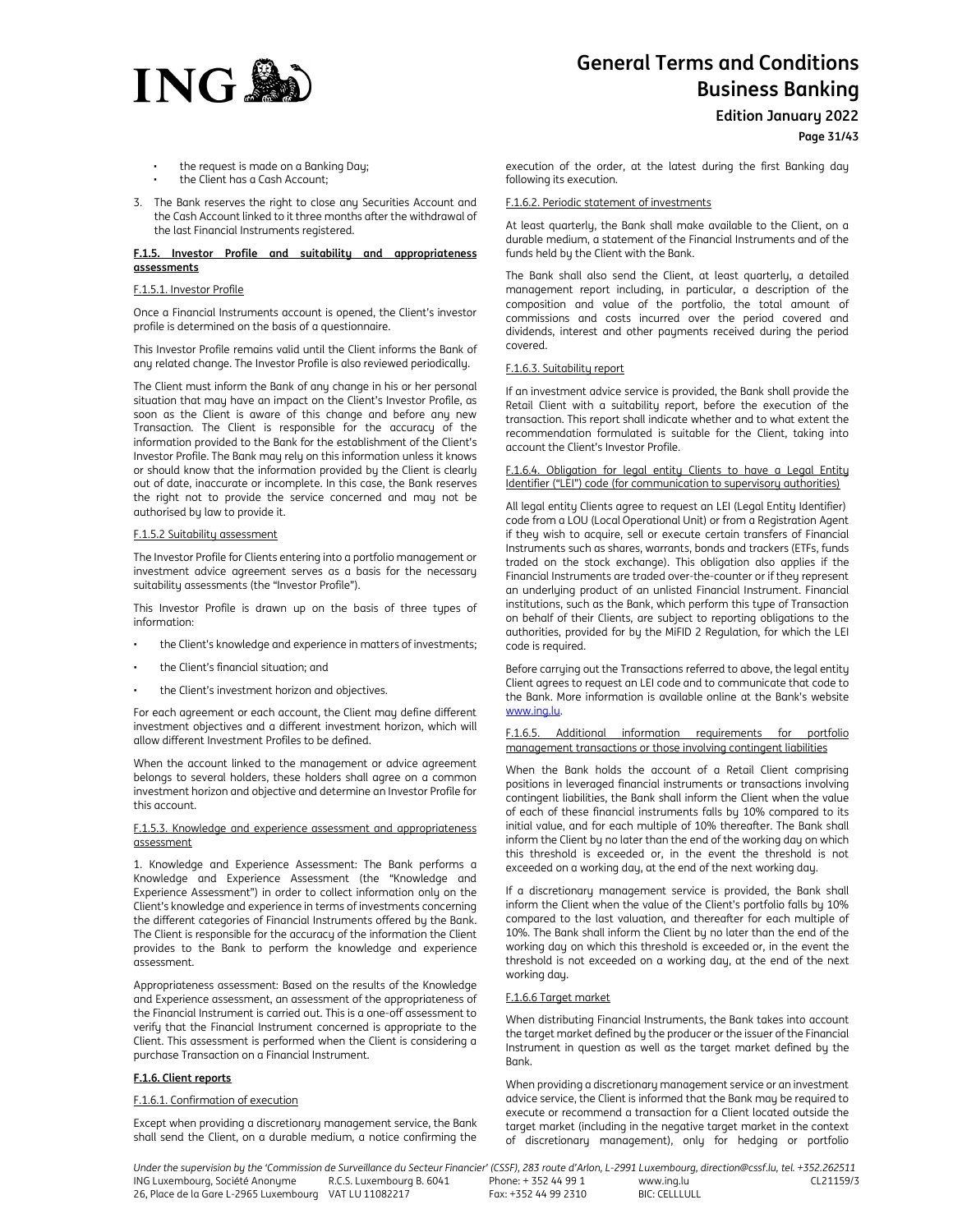

**Edition January 2022**

**Page 31/43**

- the request is made on a Banking Day;
- the Client has a Cash Account;
- 3. The Bank reserves the right to close any Securities Account and the Cash Account linked to it three months after the withdrawal of the last Financial Instruments registered.

#### **F.1.5. Investor Profile and suitability and appropriateness assessments**

#### F.1.5.1. Investor Profile

Once a Financial Instruments account is opened, the Client's investor profile is determined on the basis of a questionnaire.

This Investor Profile remains valid until the Client informs the Bank of any related change. The Investor Profile is also reviewed periodically.

The Client must inform the Bank of any change in his or her personal situation that may have an impact on the Client's Investor Profile, as soon as the Client is aware of this change and before any new Transaction. The Client is responsible for the accuracy of the information provided to the Bank for the establishment of the Client's Investor Profile. The Bank may rely on this information unless it knows or should know that the information provided by the Client is clearly out of date, inaccurate or incomplete. In this case, the Bank reserves the right not to provide the service concerned and may not be authorised by law to provide it.

#### F.1.5.2 Suitability assessment

The Investor Profile for Clients entering into a portfolio management or investment advice agreement serves as a basis for the necessary suitability assessments (the "Investor Profile").

This Investor Profile is drawn up on the basis of three types of information:

- the Client's knowledge and experience in matters of investments;
- the Client's financial situation; and
- the Client's investment horizon and objectives.

For each agreement or each account, the Client may define different investment objectives and a different investment horizon, which will allow different Investment Profiles to be defined.

When the account linked to the management or advice agreement belongs to several holders, these holders shall agree on a common investment horizon and objective and determine an Investor Profile for this account.

#### F.1.5.3. Knowledge and experience assessment and appropriateness assessment

1. Knowledge and Experience Assessment: The Bank performs a Knowledge and Experience Assessment (the "Knowledge and Experience Assessment") in order to collect information only on the Client's knowledge and experience in terms of investments concerning the different categories of Financial Instruments offered by the Bank. The Client is responsible for the accuracy of the information the Client provides to the Bank to perform the knowledge and experience assessment.

Appropriateness assessment: Based on the results of the Knowledge and Experience assessment, an assessment of the appropriateness of the Financial Instrument is carried out. This is a one-off assessment to verify that the Financial Instrument concerned is appropriate to the Client. This assessment is performed when the Client is considering a purchase Transaction on a Financial Instrument.

## **F.1.6. Client reports**

## F.1.6.1. Confirmation of execution

Except when providing a discretionary management service, the Bank shall send the Client, on a durable medium, a notice confirming the execution of the order, at the latest during the first Banking day following its execution.

## F.1.6.2. Periodic statement of investments

At least quarterly, the Bank shall make available to the Client, on a durable medium, a statement of the Financial Instruments and of the funds held by the Client with the Bank.

The Bank shall also send the Client, at least quarterly, a detailed management report including, in particular, a description of the composition and value of the portfolio, the total amount of commissions and costs incurred over the period covered and dividends, interest and other payments received during the period covered.

## F.1.6.3. Suitability report

If an investment advice service is provided, the Bank shall provide the Retail Client with a suitability report, before the execution of the transaction. This report shall indicate whether and to what extent the recommendation formulated is suitable for the Client, taking into account the Client's Investor Profile.

F.1.6.4. Obligation for legal entity Clients to have a Legal Entity Identifier ("LEI") code (for communication to supervisory authorities)

All legal entity Clients agree to request an LEI (Legal Entity Identifier) code from a LOU (Local Operational Unit) or from a Registration Agent if they wish to acquire, sell or execute certain transfers of Financial Instruments such as shares, warrants, bonds and trackers (ETFs, funds traded on the stock exchange). This obligation also applies if the Financial Instruments are traded over-the-counter or if they represent an underlying product of an unlisted Financial Instrument. Financial institutions, such as the Bank, which perform this type of Transaction on behalf of their Clients, are subject to reporting obligations to the authorities, provided for by the MiFID 2 Regulation, for which the LEI code is required.

Before carrying out the Transactions referred to above, the legal entity Client agrees to request an LEI code and to communicate that code to the Bank. More information is available online at the Bank's website www.ing.lu.

F.1.6.5. Additional information requirements for portfolio management transactions or those involving contingent liabilities

When the Bank holds the account of a Retail Client comprising positions in leveraged financial instruments or transactions involving contingent liabilities, the Bank shall inform the Client when the value of each of these financial instruments falls by 10% compared to its initial value, and for each multiple of 10% thereafter. The Bank shall inform the Client by no later than the end of the working day on which this threshold is exceeded or, in the event the threshold is not exceeded on a working day, at the end of the next working day.

If a discretionary management service is provided, the Bank shall inform the Client when the value of the Client's portfolio falls by 10% compared to the last valuation, and thereafter for each multiple of 10%. The Bank shall inform the Client by no later than the end of the working day on which this threshold is exceeded or, in the event the threshold is not exceeded on a working day, at the end of the next working day.

#### F.1.6.6 Target market

When distributing Financial Instruments, the Bank takes into account the target market defined by the producer or the issuer of the Financial Instrument in question as well as the target market defined by the Bank.

When providing a discretionary management service or an investment advice service, the Client is informed that the Bank may be required to execute or recommend a transaction for a Client located outside the target market (including in the negative target market in the context of discretionary management), only for hedging or portfolio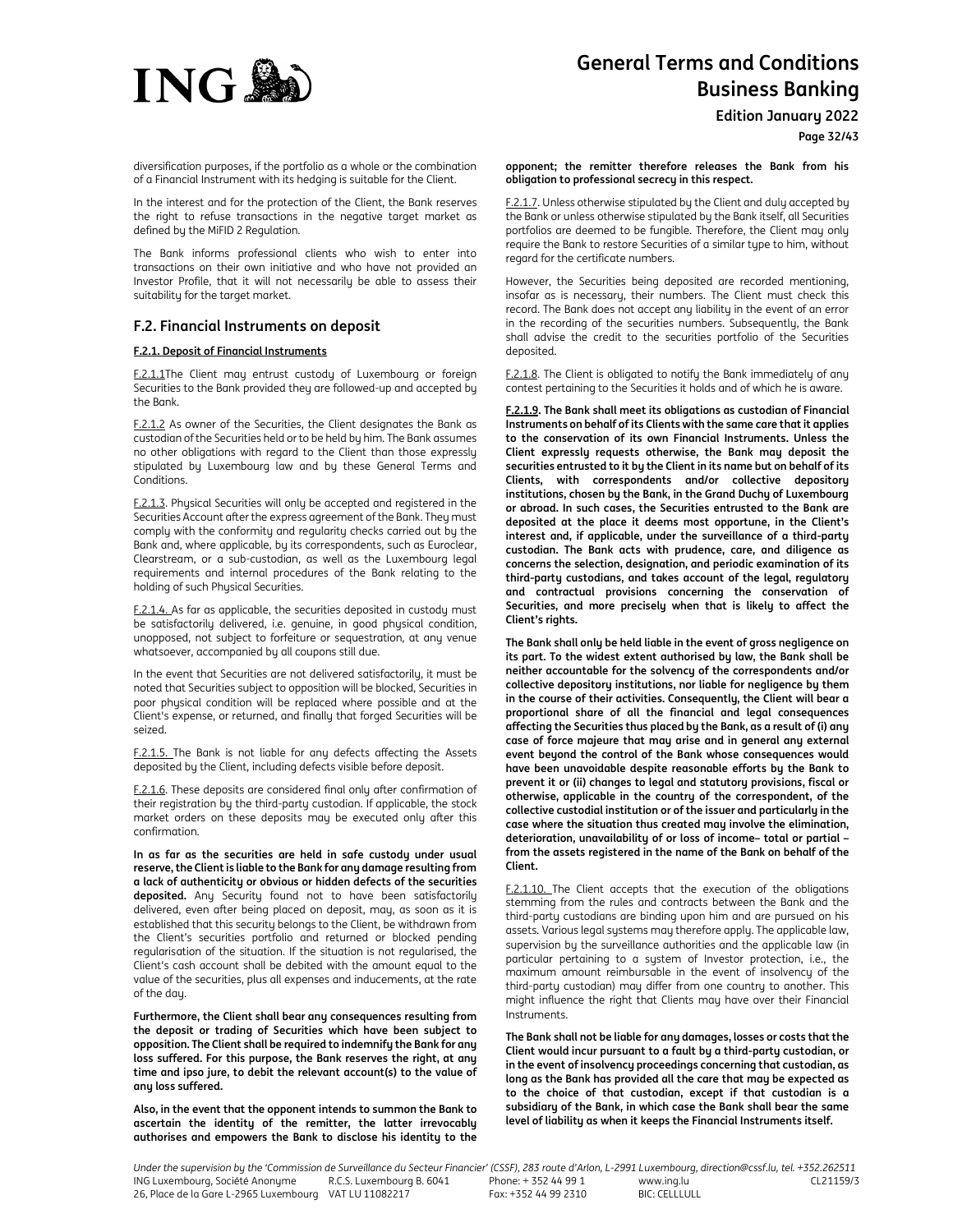

**Edition January 2022**

diversification purposes, if the portfolio as a whole or the combination of a Financial Instrument with its hedging is suitable for the Client.

In the interest and for the protection of the Client, the Bank reserves the right to refuse transactions in the negative target market as defined by the MiFID 2 Regulation.

The Bank informs professional clients who wish to enter into transactions on their own initiative and who have not provided an Investor Profile, that it will not necessarily be able to assess their suitability for the target market.

# **F.2. Financial Instruments on deposit**

# **F.2.1. Deposit of Financial Instruments**

F.2.1.1The Client may entrust custody of Luxembourg or foreign Securities to the Bank provided they are followed-up and accepted by the Bank.

F.2.1.2 As owner of the Securities, the Client designates the Bank as custodian of the Securities held or to be held by him. The Bank assumes no other obligations with regard to the Client than those expressly stipulated by Luxembourg law and by these General Terms and Conditions.

F.2.1.3. Physical Securities will only be accepted and registered in the Securities Account after the express agreement of the Bank. They must comply with the conformity and regularity checks carried out by the Bank and, where applicable, by its correspondents, such as Euroclear, Clearstream, or a sub-custodian, as well as the Luxembourg legal requirements and internal procedures of the Bank relating to the holding of such Physical Securities.

F.2.1.4. As far as applicable, the securities deposited in custody must be satisfactorily delivered, i.e. genuine, in good physical condition, unopposed, not subject to forfeiture or sequestration, at any venue whatsoever, accompanied by all coupons still due.

In the event that Securities are not delivered satisfactorily, it must be noted that Securities subject to opposition will be blocked, Securities in poor physical condition will be replaced where possible and at the Client's expense, or returned, and finally that forged Securities will be seized.

F.2.1.5. The Bank is not liable for any defects affecting the Assets deposited by the Client, including defects visible before deposit.

F.2.1.6. These deposits are considered final only after confirmation of their registration by the third-party custodian. If applicable, the stock market orders on these deposits may be executed only after this confirmation.

**In as far as the securities are held in safe custody under usual reserve, the Client is liable to the Bank for any damage resulting from a lack of authenticity or obvious or hidden defects of the securities deposited.** Any Security found not to have been satisfactorily delivered, even after being placed on deposit, may, as soon as it is established that this security belongs to the Client, be withdrawn from the Client's securities portfolio and returned or blocked pending regularisation of the situation. If the situation is not regularised, the Client's cash account shall be debited with the amount equal to the value of the securities, plus all expenses and inducements, at the rate of the day.

**Furthermore, the Client shall bear any consequences resulting from the deposit or trading of Securities which have been subject to opposition. The Client shall be required to indemnify the Bank for any loss suffered. For this purpose, the Bank reserves the right, at any time and ipso jure, to debit the relevant account(s) to the value of any loss suffered.** 

**Also, in the event that the opponent intends to summon the Bank to ascertain the identity of the remitter, the latter irrevocably authorises and empowers the Bank to disclose his identity to the** 

**opponent; the remitter therefore releases the Bank from his obligation to professional secrecy in this respect.**

F.2.1.7. Unless otherwise stipulated by the Client and duly accepted by the Bank or unless otherwise stipulated by the Bank itself, all Securities portfolios are deemed to be fungible. Therefore, the Client may only require the Bank to restore Securities of a similar type to him, without regard for the certificate numbers.

However, the Securities being deposited are recorded mentioning, insofar as is necessary, their numbers. The Client must check this record. The Bank does not accept any liability in the event of an error in the recording of the securities numbers. Subsequently, the Bank shall advise the credit to the securities portfolio of the Securities deposited.

F.2.1.8. The Client is obligated to notify the Bank immediately of any contest pertaining to the Securities it holds and of which he is aware.

**F.2.1.9. The Bank shall meet its obligations as custodian of Financial Instruments on behalf of its Clients with the same care that it applies to the conservation of its own Financial Instruments. Unless the Client expressly requests otherwise, the Bank may deposit the securities entrusted to it by the Client in its name but on behalf of its Clients, with correspondents and/or collective depository institutions, chosen by the Bank, in the Grand Duchy of Luxembourg or abroad. In such cases, the Securities entrusted to the Bank are deposited at the place it deems most opportune, in the Client's interest and, if applicable, under the surveillance of a third-party custodian. The Bank acts with prudence, care, and diligence as concerns the selection, designation, and periodic examination of its third-party custodians, and takes account of the legal, regulatory and contractual provisions concerning the conservation of Securities, and more precisely when that is likely to affect the Client's rights.** 

**The Bank shall only be held liable in the event of gross negligence on its part. To the widest extent authorised by law, the Bank shall be neither accountable for the solvency of the correspondents and/or collective depository institutions, nor liable for negligence by them in the course of their activities. Consequently, the Client will bear a proportional share of all the financial and legal consequences affecting the Securities thus placed by the Bank, as a result of (i) any case of force majeure that may arise and in general any external event beyond the control of the Bank whose consequences would have been unavoidable despite reasonable efforts by the Bank to prevent it or (ii) changes to legal and statutory provisions, fiscal or otherwise, applicable in the country of the correspondent, of the collective custodial institution or of the issuer and particularly in the case where the situation thus created may involve the elimination, deterioration, unavailability of or loss of income– total or partial – from the assets registered in the name of the Bank on behalf of the Client.** 

F.2.1.10. The Client accepts that the execution of the obligations stemming from the rules and contracts between the Bank and the third-party custodians are binding upon him and are pursued on his assets. Various legal systems may therefore apply. The applicable law, supervision by the surveillance authorities and the applicable law (in particular pertaining to a system of Investor protection, i.e., the maximum amount reimbursable in the event of insolvency of the third-party custodian) may differ from one country to another. This might influence the right that Clients may have over their Financial Instruments.

**The Bank shall not be liable for any damages, losses or costs that the Client would incur pursuant to a fault by a third-party custodian, or in the event of insolvency proceedings concerning that custodian, as long as the Bank has provided all the care that may be expected as to the choice of that custodian, except if that custodian is a subsidiary of the Bank, in which case the Bank shall bear the same level of liability as when it keeps the Financial Instruments itself.**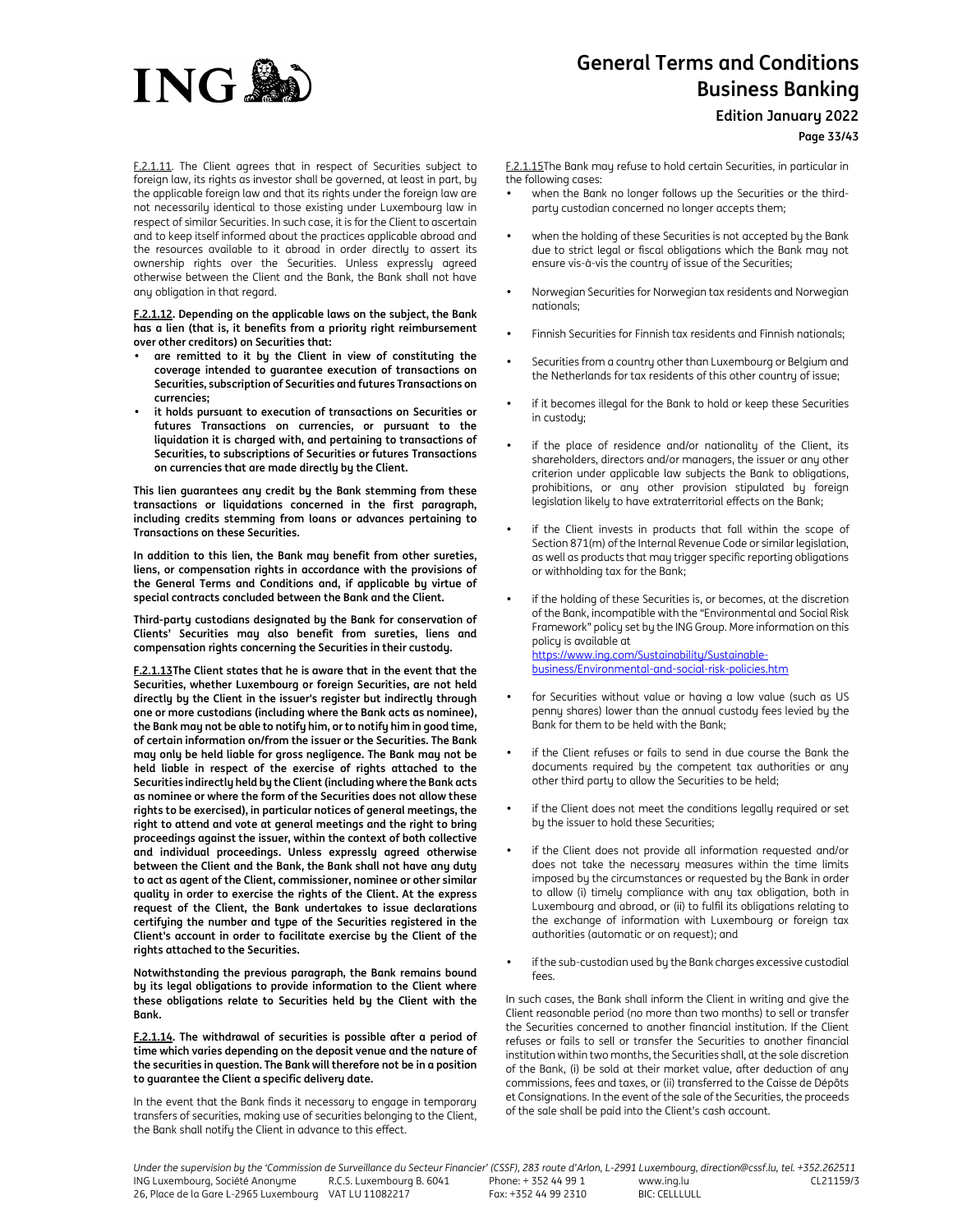

**Edition January 2022**

**Page 33/43**

F.2.1.11. The Client agrees that in respect of Securities subject to foreign law, its rights as investor shall be governed, at least in part, by the applicable foreign law and that its rights under the foreign law are not necessarily identical to those existing under Luxembourg law in respect of similar Securities. In such case, it is for the Client to ascertain and to keep itself informed about the practices applicable abroad and the resources available to it abroad in order directly to assert its ownership rights over the Securities. Unless expressly agreed otherwise between the Client and the Bank, the Bank shall not have any obligation in that regard.

**F.2.1.12. Depending on the applicable laws on the subject, the Bank has a lien (that is, it benefits from a priority right reimbursement over other creditors) on Securities that:** 

- **are remitted to it by the Client in view of constituting the coverage intended to guarantee execution of transactions on Securities, subscription of Securities and futures Transactions on currencies;**
- **it holds pursuant to execution of transactions on Securities or futures Transactions on currencies, or pursuant to the liquidation it is charged with, and pertaining to transactions of Securities, to subscriptions of Securities or futures Transactions on currencies that are made directly by the Client.**

**This lien guarantees any credit by the Bank stemming from these transactions or liquidations concerned in the first paragraph, including credits stemming from loans or advances pertaining to Transactions on these Securities.** 

**In addition to this lien, the Bank may benefit from other sureties, liens, or compensation rights in accordance with the provisions of the General Terms and Conditions and, if applicable by virtue of special contracts concluded between the Bank and the Client.** 

**Third-party custodians designated by the Bank for conservation of Clients' Securities may also benefit from sureties, liens and compensation rights concerning the Securities in their custody.** 

**F.2.1.13The Client states that he is aware that in the event that the Securities, whether Luxembourg or foreign Securities, are not held directly by the Client in the issuer's register but indirectly through one or more custodians (including where the Bank acts as nominee), the Bank may not be able to notify him, or to notify him in good time, of certain information on/from the issuer or the Securities. The Bank may only be held liable for gross negligence. The Bank may not be held liable in respect of the exercise of rights attached to the Securities indirectly held by the Client (including where the Bank acts as nominee or where the form of the Securities does not allow these rights to be exercised), in particular notices of general meetings, the right to attend and vote at general meetings and the right to bring proceedings against the issuer, within the context of both collective and individual proceedings. Unless expressly agreed otherwise between the Client and the Bank, the Bank shall not have any duty to act as agent of the Client, commissioner, nominee or other similar quality in order to exercise the rights of the Client. At the express request of the Client, the Bank undertakes to issue declarations certifying the number and type of the Securities registered in the Client's account in order to facilitate exercise by the Client of the rights attached to the Securities.** 

**Notwithstanding the previous paragraph, the Bank remains bound by its legal obligations to provide information to the Client where these obligations relate to Securities held by the Client with the Bank.** 

## **F.2.1.14. The withdrawal of securities is possible after a period of time which varies depending on the deposit venue and the nature of the securities in question. The Bank will therefore not be in a position to guarantee the Client a specific delivery date.**

In the event that the Bank finds it necessary to engage in temporary transfers of securities, making use of securities belonging to the Client, the Bank shall notify the Client in advance to this effect.

F.2.1.15The Bank may refuse to hold certain Securities, in particular in the following cases:

- when the Bank no longer follows up the Securities or the thirdparty custodian concerned no longer accepts them;
- when the holding of these Securities is not accepted by the Bank due to strict legal or fiscal obligations which the Bank may not ensure vis-à-vis the country of issue of the Securities;
- Norwegian Securities for Norwegian tax residents and Norwegian nationals;
- Finnish Securities for Finnish tax residents and Finnish nationals;
- Securities from a country other than Luxembourg or Belgium and the Netherlands for tax residents of this other country of issue;
- if it becomes illegal for the Bank to hold or keep these Securities in custody;
- if the place of residence and/or nationality of the Client, its shareholders, directors and/or managers, the issuer or any other criterion under applicable law subjects the Bank to obligations, prohibitions, or any other provision stipulated by foreign legislation likely to have extraterritorial effects on the Bank;
- if the Client invests in products that fall within the scope of Section 871(m) of the Internal Revenue Code or similar legislation, as well as products that may trigger specific reporting obligations or withholding tax for the Bank;
- if the holding of these Securities is, or becomes, at the discretion of the Bank, incompatible with the "Environmental and Social Risk Framework" policy set by the ING Group. More information on this policy is available at https://www.ing.com/Sustainability/Sustainablebusiness/Environmental-and-social-risk-policies.htm
- for Securities without value or having a low value (such as US penny shares) lower than the annual custody fees levied by the Bank for them to be held with the Bank;
- if the Client refuses or fails to send in due course the Bank the documents required by the competent tax authorities or any other third party to allow the Securities to be held;
- if the Client does not meet the conditions legally required or set by the issuer to hold these Securities;
- if the Client does not provide all information requested and/or does not take the necessary measures within the time limits imposed by the circumstances or requested by the Bank in order to allow (i) timely compliance with any tax obligation, both in Luxembourg and abroad, or (ii) to fulfil its obligations relating to the exchange of information with Luxembourg or foreign tax authorities (automatic or on request); and
- if the sub-custodian used by the Bank charges excessive custodial fees.

In such cases, the Bank shall inform the Client in writing and give the Client reasonable period (no more than two months) to sell or transfer the Securities concerned to another financial institution. If the Client refuses or fails to sell or transfer the Securities to another financial institution within two months, the Securities shall, at the sole discretion of the Bank, (i) be sold at their market value, after deduction of any commissions, fees and taxes, or (ii) transferred to the Caisse de Dépôts et Consignations. In the event of the sale of the Securities, the proceeds of the sale shall be paid into the Client's cash account.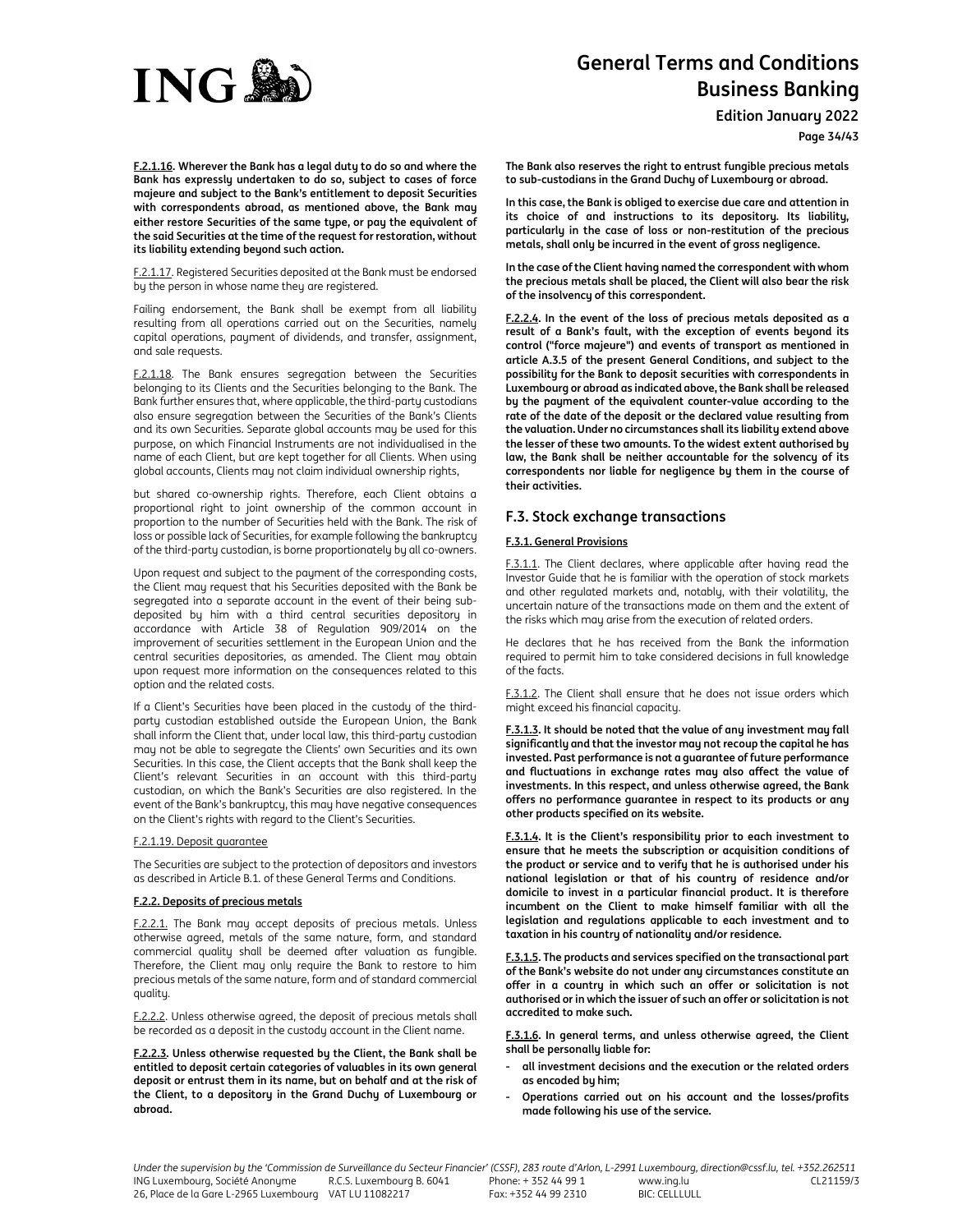

**Edition January 2022**

**Page 34/43**

**F.2.1.16. Wherever the Bank has a legal duty to do so and where the Bank has expressly undertaken to do so, subject to cases of force majeure and subject to the Bank's entitlement to deposit Securities with correspondents abroad, as mentioned above, the Bank may either restore Securities of the same type, or pay the equivalent of the said Securities at the time of the request for restoration, without its liability extending beyond such action.** 

F.2.1.17. Registered Securities deposited at the Bank must be endorsed by the person in whose name they are registered.

Failing endorsement, the Bank shall be exempt from all liability resulting from all operations carried out on the Securities, namely capital operations, payment of dividends, and transfer, assignment, and sale requests.

F.2.1.18. The Bank ensures segregation between the Securities belonging to its Clients and the Securities belonging to the Bank. The Bank further ensures that, where applicable, the third-party custodians also ensure segregation between the Securities of the Bank's Clients and its own Securities. Separate global accounts may be used for this purpose, on which Financial Instruments are not individualised in the name of each Client, but are kept together for all Clients. When using global accounts, Clients may not claim individual ownership rights,

but shared co-ownership rights. Therefore, each Client obtains a proportional right to joint ownership of the common account in proportion to the number of Securities held with the Bank. The risk of loss or possible lack of Securities, for example following the bankruptcy of the third-party custodian, is borne proportionately by all co-owners.

Upon request and subject to the payment of the corresponding costs, the Client may request that his Securities deposited with the Bank be segregated into a separate account in the event of their being subdeposited by him with a third central securities depository in accordance with Article 38 of Regulation 909/2014 on the improvement of securities settlement in the European Union and the central securities depositories, as amended. The Client may obtain upon request more information on the consequences related to this option and the related costs.

If a Client's Securities have been placed in the custody of the thirdparty custodian established outside the European Union, the Bank shall inform the Client that, under local law, this third-party custodian may not be able to segregate the Clients' own Securities and its own Securities. In this case, the Client accepts that the Bank shall keep the Client's relevant Securities in an account with this third-party custodian, on which the Bank's Securities are also registered. In the event of the Bank's bankruptcy, this may have negative consequences on the Client's rights with regard to the Client's Securities.

## F.2.1.19. Deposit guarantee

The Securities are subject to the protection of depositors and investors as described in Article B.1. of these General Terms and Conditions.

## **F.2.2. Deposits of precious metals**

F.2.2.1. The Bank may accept deposits of precious metals. Unless otherwise agreed, metals of the same nature, form, and standard commercial quality shall be deemed after valuation as fungible. Therefore, the Client may only require the Bank to restore to him precious metals of the same nature, form and of standard commercial quality.

F.2.2.2. Unless otherwise agreed, the deposit of precious metals shall be recorded as a deposit in the custody account in the Client name.

**F.2.2.3. Unless otherwise requested by the Client, the Bank shall be entitled to deposit certain categories of valuables in its own general deposit or entrust them in its name, but on behalf and at the risk of the Client, to a depository in the Grand Duchy of Luxembourg or abroad.** 

**The Bank also reserves the right to entrust fungible precious metals to sub-custodians in the Grand Duchy of Luxembourg or abroad.** 

**In this case, the Bank is obliged to exercise due care and attention in its choice of and instructions to its depository. Its liability, particularly in the case of loss or non-restitution of the precious metals, shall only be incurred in the event of gross negligence.** 

**In the case of the Client having named the correspondent with whom the precious metals shall be placed, the Client will also bear the risk of the insolvency of this correspondent.** 

**F.2.2.4. In the event of the loss of precious metals deposited as a result of a Bank's fault, with the exception of events beyond its control ("force majeure") and events of transport as mentioned in article A.3.5 of the present General Conditions, and subject to the possibility for the Bank to deposit securities with correspondents in Luxembourg or abroad as indicated above, the Bank shall be released by the payment of the equivalent counter-value according to the rate of the date of the deposit or the declared value resulting from the valuation. Under no circumstances shall its liability extend above the lesser of these two amounts. To the widest extent authorised by law, the Bank shall be neither accountable for the solvency of its correspondents nor liable for negligence by them in the course of their activities.** 

# **F.3. Stock exchange transactions**

## **F.3.1. General Provisions**

F.3.1.1. The Client declares, where applicable after having read the Investor Guide that he is familiar with the operation of stock markets and other regulated markets and, notably, with their volatility, the uncertain nature of the transactions made on them and the extent of the risks which may arise from the execution of related orders.

He declares that he has received from the Bank the information required to permit him to take considered decisions in full knowledge of the facts.

F.3.1.2. The Client shall ensure that he does not issue orders which might exceed his financial capacity.

**F.3.1.3. It should be noted that the value of any investment may fall significantly and that the investor may not recoup the capital he has invested. Past performance is not a guarantee of future performance and fluctuations in exchange rates may also affect the value of investments. In this respect, and unless otherwise agreed, the Bank offers no performance guarantee in respect to its products or any other products specified on its website.** 

**F.3.1.4. It is the Client's responsibility prior to each investment to ensure that he meets the subscription or acquisition conditions of the product or service and to verify that he is authorised under his national legislation or that of his country of residence and/or domicile to invest in a particular financial product. It is therefore incumbent on the Client to make himself familiar with all the legislation and regulations applicable to each investment and to taxation in his country of nationality and/or residence.** 

**F.3.1.5. The products and services specified on the transactional part of the Bank's website do not under any circumstances constitute an offer in a country in which such an offer or solicitation is not authorised or in which the issuer of such an offer or solicitation is not accredited to make such.** 

**F.3.1.6. In general terms, and unless otherwise agreed, the Client shall be personally liable for:** 

- **- all investment decisions and the execution or the related orders as encoded by him;**
- **- Operations carried out on his account and the losses/profits made following his use of the service.**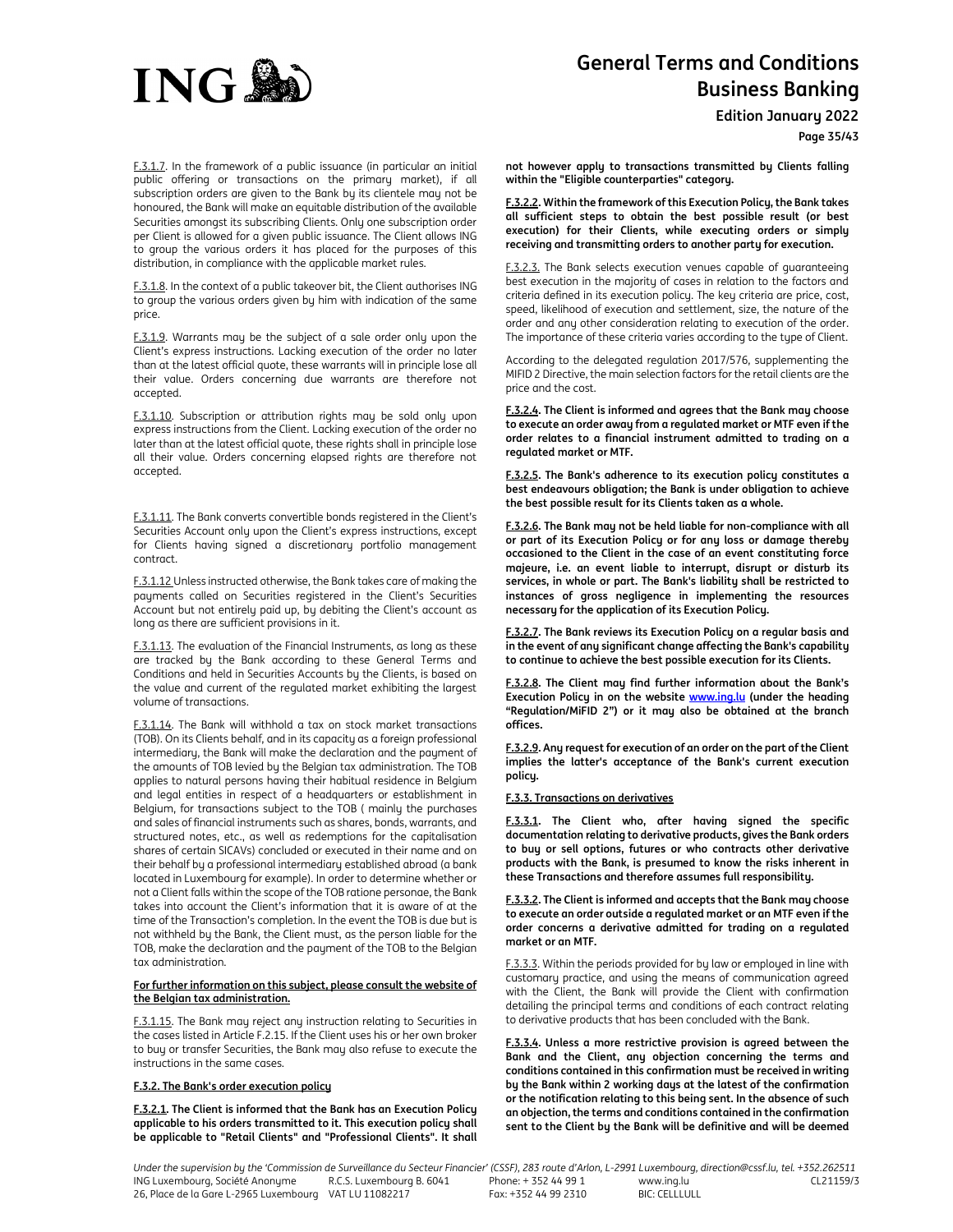

**Edition January 2022**

**Page 35/43**

F.3.1.7. In the framework of a public issuance (in particular an initial public offering or transactions on the primary market), if all subscription orders are given to the Bank by its clientele may not be honoured, the Bank will make an equitable distribution of the available Securities amongst its subscribing Clients. Only one subscription order per Client is allowed for a given public issuance. The Client allows ING to group the various orders it has placed for the purposes of this distribution, in compliance with the applicable market rules.

F.3.1.8. In the context of a public takeover bit, the Client authorises ING to group the various orders given by him with indication of the same price.

F.3.1.9. Warrants may be the subject of a sale order only upon the Client's express instructions. Lacking execution of the order no later than at the latest official quote, these warrants will in principle lose all their value. Orders concerning due warrants are therefore not accepted.

F.3.1.10. Subscription or attribution rights may be sold only upon express instructions from the Client. Lacking execution of the order no later than at the latest official quote, these rights shall in principle lose all their value. Orders concerning elapsed rights are therefore not accepted.

F.3.1.11. The Bank converts convertible bonds registered in the Client's Securities Account only upon the Client's express instructions, except for Clients having signed a discretionary portfolio management contract.

F.3.1.12 Unless instructed otherwise, the Bank takes care of making the payments called on Securities registered in the Client's Securities Account but not entirely paid up, by debiting the Client's account as long as there are sufficient provisions in it.

F.3.1.13. The evaluation of the Financial Instruments, as long as these are tracked by the Bank according to these General Terms and Conditions and held in Securities Accounts by the Clients, is based on the value and current of the regulated market exhibiting the largest volume of transactions.

F.3.1.14. The Bank will withhold a tax on stock market transactions (TOB). On its Clients behalf, and in its capacity as a foreign professional intermediary, the Bank will make the declaration and the payment of the amounts of TOB levied by the Belgian tax administration. The TOB applies to natural persons having their habitual residence in Belgium and legal entities in respect of a headquarters or establishment in Belgium, for transactions subject to the TOB ( mainly the purchases and sales of financial instruments such as shares, bonds, warrants, and structured notes, etc., as well as redemptions for the capitalisation shares of certain SICAVs) concluded or executed in their name and on their behalf by a professional intermediary established abroad (a bank located in Luxembourg for example). In order to determine whether or not a Client falls within the scope of the TOB ratione personae, the Bank takes into account the Client's information that it is aware of at the time of the Transaction's completion. In the event the TOB is due but is not withheld by the Bank, the Client must, as the person liable for the TOB, make the declaration and the payment of the TOB to the Belgian tax administration.

## **For further information on this subject, please consult the website of the Belgian tax administration.**

F.3.1.15. The Bank may reject any instruction relating to Securities in the cases listed in Article F.2.15. If the Client uses his or her own broker to buy or transfer Securities, the Bank may also refuse to execute the instructions in the same cases.

## **F.3.2. The Bank's order execution policy**

**F.3.2.1. The Client is informed that the Bank has an Execution Policy applicable to his orders transmitted to it. This execution policy shall be applicable to "Retail Clients" and "Professional Clients". It shall** 

**not however apply to transactions transmitted by Clients falling within the "Eligible counterparties" category.** 

**F.3.2.2. Within the framework of this Execution Policy, the Bank takes all sufficient steps to obtain the best possible result (or best execution) for their Clients, while executing orders or simply receiving and transmitting orders to another party for execution.** 

F.3.2.3. The Bank selects execution venues capable of quaranteeing best execution in the majority of cases in relation to the factors and criteria defined in its execution policy. The key criteria are price, cost, speed, likelihood of execution and settlement, size, the nature of the order and any other consideration relating to execution of the order. The importance of these criteria varies according to the type of Client.

According to the delegated regulation 2017/576, supplementing the MIFID 2 Directive, the main selection factors for the retail clients are the price and the cost.

**F.3.2.4. The Client is informed and agrees that the Bank may choose to execute an order away from a regulated market or MTF even if the order relates to a financial instrument admitted to trading on a regulated market or MTF.** 

**F.3.2.5. The Bank's adherence to its execution policy constitutes a best endeavours obligation; the Bank is under obligation to achieve the best possible result for its Clients taken as a whole.** 

**F.3.2.6. The Bank may not be held liable for non-compliance with all or part of its Execution Policy or for any loss or damage thereby occasioned to the Client in the case of an event constituting force majeure, i.e. an event liable to interrupt, disrupt or disturb its services, in whole or part. The Bank's liability shall be restricted to instances of gross negligence in implementing the resources necessary for the application of its Execution Policy.** 

**F.3.2.7. The Bank reviews its Execution Policy on a regular basis and in the event of any significant change affecting the Bank's capability to continue to achieve the best possible execution for its Clients.** 

**F.3.2.8. The Client may find further information about the Bank's Execution Policy in on the website www.ing.lu (under the heading "Regulation/MiFID 2") or it may also be obtained at the branch offices.** 

**F.3.2.9. Any request for execution of an order on the part of the Client implies the latter's acceptance of the Bank's current execution policy.** 

## **F.3.3. Transactions on derivatives**

**F.3.3.1. The Client who, after having signed the specific documentation relating to derivative products, gives the Bank orders to buy or sell options, futures or who contracts other derivative products with the Bank, is presumed to know the risks inherent in these Transactions and therefore assumes full responsibility.** 

**F.3.3.2. The Client is informed and accepts that the Bank may choose to execute an order outside a regulated market or an MTF even if the order concerns a derivative admitted for trading on a regulated market or an MTF.** 

F.3.3.3. Within the periods provided for by law or employed in line with customary practice, and using the means of communication agreed with the Client, the Bank will provide the Client with confirmation detailing the principal terms and conditions of each contract relating to derivative products that has been concluded with the Bank.

**F.3.3.4. Unless a more restrictive provision is agreed between the Bank and the Client, any objection concerning the terms and conditions contained in this confirmation must be received in writing by the Bank within 2 working days at the latest of the confirmation or the notification relating to this being sent. In the absence of such an objection, the terms and conditions contained in the confirmation sent to the Client by the Bank will be definitive and will be deemed**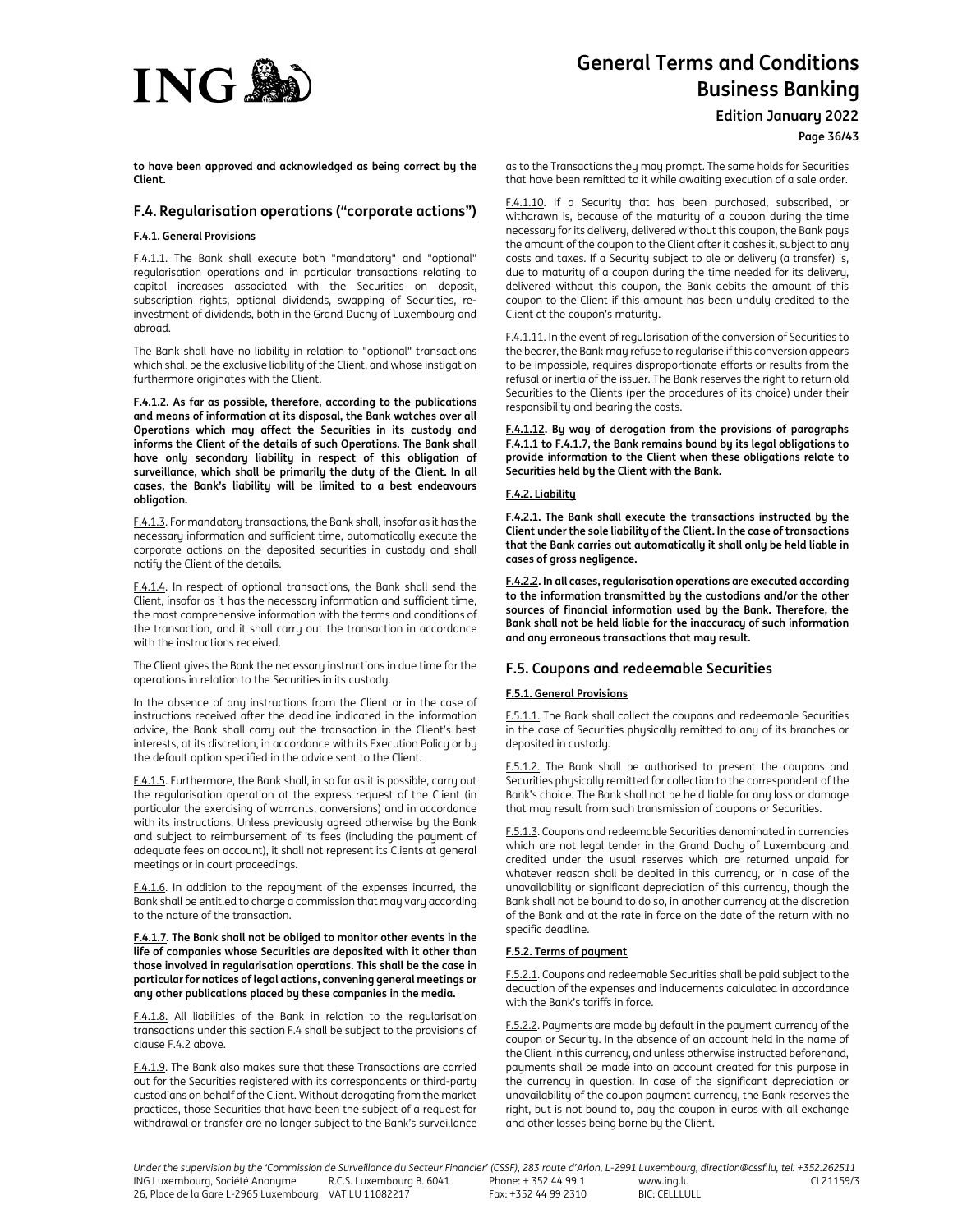

**Edition January 2022**

**Page 36/43**

**to have been approved and acknowledged as being correct by the Client.** 

# **F.4. Regularisation operations ("corporate actions")**

# **F.4.1. General Provisions**

F.4.1.1. The Bank shall execute both "mandatory" and "optional" regularisation operations and in particular transactions relating to capital increases associated with the Securities on deposit, subscription rights, optional dividends, swapping of Securities, reinvestment of dividends, both in the Grand Duchy of Luxembourg and abroad.

The Bank shall have no liability in relation to "optional" transactions which shall be the exclusive liability of the Client, and whose instigation furthermore originates with the Client.

**F.4.1.2. As far as possible, therefore, according to the publications and means of information at its disposal, the Bank watches over all Operations which may affect the Securities in its custody and informs the Client of the details of such Operations. The Bank shall have only secondary liability in respect of this obligation of surveillance, which shall be primarily the duty of the Client. In all cases, the Bank's liability will be limited to a best endeavours obligation.** 

F.4.1.3. For mandatory transactions, the Bank shall, insofar as it has the necessary information and sufficient time, automatically execute the corporate actions on the deposited securities in custody and shall notify the Client of the details.

F.4.1.4. In respect of optional transactions, the Bank shall send the Client, insofar as it has the necessary information and sufficient time, the most comprehensive information with the terms and conditions of the transaction, and it shall carry out the transaction in accordance with the instructions received.

The Client gives the Bank the necessary instructions in due time for the operations in relation to the Securities in its custody.

In the absence of any instructions from the Client or in the case of instructions received after the deadline indicated in the information advice, the Bank shall carry out the transaction in the Client's best interests, at its discretion, in accordance with its Execution Policy or by the default option specified in the advice sent to the Client.

F.4.1.5. Furthermore, the Bank shall, in so far as it is possible, carry out the regularisation operation at the express request of the Client (in particular the exercising of warrants, conversions) and in accordance with its instructions. Unless previously agreed otherwise by the Bank and subject to reimbursement of its fees (including the payment of adequate fees on account), it shall not represent its Clients at general meetings or in court proceedings.

F.4.1.6. In addition to the repayment of the expenses incurred, the Bank shall be entitled to charge a commission that may vary according to the nature of the transaction.

**F.4.1.7. The Bank shall not be obliged to monitor other events in the life of companies whose Securities are deposited with it other than those involved in regularisation operations. This shall be the case in particular for notices of legal actions, convening general meetings or any other publications placed by these companies in the media.** 

F.4.1.8. All liabilities of the Bank in relation to the regularisation transactions under this section F.4 shall be subject to the provisions of clause F.4.2 above.

F.4.1.9. The Bank also makes sure that these Transactions are carried out for the Securities registered with its correspondents or third-party custodians on behalf of the Client. Without derogating from the market practices, those Securities that have been the subject of a request for withdrawal or transfer are no longer subject to the Bank's surveillance as to the Transactions they may prompt. The same holds for Securities that have been remitted to it while awaiting execution of a sale order.

F.4.1.10. If a Security that has been purchased, subscribed, or withdrawn is, because of the maturity of a coupon during the time necessary for its delivery, delivered without this coupon, the Bank pays the amount of the coupon to the Client after it cashes it, subject to any costs and taxes. If a Security subject to ale or delivery (a transfer) is, due to maturity of a coupon during the time needed for its delivery, delivered without this coupon, the Bank debits the amount of this coupon to the Client if this amount has been unduly credited to the Client at the coupon's maturity.

F.4.1.11. In the event of regularisation of the conversion of Securities to the bearer, the Bank may refuse to regularise if this conversion appears to be impossible, requires disproportionate efforts or results from the refusal or inertia of the issuer. The Bank reserves the right to return old Securities to the Clients (per the procedures of its choice) under their responsibility and bearing the costs.

**F.4.1.12. By way of derogation from the provisions of paragraphs F.4.1.1 to F.4.1.7, the Bank remains bound by its legal obligations to provide information to the Client when these obligations relate to Securities held by the Client with the Bank.** 

# **F.4.2. Liability**

**F.4.2.1. The Bank shall execute the transactions instructed by the Client under the sole liability of the Client. In the case of transactions that the Bank carries out automatically it shall only be held liable in cases of gross negligence.** 

**F.4.2.2. In all cases, regularisation operations are executed according to the information transmitted by the custodians and/or the other sources of financial information used by the Bank. Therefore, the Bank shall not be held liable for the inaccuracy of such information and any erroneous transactions that may result.** 

# **F.5. Coupons and redeemable Securities**

# **F.5.1. General Provisions**

F.5.1.1. The Bank shall collect the coupons and redeemable Securities in the case of Securities physically remitted to any of its branches or deposited in custody.

F.5.1.2. The Bank shall be authorised to present the coupons and Securities physically remitted for collection to the correspondent of the Bank's choice. The Bank shall not be held liable for any loss or damage that may result from such transmission of coupons or Securities.

F.5.1.3. Coupons and redeemable Securities denominated in currencies which are not legal tender in the Grand Duchy of Luxembourg and credited under the usual reserves which are returned unpaid for whatever reason shall be debited in this currency, or in case of the unavailability or significant depreciation of this currency, though the Bank shall not be bound to do so, in another currency at the discretion of the Bank and at the rate in force on the date of the return with no specific deadline.

# **F.5.2. Terms of payment**

F.5.2.1. Coupons and redeemable Securities shall be paid subject to the deduction of the expenses and inducements calculated in accordance with the Bank's tariffs in force.

F.5.2.2. Payments are made by default in the payment currency of the coupon or Security. In the absence of an account held in the name of the Client in this currency, and unless otherwise instructed beforehand, payments shall be made into an account created for this purpose in the currency in question. In case of the significant depreciation or unavailability of the coupon payment currency, the Bank reserves the right, but is not bound to, pay the coupon in euros with all exchange and other losses being borne by the Client.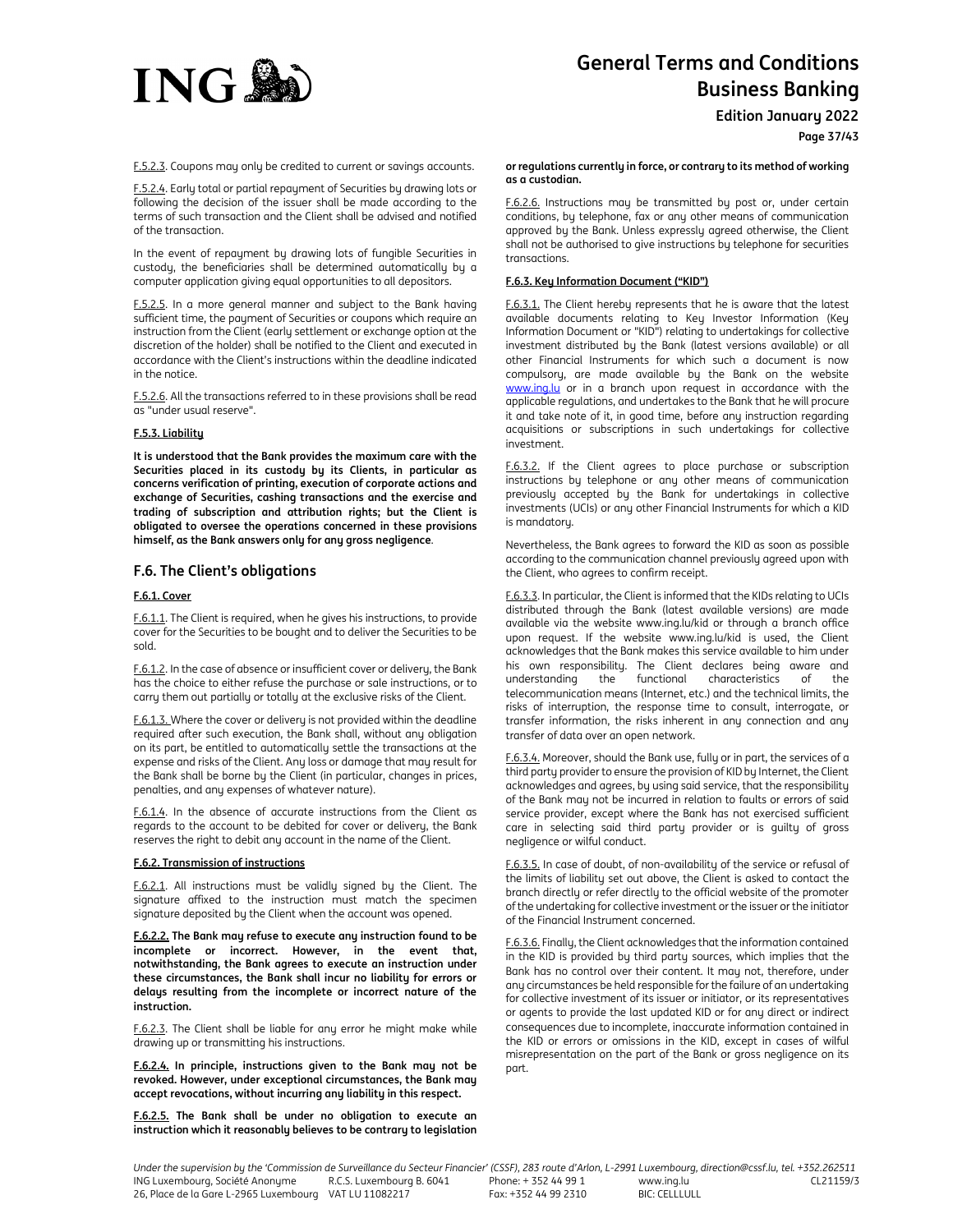

**Edition January 2022**

F.5.2.3. Coupons may only be credited to current or savings accounts.

F.5.2.4. Early total or partial repayment of Securities by drawing lots or following the decision of the issuer shall be made according to the terms of such transaction and the Client shall be advised and notified of the transaction.

In the event of repayment by drawing lots of fungible Securities in custody, the beneficiaries shall be determined automatically by a computer application giving equal opportunities to all depositors.

F.5.2.5. In a more general manner and subject to the Bank having sufficient time, the payment of Securities or coupons which require an instruction from the Client (early settlement or exchange option at the discretion of the holder) shall be notified to the Client and executed in accordance with the Client's instructions within the deadline indicated in the notice.

F.5.2.6. All the transactions referred to in these provisions shall be read as "under usual reserve".

## **F.5.3. Liability**

**It is understood that the Bank provides the maximum care with the Securities placed in its custody by its Clients, in particular as concerns verification of printing, execution of corporate actions and exchange of Securities, cashing transactions and the exercise and trading of subscription and attribution rights; but the Client is obligated to oversee the operations concerned in these provisions himself, as the Bank answers only for any gross negligence**.

# **F.6. The Client's obligations**

#### **F.6.1. Cover**

F.6.1.1. The Client is required, when he gives his instructions, to provide cover for the Securities to be bought and to deliver the Securities to be sold.

F.6.1.2. In the case of absence or insufficient cover or delivery, the Bank has the choice to either refuse the purchase or sale instructions, or to carry them out partially or totally at the exclusive risks of the Client.

F.6.1.3. Where the cover or delivery is not provided within the deadline required after such execution, the Bank shall, without any obligation on its part, be entitled to automatically settle the transactions at the expense and risks of the Client. Any loss or damage that may result for the Bank shall be borne by the Client (in particular, changes in prices, penalties, and any expenses of whatever nature).

F.6.1.4. In the absence of accurate instructions from the Client as regards to the account to be debited for cover or delivery, the Bank reserves the right to debit any account in the name of the Client.

#### **F.6.2. Transmission of instructions**

F.6.2.1. All instructions must be validly signed by the Client. The signature affixed to the instruction must match the specimen signature deposited by the Client when the account was opened.

**F.6.2.2. The Bank may refuse to execute any instruction found to be incomplete or incorrect. However, in the event that, notwithstanding, the Bank agrees to execute an instruction under these circumstances, the Bank shall incur no liability for errors or delays resulting from the incomplete or incorrect nature of the instruction.** 

F.6.2.3. The Client shall be liable for any error he might make while drawing up or transmitting his instructions.

**F.6.2.4. In principle, instructions given to the Bank may not be revoked. However, under exceptional circumstances, the Bank may accept revocations, without incurring any liability in this respect.** 

**F.6.2.5. The Bank shall be under no obligation to execute an instruction which it reasonably believes to be contrary to legislation** 

#### **or regulations currently in force, or contrary to its method of working as a custodian.**

F.6.2.6. Instructions may be transmitted by post or, under certain conditions, by telephone, fax or any other means of communication approved by the Bank. Unless expressly agreed otherwise, the Client shall not be authorised to give instructions by telephone for securities transactions.

## **F.6.3. Key Information Document ("KID")**

F.6.3.1. The Client hereby represents that he is aware that the latest available documents relating to Key Investor Information (Key Information Document or "KID") relating to undertakings for collective investment distributed by the Bank (latest versions available) or all other Financial Instruments for which such a document is now compulsory, are made available by the Bank on the website www.ing.lu or in a branch upon request in accordance with the applicable regulations, and undertakes to the Bank that he will procure it and take note of it, in good time, before any instruction regarding acquisitions or subscriptions in such undertakings for collective investment.

F.6.3.2. If the Client agrees to place purchase or subscription instructions by telephone or any other means of communication previously accepted by the Bank for undertakings in collective investments (UCIs) or any other Financial Instruments for which a KID is mandatory.

Nevertheless, the Bank agrees to forward the KID as soon as possible according to the communication channel previously agreed upon with the Client, who agrees to confirm receipt.

F.6.3.3. In particular, the Client is informed that the KIDs relating to UCIs distributed through the Bank (latest available versions) are made available via the website www.ing.lu/kid or through a branch office upon request. If the website www.ing.lu/kid is used, the Client acknowledges that the Bank makes this service available to him under his own responsibility. The Client declares being aware and understanding the functional characteristics of the telecommunication means (Internet, etc.) and the technical limits, the risks of interruption, the response time to consult, interrogate, or transfer information, the risks inherent in any connection and any transfer of data over an open network.

F.6.3.4. Moreover, should the Bank use, fully or in part, the services of a third party provider to ensure the provision of KID by Internet, the Client acknowledges and agrees, by using said service, that the responsibility of the Bank may not be incurred in relation to faults or errors of said service provider, except where the Bank has not exercised sufficient care in selecting said third party provider or is guilty of gross negligence or wilful conduct.

F.6.3.5. In case of doubt, of non-availability of the service or refusal of the limits of liability set out above, the Client is asked to contact the branch directly or refer directly to the official website of the promoter of the undertaking for collective investment or the issuer or the initiator of the Financial Instrument concerned.

F.6.3.6. Finally, the Client acknowledges that the information contained in the KID is provided by third party sources, which implies that the Bank has no control over their content. It may not, therefore, under any circumstances be held responsible for the failure of an undertaking for collective investment of its issuer or initiator, or its representatives or agents to provide the last updated KID or for any direct or indirect consequences due to incomplete, inaccurate information contained in the KID or errors or omissions in the KID, except in cases of wilful misrepresentation on the part of the Bank or gross negligence on its part.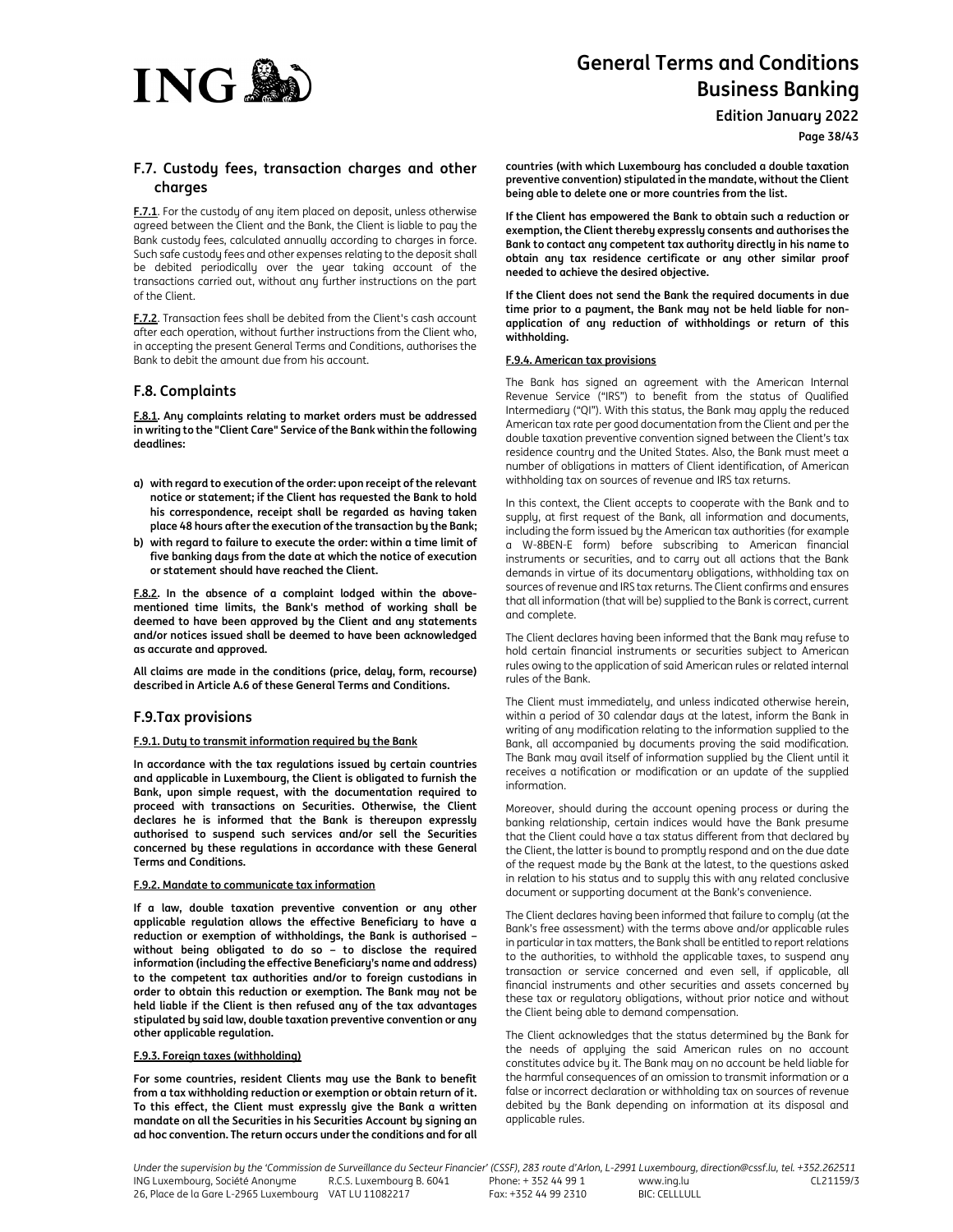

**Edition January 2022**

**Page 38/43**

# **F.7. Custody fees, transaction charges and other charges**

**F.7.1**. For the custody of any item placed on deposit, unless otherwise agreed between the Client and the Bank, the Client is liable to pay the Bank custody fees, calculated annually according to charges in force. Such safe custody fees and other expenses relating to the deposit shall be debited periodically over the year taking account of the transactions carried out, without any further instructions on the part of the Client.

**F.7.2**. Transaction fees shall be debited from the Client's cash account after each operation, without further instructions from the Client who, in accepting the present General Terms and Conditions, authorises the Bank to debit the amount due from his account.

# **F.8. Complaints**

**F.8.1. Any complaints relating to market orders must be addressed in writing to the "Client Care" Service of the Bank within the following deadlines:** 

- **a) with regard to execution of the order: upon receipt of the relevant notice or statement; if the Client has requested the Bank to hold his correspondence, receipt shall be regarded as having taken place 48 hours after the execution of the transaction by the Bank;**
- **b) with regard to failure to execute the order: within a time limit of five banking days from the date at which the notice of execution or statement should have reached the Client.**

**F.8.2. In the absence of a complaint lodged within the abovementioned time limits, the Bank's method of working shall be deemed to have been approved by the Client and any statements and/or notices issued shall be deemed to have been acknowledged as accurate and approved.** 

**All claims are made in the conditions (price, delay, form, recourse) described in Article A.6 of these General Terms and Conditions.** 

# **F.9.Tax provisions**

# **F.9.1. Duty to transmit information required by the Bank**

**In accordance with the tax regulations issued by certain countries and applicable in Luxembourg, the Client is obligated to furnish the Bank, upon simple request, with the documentation required to proceed with transactions on Securities. Otherwise, the Client declares he is informed that the Bank is thereupon expressly authorised to suspend such services and/or sell the Securities concerned by these regulations in accordance with these General Terms and Conditions.** 

## **F.9.2. Mandate to communicate tax information**

**If a law, double taxation preventive convention or any other applicable regulation allows the effective Beneficiary to have a reduction or exemption of withholdings, the Bank is authorised – without being obligated to do so – to disclose the required information (including the effective Beneficiary's name and address) to the competent tax authorities and/or to foreign custodians in order to obtain this reduction or exemption. The Bank may not be held liable if the Client is then refused any of the tax advantages stipulated by said law, double taxation preventive convention or any other applicable regulation.** 

#### **F.9.3. Foreign taxes (withholding)**

**For some countries, resident Clients may use the Bank to benefit from a tax withholding reduction or exemption or obtain return of it. To this effect, the Client must expressly give the Bank a written mandate on all the Securities in his Securities Account by signing an ad hoc convention. The return occurs under the conditions and for all** 

**countries (with which Luxembourg has concluded a double taxation preventive convention) stipulated in the mandate, without the Client being able to delete one or more countries from the list.** 

**If the Client has empowered the Bank to obtain such a reduction or exemption, the Client thereby expressly consents and authorises the Bank to contact any competent tax authority directly in his name to obtain any tax residence certificate or any other similar proof needed to achieve the desired objective.** 

**If the Client does not send the Bank the required documents in due time prior to a payment, the Bank may not be held liable for nonapplication of any reduction of withholdings or return of this withholding.** 

## **F.9.4. American tax provisions**

The Bank has signed an agreement with the American Internal Revenue Service ("IRS") to benefit from the status of Qualified Intermediary ("QI"). With this status, the Bank may apply the reduced American tax rate per good documentation from the Client and per the double taxation preventive convention signed between the Client's tax residence country and the United States. Also, the Bank must meet a number of obligations in matters of Client identification, of American withholding tax on sources of revenue and IRS tax returns.

In this context, the Client accepts to cooperate with the Bank and to supply, at first request of the Bank, all information and documents, including the form issued by the American tax authorities (for example a W-8BEN-E form) before subscribing to American financial instruments or securities, and to carry out all actions that the Bank demands in virtue of its documentary obligations, withholding tax on sources of revenue and IRS tax returns. The Client confirms and ensures that all information (that will be) supplied to the Bank is correct, current and complete.

The Client declares having been informed that the Bank may refuse to hold certain financial instruments or securities subject to American rules owing to the application of said American rules or related internal rules of the Bank.

The Client must immediately, and unless indicated otherwise herein, within a period of 30 calendar days at the latest, inform the Bank in writing of any modification relating to the information supplied to the Bank, all accompanied by documents proving the said modification. The Bank may avail itself of information supplied by the Client until it receives a notification or modification or an update of the supplied information.

Moreover, should during the account opening process or during the banking relationship, certain indices would have the Bank presume that the Client could have a tax status different from that declared by the Client, the latter is bound to promptly respond and on the due date of the request made by the Bank at the latest, to the questions asked in relation to his status and to supply this with any related conclusive document or supporting document at the Bank's convenience.

The Client declares having been informed that failure to comply (at the Bank's free assessment) with the terms above and/or applicable rules in particular in tax matters, the Bank shall be entitled to report relations to the authorities, to withhold the applicable taxes, to suspend any transaction or service concerned and even sell, if applicable, all financial instruments and other securities and assets concerned by these tax or regulatory obligations, without prior notice and without the Client being able to demand compensation.

The Client acknowledges that the status determined by the Bank for the needs of applying the said American rules on no account constitutes advice by it. The Bank may on no account be held liable for the harmful consequences of an omission to transmit information or a false or incorrect declaration or withholding tax on sources of revenue debited by the Bank depending on information at its disposal and applicable rules.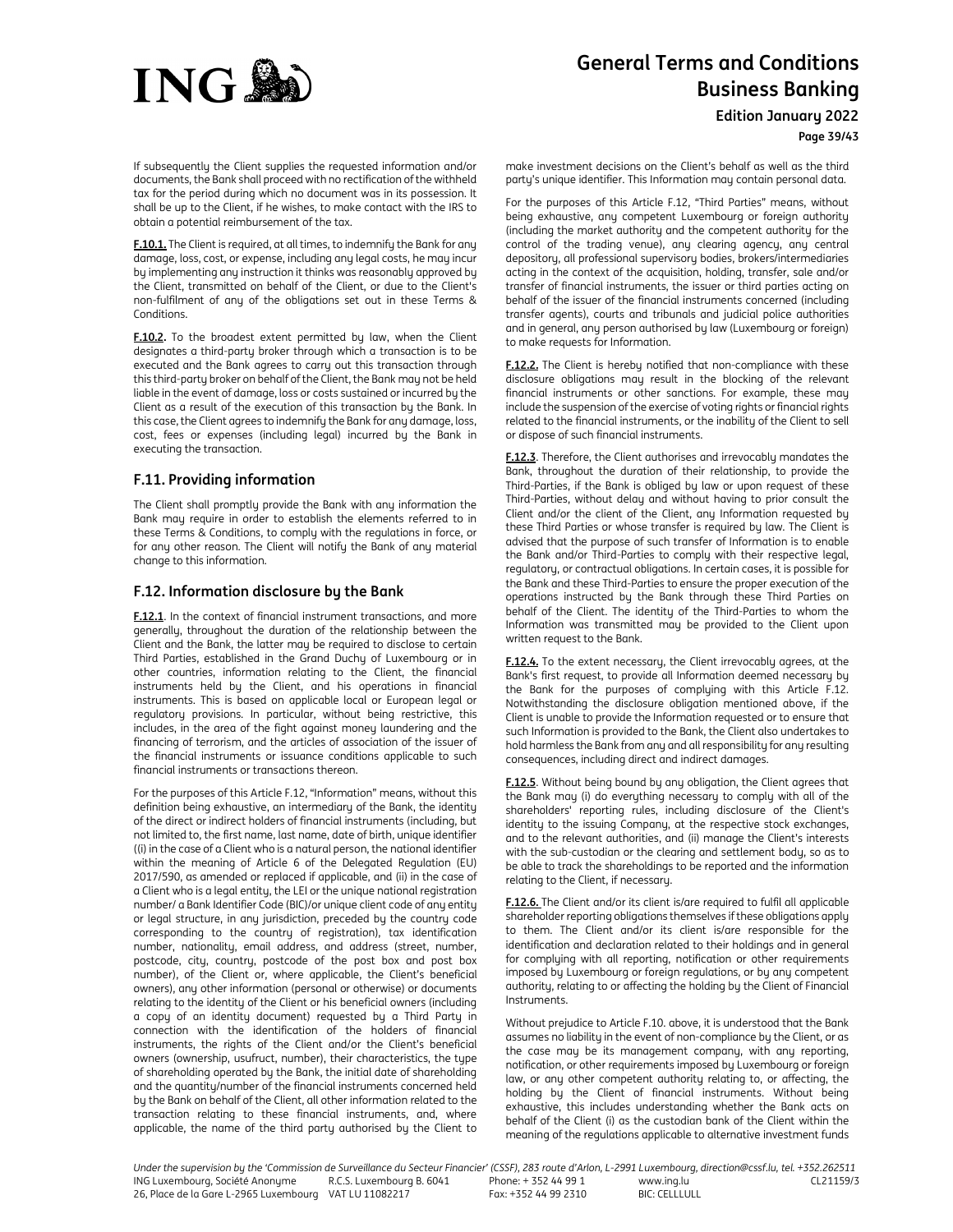

**Edition January 2022**

**Page 39/43**

If subsequently the Client supplies the requested information and/or documents, the Bank shall proceed with no rectification of the withheld tax for the period during which no document was in its possession. It shall be up to the Client, if he wishes, to make contact with the IRS to obtain a potential reimbursement of the tax.

**F.10.1.** The Client is required, at all times, to indemnify the Bank for any damage, loss, cost, or expense, including any legal costs, he may incur by implementing any instruction it thinks was reasonably approved by the Client, transmitted on behalf of the Client, or due to the Client's non-fulfilment of any of the obligations set out in these Terms & Conditions.

**F.10.2.** To the broadest extent permitted by law, when the Client designates a third-party broker through which a transaction is to be executed and the Bank agrees to carry out this transaction through this third-party broker on behalf of the Client, the Bank may not be held liable in the event of damage, loss or costs sustained or incurred by the Client as a result of the execution of this transaction by the Bank. In this case, the Client agrees to indemnify the Bank for any damage, loss, cost, fees or expenses (including legal) incurred by the Bank in executing the transaction.

# **F.11. Providing information**

The Client shall promptly provide the Bank with any information the Bank may require in order to establish the elements referred to in these Terms & Conditions, to comply with the regulations in force, or for any other reason. The Client will notify the Bank of any material change to this information.

# **F.12. Information disclosure by the Bank**

**F.12.1**. In the context of financial instrument transactions, and more generally, throughout the duration of the relationship between the Client and the Bank, the latter may be required to disclose to certain Third Parties, established in the Grand Duchy of Luxembourg or in other countries, information relating to the Client, the financial instruments held by the Client, and his operations in financial instruments. This is based on applicable local or European legal or regulatory provisions. In particular, without being restrictive, this includes, in the area of the fight against money laundering and the financing of terrorism, and the articles of association of the issuer of the financial instruments or issuance conditions applicable to such financial instruments or transactions thereon.

For the purposes of this Article F.12, "Information" means, without this definition being exhaustive, an intermediary of the Bank, the identity of the direct or indirect holders of financial instruments (including, but not limited to, the first name, last name, date of birth, unique identifier ((i) in the case of a Client who is a natural person, the national identifier within the meaning of Article 6 of the Delegated Regulation (EU) 2017/590, as amended or replaced if applicable, and (ii) in the case of a Client who is a legal entity, the LEI or the unique national registration number/ a Bank Identifier Code (BIC)/or unique client code of any entity or legal structure, in any jurisdiction, preceded by the country code corresponding to the country of registration), tax identification number, nationality, email address, and address (street, number, postcode, city, country, postcode of the post box and post box number), of the Client or, where applicable, the Client's beneficial owners), any other information (personal or otherwise) or documents relating to the identity of the Client or his beneficial owners (including a copy of an identity document) requested by a Third Party in connection with the identification of the holders of financial instruments, the rights of the Client and/or the Client's beneficial owners (ownership, usufruct, number), their characteristics, the type of shareholding operated by the Bank, the initial date of shareholding and the quantity/number of the financial instruments concerned held by the Bank on behalf of the Client, all other information related to the transaction relating to these financial instruments, and, where applicable, the name of the third party authorised by the Client to make investment decisions on the Client's behalf as well as the third party's unique identifier. This Information may contain personal data.

For the purposes of this Article F.12, "Third Parties" means, without being exhaustive, any competent Luxembourg or foreign authority (including the market authority and the competent authority for the control of the trading venue), any clearing agency, any central depository, all professional supervisory bodies, brokers/intermediaries acting in the context of the acquisition, holding, transfer, sale and/or transfer of financial instruments, the issuer or third parties acting on behalf of the issuer of the financial instruments concerned (including transfer agents), courts and tribunals and judicial police authorities and in general, any person authorised by law (Luxembourg or foreign) to make requests for Information.

**F.12.2.** The Client is hereby notified that non-compliance with these disclosure obligations may result in the blocking of the relevant financial instruments or other sanctions. For example, these may include the suspension of the exercise of voting rights or financial rights related to the financial instruments, or the inability of the Client to sell or dispose of such financial instruments.

**F.12.3**. Therefore, the Client authorises and irrevocably mandates the Bank, throughout the duration of their relationship, to provide the Third-Parties, if the Bank is obliged by law or upon request of these Third-Parties, without delay and without having to prior consult the Client and/or the client of the Client, any Information requested by these Third Parties or whose transfer is required by law. The Client is advised that the purpose of such transfer of Information is to enable the Bank and/or Third-Parties to comply with their respective legal, regulatory, or contractual obligations. In certain cases, it is possible for the Bank and these Third-Parties to ensure the proper execution of the operations instructed by the Bank through these Third Parties on behalf of the Client. The identity of the Third-Parties to whom the Information was transmitted may be provided to the Client upon written request to the Bank.

**F.12.4.** To the extent necessary, the Client irrevocably agrees, at the Bank's first request, to provide all Information deemed necessary by the Bank for the purposes of complying with this Article F.12. Notwithstanding the disclosure obligation mentioned above, if the Client is unable to provide the Information requested or to ensure that such Information is provided to the Bank, the Client also undertakes to hold harmless the Bank from any and all responsibility for any resulting consequences, including direct and indirect damages.

**F.12.5**. Without being bound by any obligation, the Client agrees that the Bank may (i) do everything necessary to comply with all of the shareholders' reporting rules, including disclosure of the Client's identity to the issuing Company, at the respective stock exchanges, and to the relevant authorities, and (ii) manage the Client's interests with the sub-custodian or the clearing and settlement body, so as to be able to track the shareholdings to be reported and the information relating to the Client, if necessary.

**F.12.6.** The Client and/or its client is/are required to fulfil all applicable shareholder reporting obligations themselves if these obligations apply to them. The Client and/or its client is/are responsible for the identification and declaration related to their holdings and in general for complying with all reporting, notification or other requirements imposed by Luxembourg or foreign regulations, or by any competent authority, relating to or affecting the holding by the Client of Financial Instruments.

Without prejudice to Article F.10. above, it is understood that the Bank assumes no liability in the event of non-compliance by the Client, or as the case may be its management company, with any reporting, notification, or other requirements imposed by Luxembourg or foreign law, or any other competent authority relating to, or affecting, the holding by the Client of financial instruments. Without being exhaustive, this includes understanding whether the Bank acts on behalf of the Client (i) as the custodian bank of the Client within the meaning of the regulations applicable to alternative investment funds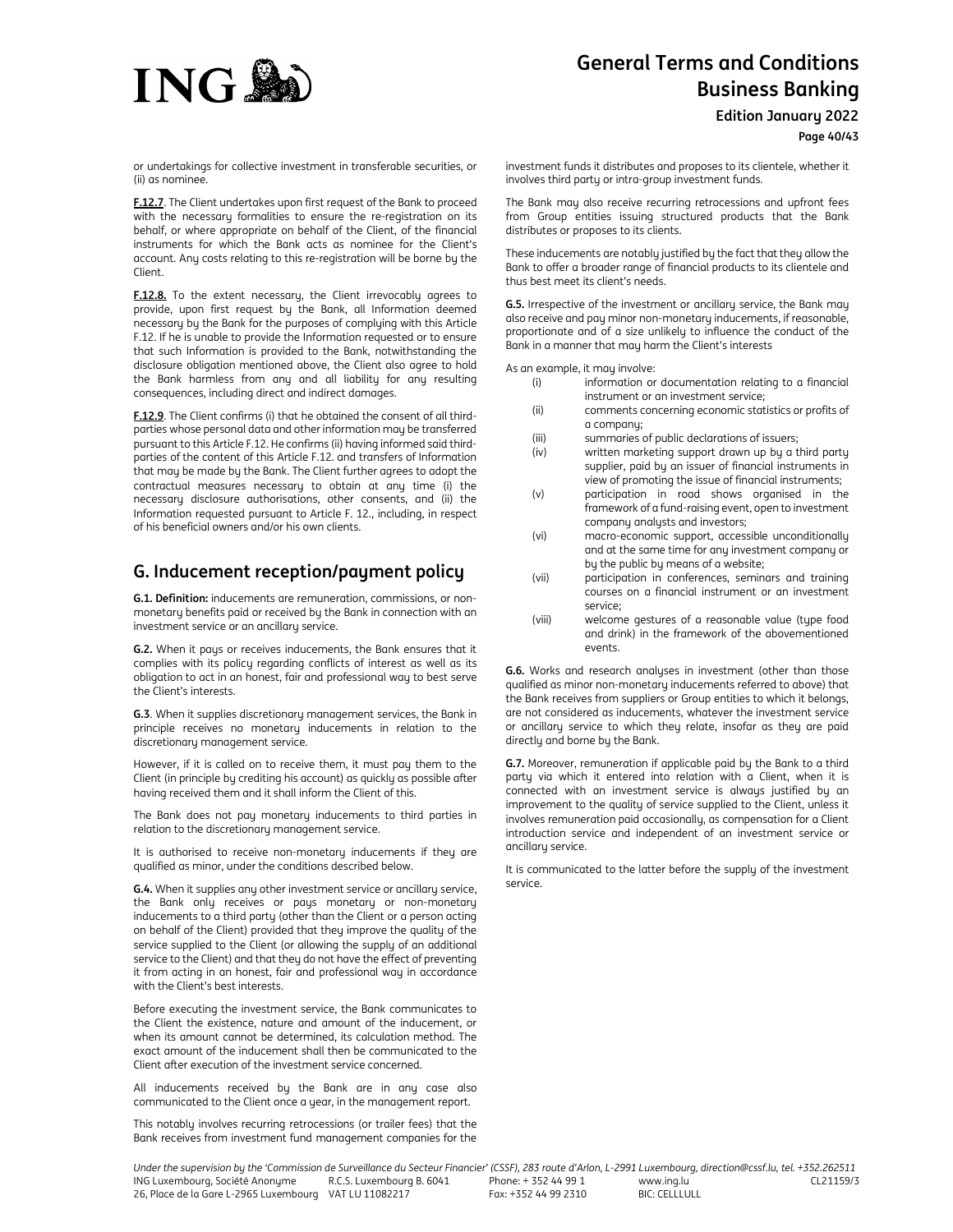

**Edition January 2022**

**Page 40/43**

or undertakings for collective investment in transferable securities, or (ii) as nominee.

**F.12.7**. The Client undertakes upon first request of the Bank to proceed with the necessary formalities to ensure the re-registration on its behalf, or where appropriate on behalf of the Client, of the financial instruments for which the Bank acts as nominee for the Client's account. Any costs relating to this re-registration will be borne by the Client.

**F.12.8.** To the extent necessary, the Client irrevocably agrees to provide, upon first request by the Bank, all Information deemed necessary by the Bank for the purposes of complying with this Article F.12. If he is unable to provide the Information requested or to ensure that such Information is provided to the Bank, notwithstanding the disclosure obligation mentioned above, the Client also agree to hold the Bank harmless from any and all liability for any resulting consequences, including direct and indirect damages.

**F.12.9**. The Client confirms (i) that he obtained the consent of all thirdparties whose personal data and other information may be transferred pursuant to this Article F.12. He confirms (ii) having informed said thirdparties of the content of this Article F.12. and transfers of Information that may be made by the Bank. The Client further agrees to adopt the contractual measures necessary to obtain at any time (i) the necessary disclosure authorisations, other consents, and (ii) the Information requested pursuant to Article F. 12., including, in respect of his beneficial owners and/or his own clients.

# **G. Inducement reception/payment policy**

**G.1. Definition:** inducements are remuneration, commissions, or nonmonetary benefits paid or received by the Bank in connection with an investment service or an ancillary service.

**G.2.** When it pays or receives inducements, the Bank ensures that it complies with its policy regarding conflicts of interest as well as its obligation to act in an honest, fair and professional way to best serve the Client's interests.

**G.3**. When it supplies discretionary management services, the Bank in principle receives no monetary inducements in relation to the discretionary management service.

However, if it is called on to receive them, it must pay them to the Client (in principle by crediting his account) as quickly as possible after having received them and it shall inform the Client of this.

The Bank does not pay monetary inducements to third parties in relation to the discretionary management service.

It is authorised to receive non-monetary inducements if they are qualified as minor, under the conditions described below.

**G.4.** When it supplies any other investment service or ancillary service, the Bank only receives or pays monetary or non-monetary inducements to a third party (other than the Client or a person acting on behalf of the Client) provided that they improve the quality of the service supplied to the Client (or allowing the supply of an additional service to the Client) and that they do not have the effect of preventing it from acting in an honest, fair and professional way in accordance with the Client's best interests.

Before executing the investment service, the Bank communicates to the Client the existence, nature and amount of the inducement, or when its amount cannot be determined, its calculation method. The exact amount of the inducement shall then be communicated to the Client after execution of the investment service concerned.

All inducements received by the Bank are in any case also communicated to the Client once a year, in the management report.

This notably involves recurring retrocessions (or trailer fees) that the Bank receives from investment fund management companies for the investment funds it distributes and proposes to its clientele, whether it involves third party or intra-group investment funds.

The Bank may also receive recurring retrocessions and upfront fees from Group entities issuing structured products that the Bank distributes or proposes to its clients.

These inducements are notably justified by the fact that they allow the Bank to offer a broader range of financial products to its clientele and thus best meet its client's needs.

**G.5.** Irrespective of the investment or ancillary service, the Bank may also receive and pay minor non-monetary inducements, if reasonable, proportionate and of a size unlikely to influence the conduct of the Bank in a manner that may harm the Client's interests

As an example, it may involve:

- (i) information or documentation relating to a financial instrument or an investment service;
- (ii) comments concerning economic statistics or profits of a company;
- 
- (iii) summaries of public declarations of issuers;<br>(iv) written marketing support drawn up by a t written marketing support drawn up by a third party supplier, paid by an issuer of financial instruments in view of promoting the issue of financial instruments;
- (v) participation in road shows organised in the framework of a fund-raising event, open to investment company analysts and investors;
- (vi) macro-economic support, accessible unconditionally and at the same time for any investment company or by the public by means of a website;
- (vii) participation in conferences, seminars and training courses on a financial instrument or an investment service;
- (viii) welcome gestures of a reasonable value (type food and drink) in the framework of the abovementioned events

**G.6.** Works and research analyses in investment (other than those qualified as minor non-monetary inducements referred to above) that the Bank receives from suppliers or Group entities to which it belongs, are not considered as inducements, whatever the investment service or ancillary service to which they relate, insofar as they are paid directly and borne by the Bank.

**G.7.** Moreover, remuneration if applicable paid by the Bank to a third party via which it entered into relation with a Client, when it is connected with an investment service is always justified by an improvement to the quality of service supplied to the Client, unless it involves remuneration paid occasionally, as compensation for a Client introduction service and independent of an investment service or ancillary service.

It is communicated to the latter before the supply of the investment service.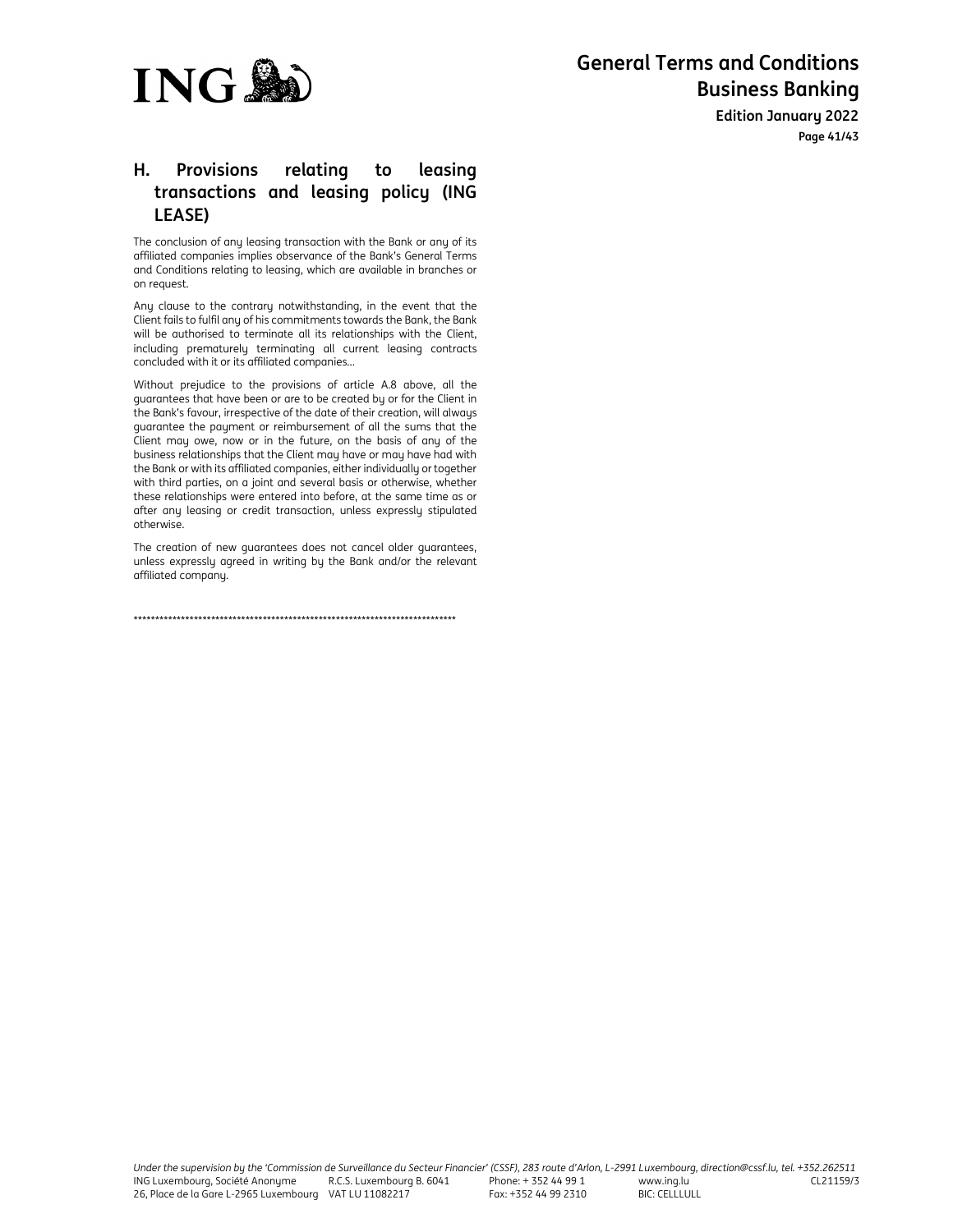

**Edition January 2022 Page 41/43**

# **H. Provisions relating to leasing transactions and leasing policy (ING LEASE)**

The conclusion of any leasing transaction with the Bank or any of its affiliated companies implies observance of the Bank's General Terms and Conditions relating to leasing, which are available in branches or on request.

Any clause to the contrary notwithstanding, in the event that the Client fails to fulfil any of his commitments towards the Bank, the Bank will be authorised to terminate all its relationships with the Client, including prematurely terminating all current leasing contracts concluded with it or its affiliated companies...

Without prejudice to the provisions of article A.8 above, all the guarantees that have been or are to be created by or for the Client in the Bank's favour, irrespective of the date of their creation, will always guarantee the payment or reimbursement of all the sums that the Client may owe, now or in the future, on the basis of any of the business relationships that the Client may have or may have had with the Bank or with its affiliated companies, either individually or together with third parties, on a joint and several basis or otherwise, whether these relationships were entered into before, at the same time as or after any leasing or credit transaction, unless expressly stipulated otherwise.

The creation of new guarantees does not cancel older guarantees, unless expressly agreed in writing by the Bank and/or the relevant affiliated company.

\*\*\*\*\*\*\*\*\*\*\*\*\*\*\*\*\*\*\*\*\*\*\*\*\*\*\*\*\*\*\*\*\*\*\*\*\*\*\*\*\*\*\*\*\*\*\*\*\*\*\*\*\*\*\*\*\*\*\*\*\*\*\*\*\*\*\*\*\*\*\*\*\*\*\*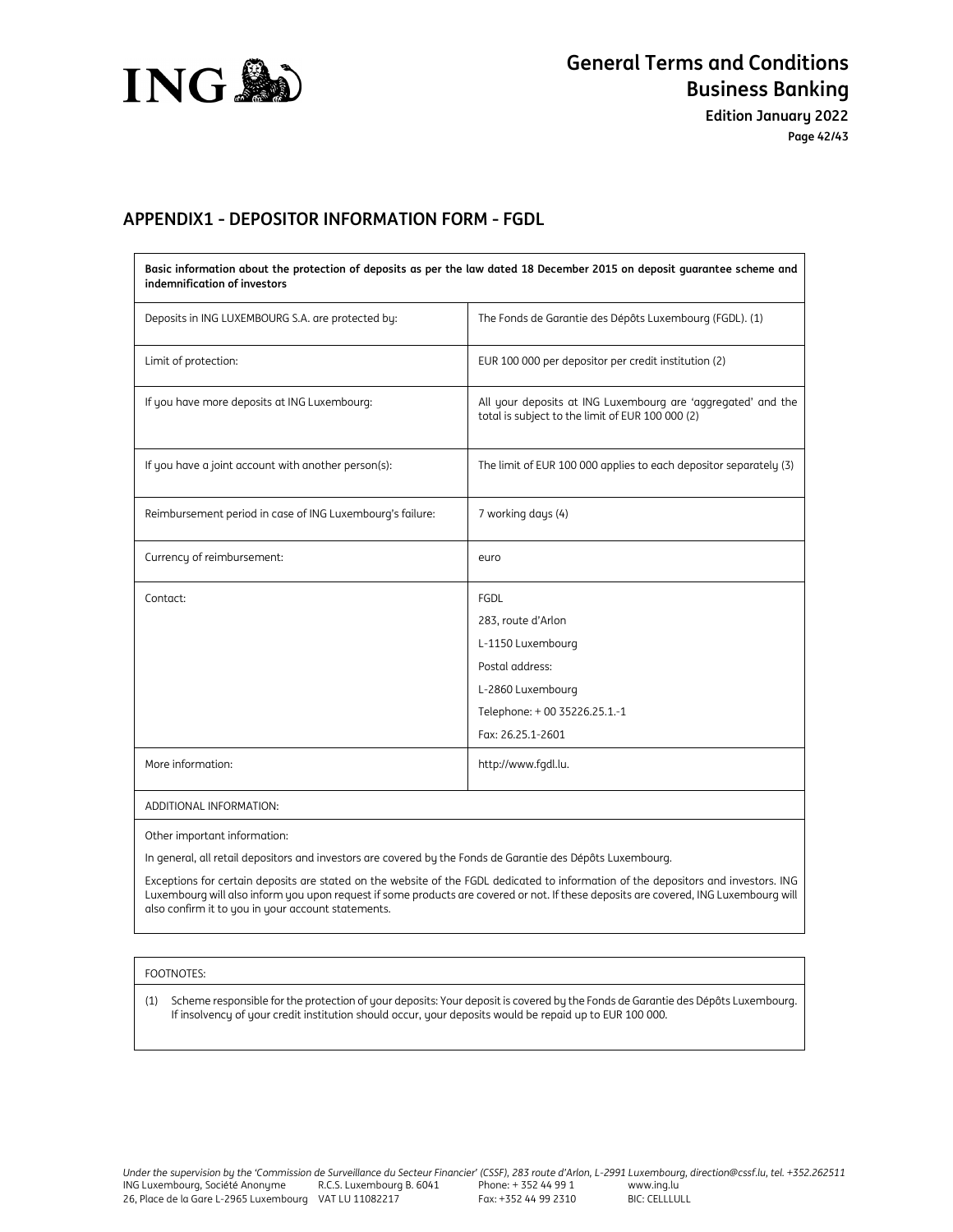

**Edition January 2022 Page 42/43**

# **APPENDIX1 - DEPOSITOR INFORMATION FORM - FGDL**

| Basic information about the protection of deposits as per the law dated 18 December 2015 on deposit quarantee scheme and<br>indemnification of investors |                                                                                                                  |  |  |
|----------------------------------------------------------------------------------------------------------------------------------------------------------|------------------------------------------------------------------------------------------------------------------|--|--|
| Deposits in ING LUXEMBOURG S.A. are protected by:                                                                                                        | The Fonds de Garantie des Dépôts Luxembourg (FGDL). (1)                                                          |  |  |
| Limit of protection:                                                                                                                                     | EUR 100 000 per depositor per credit institution (2)                                                             |  |  |
| If you have more deposits at ING Luxembourg:                                                                                                             | All your deposits at ING Luxembourg are 'aggregated' and the<br>total is subject to the limit of EUR 100 000 (2) |  |  |
| If you have a joint account with another person(s):                                                                                                      | The limit of EUR 100 000 applies to each depositor separately (3)                                                |  |  |
| Reimbursement period in case of ING Luxembourg's failure:                                                                                                | 7 working days (4)                                                                                               |  |  |
| Currency of reimbursement:                                                                                                                               | euro                                                                                                             |  |  |
| Contact:                                                                                                                                                 | FGDL                                                                                                             |  |  |
|                                                                                                                                                          | 283, route d'Arlon                                                                                               |  |  |
|                                                                                                                                                          | L-1150 Luxembourg                                                                                                |  |  |
|                                                                                                                                                          | Postal address:                                                                                                  |  |  |
|                                                                                                                                                          | L-2860 Luxembourg                                                                                                |  |  |
|                                                                                                                                                          | Telephone: + 00 35226.25.1.-1                                                                                    |  |  |
|                                                                                                                                                          | Fax: 26.25.1-2601                                                                                                |  |  |
| More information:                                                                                                                                        | http://www.fgdl.lu.                                                                                              |  |  |
| ADDITIONAL INFORMATION:                                                                                                                                  |                                                                                                                  |  |  |

Other important information:

In general, all retail depositors and investors are covered by the Fonds de Garantie des Dépôts Luxembourg.

Exceptions for certain deposits are stated on the website of the FGDL dedicated to information of the depositors and investors. ING Luxembourg will also inform you upon request if some products are covered or not. If these deposits are covered, ING Luxembourg will also confirm it to you in your account statements.

# FOOTNOTES:

(1) Scheme responsible for the protection of your deposits: Your deposit is covered by the Fonds de Garantie des Dépôts Luxembourg. If insolvency of your credit institution should occur, your deposits would be repaid up to EUR 100 000.